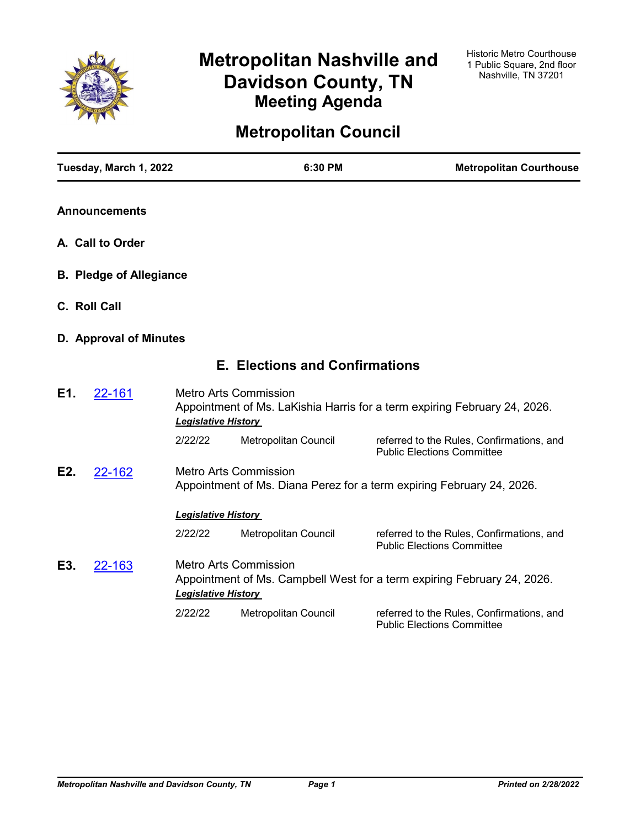

# **Metropolitan Nashville and Davidson County, TN Meeting Agenda**

# **Metropolitan Council**

|                  | Tuesday, March 1, 2022         |                            | 6:30 PM                               | <b>Metropolitan Courthouse</b>                                                 |
|------------------|--------------------------------|----------------------------|---------------------------------------|--------------------------------------------------------------------------------|
|                  | <b>Announcements</b>           |                            |                                       |                                                                                |
|                  | A. Call to Order               |                            |                                       |                                                                                |
|                  | <b>B. Pledge of Allegiance</b> |                            |                                       |                                                                                |
|                  | C. Roll Call                   |                            |                                       |                                                                                |
|                  | D. Approval of Minutes         |                            |                                       |                                                                                |
|                  |                                |                            | <b>E. Elections and Confirmations</b> |                                                                                |
| E1.              | 22-161                         | <b>Legislative History</b> | <b>Metro Arts Commission</b>          | Appointment of Ms. LaKishia Harris for a term expiring February 24, 2026.      |
|                  |                                | 2/22/22                    | <b>Metropolitan Council</b>           | referred to the Rules, Confirmations, and<br><b>Public Elections Committee</b> |
| E <sub>2</sub> . | 22-162                         |                            | <b>Metro Arts Commission</b>          | Appointment of Ms. Diana Perez for a term expiring February 24, 2026.          |
|                  |                                | <b>Legislative History</b> |                                       |                                                                                |
|                  |                                | 2/22/22                    | Metropolitan Council                  | referred to the Rules, Confirmations, and<br><b>Public Elections Committee</b> |
| E3.              | 22-163                         | <b>Legislative History</b> | <b>Metro Arts Commission</b>          | Appointment of Ms. Campbell West for a term expiring February 24, 2026.        |
|                  |                                | 2/22/22                    | <b>Metropolitan Council</b>           | referred to the Rules, Confirmations, and<br><b>Public Elections Committee</b> |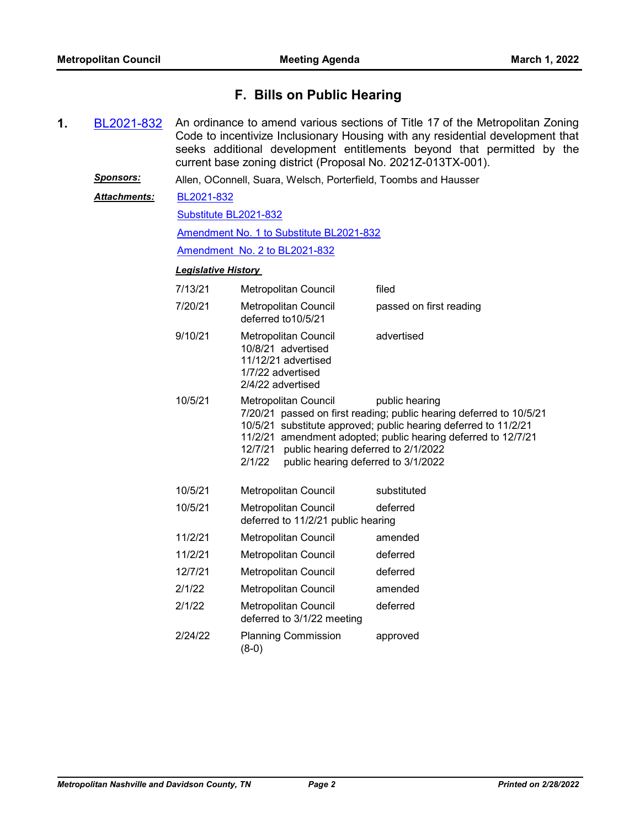# **F. Bills on Public Hearing**

**1.** [BL2021-832](http://nashville.legistar.com/gateway.aspx?m=l&id=/matter.aspx?key=13386) An ordinance to amend various sections of Title 17 of the Metropolitan Zoning Code to incentivize Inclusionary Housing with any residential development that seeks additional development entitlements beyond that permitted by the current base zoning district (Proposal No. 2021Z-013TX-001).

*Sponsors:* Allen, OConnell, Suara, Welsch, Porterfield, Toombs and Hausser

[BL2021-832](http://nashville.legistar.com/gateway.aspx?M=F&ID=9c4674f5-ba2c-4b2a-b381-fef0c1db22d2.pdf) *Attachments:*

[Substitute BL2021-832](http://nashville.legistar.com/gateway.aspx?M=F&ID=d59666d9-2f55-4124-9e1e-61a1436ff485.docx)

[Amendment No. 1 to Substitute BL2021-832](http://nashville.legistar.com/gateway.aspx?M=F&ID=c1f1860e-0292-4958-9046-7f16241ab823.docx)

[Amendment No. 2 to BL2021-832](http://nashville.legistar.com/gateway.aspx?M=F&ID=c4b96a7d-7873-43e8-b738-bbbc711e265f.docx)

| 7/13/21 | <b>Metropolitan Council</b>                                                                                                 | filed                                                                                                                                                                                                                     |
|---------|-----------------------------------------------------------------------------------------------------------------------------|---------------------------------------------------------------------------------------------------------------------------------------------------------------------------------------------------------------------------|
| 7/20/21 | <b>Metropolitan Council</b><br>deferred to 10/5/21                                                                          | passed on first reading                                                                                                                                                                                                   |
| 9/10/21 | <b>Metropolitan Council</b><br>10/8/21 advertised<br>11/12/21 advertised<br>1/7/22 advertised<br>2/4/22 advertised          | advertised                                                                                                                                                                                                                |
| 10/5/21 | <b>Metropolitan Council</b><br>12/7/21 public hearing deferred to 2/1/2022<br>public hearing deferred to 3/1/2022<br>2/1/22 | public hearing<br>7/20/21 passed on first reading; public hearing deferred to 10/5/21<br>10/5/21 substitute approved; public hearing deferred to 11/2/21<br>11/2/21 amendment adopted; public hearing deferred to 12/7/21 |
| 10/5/21 | <b>Metropolitan Council</b>                                                                                                 | substituted                                                                                                                                                                                                               |
| 10/5/21 | Metropolitan Council<br>deferred to 11/2/21 public hearing                                                                  | deferred                                                                                                                                                                                                                  |
| 11/2/21 | Metropolitan Council                                                                                                        | amended                                                                                                                                                                                                                   |
| 11/2/21 | <b>Metropolitan Council</b>                                                                                                 | deferred                                                                                                                                                                                                                  |
| 12/7/21 | Metropolitan Council                                                                                                        | deferred                                                                                                                                                                                                                  |
| 2/1/22  | <b>Metropolitan Council</b>                                                                                                 | amended                                                                                                                                                                                                                   |
| 2/1/22  | <b>Metropolitan Council</b><br>deferred to 3/1/22 meeting                                                                   | deferred                                                                                                                                                                                                                  |
| 2/24/22 | <b>Planning Commission</b><br>$(8-0)$                                                                                       | approved                                                                                                                                                                                                                  |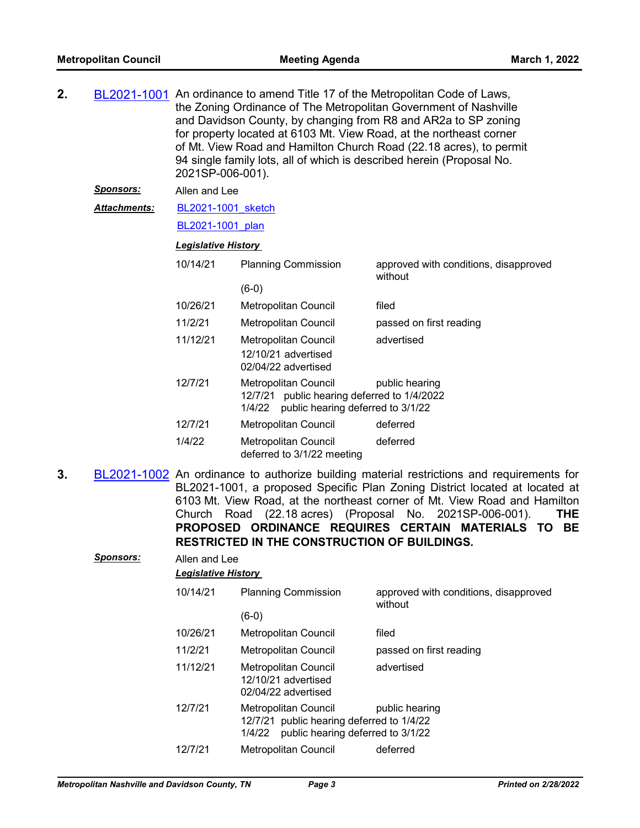| 2. |                     |                            | BL2021-1001 An ordinance to amend Title 17 of the Metropolitan Code of Laws,<br>the Zoning Ordinance of The Metropolitan Government of Nashville<br>and Davidson County, by changing from R8 and AR2a to SP zoning<br>for property located at 6103 Mt. View Road, at the northeast corner<br>of Mt. View Road and Hamilton Church Road (22.18 acres), to permit<br>94 single family lots, all of which is described herein (Proposal No.<br>2021SP-006-001). |                                                                                           |
|----|---------------------|----------------------------|--------------------------------------------------------------------------------------------------------------------------------------------------------------------------------------------------------------------------------------------------------------------------------------------------------------------------------------------------------------------------------------------------------------------------------------------------------------|-------------------------------------------------------------------------------------------|
|    | <u>Sponsors:</u>    | Allen and Lee              |                                                                                                                                                                                                                                                                                                                                                                                                                                                              |                                                                                           |
|    | <b>Attachments:</b> | BL2021-1001 sketch         |                                                                                                                                                                                                                                                                                                                                                                                                                                                              |                                                                                           |
|    |                     | BL2021-1001 plan           |                                                                                                                                                                                                                                                                                                                                                                                                                                                              |                                                                                           |
|    |                     | <b>Legislative History</b> |                                                                                                                                                                                                                                                                                                                                                                                                                                                              |                                                                                           |
|    |                     | 10/14/21                   | <b>Planning Commission</b>                                                                                                                                                                                                                                                                                                                                                                                                                                   | approved with conditions, disapproved<br>without                                          |
|    |                     |                            | $(6-0)$                                                                                                                                                                                                                                                                                                                                                                                                                                                      |                                                                                           |
|    |                     | 10/26/21                   | <b>Metropolitan Council</b>                                                                                                                                                                                                                                                                                                                                                                                                                                  | filed                                                                                     |
|    |                     | 11/2/21                    | Metropolitan Council                                                                                                                                                                                                                                                                                                                                                                                                                                         | passed on first reading                                                                   |
|    |                     | 11/12/21                   | Metropolitan Council<br>12/10/21 advertised<br>02/04/22 advertised                                                                                                                                                                                                                                                                                                                                                                                           | advertised                                                                                |
|    |                     | 12/7/21                    | <b>Metropolitan Council</b><br>12/7/21 public hearing deferred to 1/4/2022<br>1/4/22 public hearing deferred to 3/1/22                                                                                                                                                                                                                                                                                                                                       | public hearing                                                                            |
|    |                     | 12/7/21                    | Metropolitan Council                                                                                                                                                                                                                                                                                                                                                                                                                                         | deferred                                                                                  |
|    |                     | 1/4/22                     | <b>Metropolitan Council</b><br>deferred to 3/1/22 meeting                                                                                                                                                                                                                                                                                                                                                                                                    | deferred                                                                                  |
| 3. |                     |                            |                                                                                                                                                                                                                                                                                                                                                                                                                                                              | BL2021-1002 An ordinance to authorize building material restrictions and requirements for |

BL2021-1001, a proposed Specific Plan Zoning District located at located at 6103 Mt. View Road, at the northeast corner of Mt. View Road and Hamilton Church Road (22.18 acres) (Proposal No. 2021SP-006-001). **THE PROPOSED ORDINANCE REQUIRES CERTAIN MATERIALS TO BE RESTRICTED IN THE CONSTRUCTION OF BUILDINGS.**

#### *Sponsors:* Allen and Lee

| <b>Legislative History</b> |  |
|----------------------------|--|
|                            |  |

| 10/14/21 | <b>Planning Commission</b>                                                                                       | approved with conditions, disapproved<br>without |
|----------|------------------------------------------------------------------------------------------------------------------|--------------------------------------------------|
|          | $(6-0)$                                                                                                          |                                                  |
| 10/26/21 | <b>Metropolitan Council</b>                                                                                      | filed                                            |
| 11/2/21  | <b>Metropolitan Council</b>                                                                                      | passed on first reading                          |
| 11/12/21 | Metropolitan Council<br>12/10/21 advertised<br>02/04/22 advertised                                               | advertised                                       |
| 12/7/21  | Metropolitan Council<br>12/7/21 public hearing deferred to 1/4/22<br>public hearing deferred to 3/1/22<br>1/4/22 | public hearing                                   |
| 12/7/21  | <b>Metropolitan Council</b>                                                                                      | deferred                                         |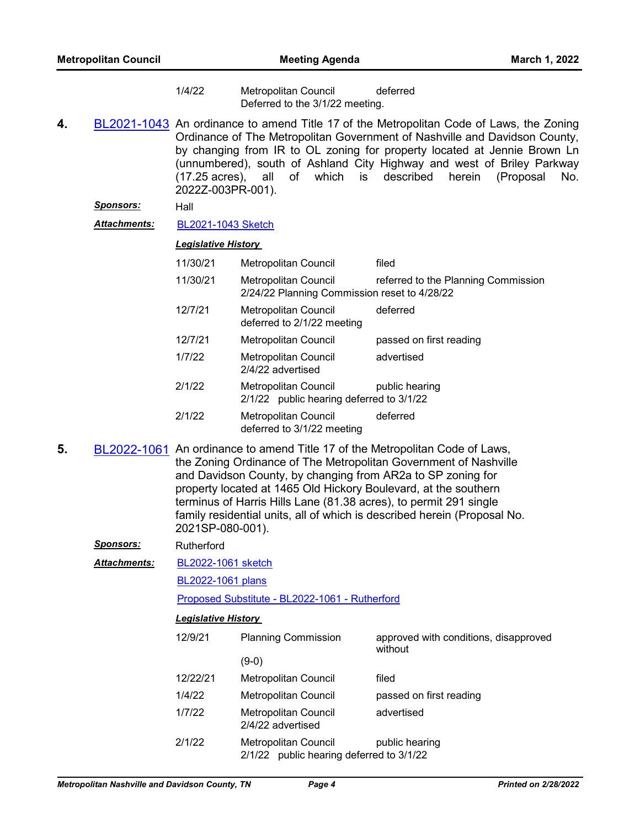1/4/22 Metropolitan Council deferred Deferred to the 3/1/22 meeting.

**4.** [BL2021-1043](http://nashville.legistar.com/gateway.aspx?m=l&id=/matter.aspx?key=13914) An ordinance to amend Title 17 of the Metropolitan Code of Laws, the Zoning Ordinance of The Metropolitan Government of Nashville and Davidson County, by changing from IR to OL zoning for property located at Jennie Brown Ln (unnumbered), south of Ashland City Highway and west of Briley Parkway (17.25 acres), all of which is described herein (Proposal No. 2022Z-003PR-001).

#### *Sponsors:* Hall

*Attachments:* [BL2021-1043 Sketch](http://nashville.legistar.com/gateway.aspx?M=F&ID=fbcede7e-c6a7-499c-8e98-d385b93a443a.docx)

#### *Legislative History*

| 11/30/21 | Metropolitan Council                                                 | filed                               |
|----------|----------------------------------------------------------------------|-------------------------------------|
| 11/30/21 | Metropolitan Council<br>2/24/22 Planning Commission reset to 4/28/22 | referred to the Planning Commission |
| 12/7/21  | Metropolitan Council<br>deferred to 2/1/22 meeting                   | deferred                            |
| 12/7/21  | Metropolitan Council                                                 | passed on first reading             |
| 1/7/22   | <b>Metropolitan Council</b><br>2/4/22 advertised                     | advertised                          |
| 2/1/22   | Metropolitan Council<br>2/1/22 public hearing deferred to 3/1/22     | public hearing                      |
| 2/1/22   | <b>Metropolitan Council</b><br>deferred to 3/1/22 meeting            | deferred                            |

**5.** [BL2022-1061](http://nashville.legistar.com/gateway.aspx?m=l&id=/matter.aspx?key=13968) An ordinance to amend Title 17 of the Metropolitan Code of Laws, the Zoning Ordinance of The Metropolitan Government of Nashville and Davidson County, by changing from AR2a to SP zoning for property located at 1465 Old Hickory Boulevard, at the southern terminus of Harris Hills Lane (81.38 acres), to permit 291 single family residential units, all of which is described herein (Proposal No. 2021SP-080-001).

*Sponsors:* Rutherford

[BL2022-1061 sketch](http://nashville.legistar.com/gateway.aspx?M=F&ID=9b22bbd8-39d6-4c04-832b-4756fba5dec8.docx) *Attachments:*

[BL2022-1061 plans](http://nashville.legistar.com/gateway.aspx?M=F&ID=4d4691f7-af26-4ad3-9d1b-25e9f89f9101.pdf)

[Proposed Substitute - BL2022-1061 - Rutherford](http://nashville.legistar.com/gateway.aspx?M=F&ID=734a4c7d-23e8-47f3-a041-9b7b938c207c.docx)

| 12/9/21  | <b>Planning Commission</b><br>(9-0)                                     | approved with conditions, disapproved<br>without |
|----------|-------------------------------------------------------------------------|--------------------------------------------------|
|          |                                                                         |                                                  |
| 12/22/21 | <b>Metropolitan Council</b>                                             | filed                                            |
| 1/4/22   | <b>Metropolitan Council</b>                                             | passed on first reading                          |
| 1/7/22   | <b>Metropolitan Council</b><br>2/4/22 advertised                        | advertised                                       |
| 2/1/22   | <b>Metropolitan Council</b><br>2/1/22 public hearing deferred to 3/1/22 | public hearing                                   |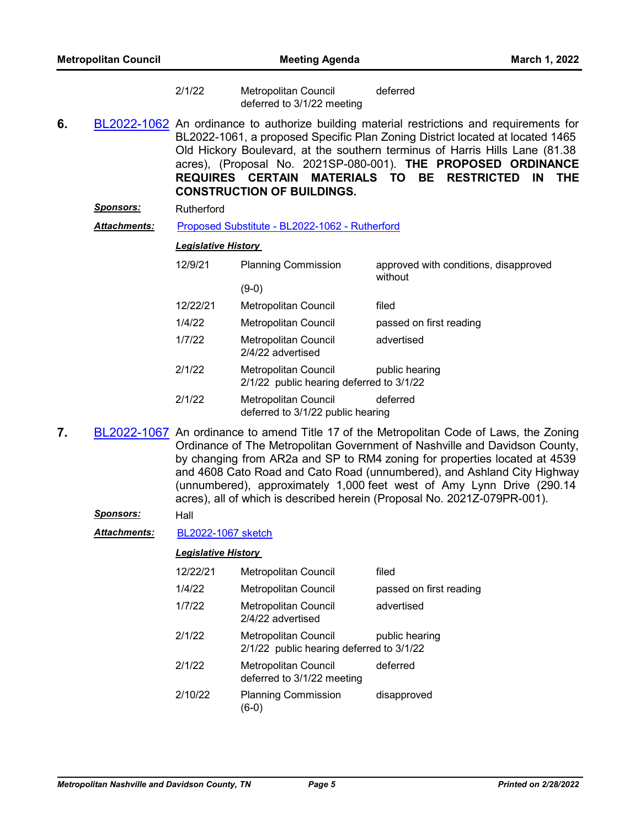| 2/1/22 | Metropolitan Council       | deferred |  |
|--------|----------------------------|----------|--|
|        | deferred to 3/1/22 meeting |          |  |

**6.** [BL2022-1062](http://nashville.legistar.com/gateway.aspx?m=l&id=/matter.aspx?key=13969) An ordinance to authorize building material restrictions and requirements for BL2022-1061, a proposed Specific Plan Zoning District located at located 1465 Old Hickory Boulevard, at the southern terminus of Harris Hills Lane (81.38 acres), (Proposal No. 2021SP-080-001). **THE PROPOSED ORDINANCE REQUIRES CERTAIN MATERIALS TO BE RESTRICTED IN THE CONSTRUCTION OF BUILDINGS.**

**Sponsors:** Rutherford

*Attachments:* [Proposed Substitute - BL2022-1062 - Rutherford](http://nashville.legistar.com/gateway.aspx?M=F&ID=8023b7f1-1b0a-4c29-8730-f743e6bd6913.docx)

#### *Legislative History*

| 12/9/21  | <b>Planning Commission</b>                                       | approved with conditions, disapproved<br>without |
|----------|------------------------------------------------------------------|--------------------------------------------------|
|          | (9-0)                                                            |                                                  |
| 12/22/21 | Metropolitan Council                                             | filed                                            |
| 1/4/22   | <b>Metropolitan Council</b>                                      | passed on first reading                          |
| 1/7/22   | <b>Metropolitan Council</b><br>2/4/22 advertised                 | advertised                                       |
| 2/1/22   | Metropolitan Council<br>2/1/22 public hearing deferred to 3/1/22 | public hearing                                   |
| 2/1/22   | <b>Metropolitan Council</b><br>deferred to 3/1/22 public hearing | deferred                                         |

**7.** [BL2022-1067](http://nashville.legistar.com/gateway.aspx?m=l&id=/matter.aspx?key=13999) An ordinance to amend Title 17 of the Metropolitan Code of Laws, the Zoning Ordinance of The Metropolitan Government of Nashville and Davidson County, by changing from AR2a and SP to RM4 zoning for properties located at 4539 and 4608 Cato Road and Cato Road (unnumbered), and Ashland City Highway (unnumbered), approximately 1,000 feet west of Amy Lynn Drive (290.14 acres), all of which is described herein (Proposal No. 2021Z-079PR-001).

*Sponsors:* Hall

*Attachments:* [BL2022-1067 sketch](http://nashville.legistar.com/gateway.aspx?M=F&ID=f044035b-4a53-4679-ba09-471e73d3f31a.docx)

| 12/22/21 | <b>Metropolitan Council</b>                                             | filed                   |
|----------|-------------------------------------------------------------------------|-------------------------|
| 1/4/22   | <b>Metropolitan Council</b>                                             | passed on first reading |
| 1/7/22   | <b>Metropolitan Council</b><br>2/4/22 advertised                        | advertised              |
| 2/1/22   | <b>Metropolitan Council</b><br>2/1/22 public hearing deferred to 3/1/22 | public hearing          |
| 2/1/22   | <b>Metropolitan Council</b><br>deferred to 3/1/22 meeting               | deferred                |
| 2/10/22  | <b>Planning Commission</b><br>(6-0                                      | disapproved             |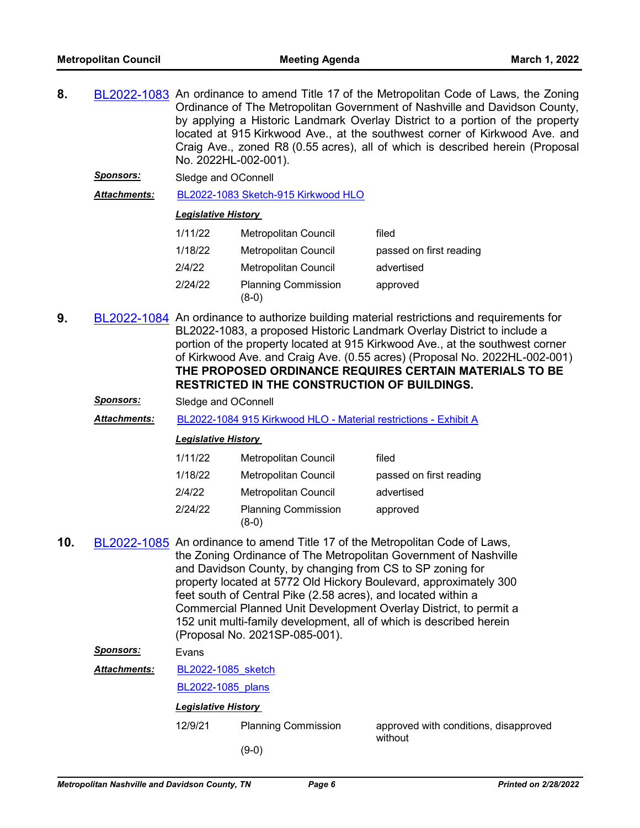- **8.** [BL2022-1083](http://nashville.legistar.com/gateway.aspx?m=l&id=/matter.aspx?key=14045) An ordinance to amend Title 17 of the Metropolitan Code of Laws, the Zoning Ordinance of The Metropolitan Government of Nashville and Davidson County, by applying a Historic Landmark Overlay District to a portion of the property located at 915 Kirkwood Ave., at the southwest corner of Kirkwood Ave. and Craig Ave., zoned R8 (0.55 acres), all of which is described herein (Proposal No. 2022HL-002-001).
	- *Sponsors:* Sledge and OConnell

*Attachments:* [BL2022-1083 Sketch-915 Kirkwood HLO](http://nashville.legistar.com/gateway.aspx?M=F&ID=0e14e9a5-9932-41dc-a075-f3889f45fb2d.docx)

#### *Legislative History*

| 1/11/22 | Metropolitan Council                | filed                   |
|---------|-------------------------------------|-------------------------|
| 1/18/22 | Metropolitan Council                | passed on first reading |
| 2/4/22  | Metropolitan Council                | advertised              |
| 2/24/22 | <b>Planning Commission</b><br>(8-0) | approved                |

- **9.** [BL2022-1084](http://nashville.legistar.com/gateway.aspx?m=l&id=/matter.aspx?key=14046) An ordinance to authorize building material restrictions and requirements for BL2022-1083, a proposed Historic Landmark Overlay District to include a portion of the property located at 915 Kirkwood Ave., at the southwest corner of Kirkwood Ave. and Craig Ave. (0.55 acres) (Proposal No. 2022HL-002-001) **THE PROPOSED ORDINANCE REQUIRES CERTAIN MATERIALS TO BE RESTRICTED IN THE CONSTRUCTION OF BUILDINGS.**
	- *Sponsors:* Sledge and OConnell

*Attachments:* [BL2022-1084 915 Kirkwood HLO - Material restrictions - Exhibit A](http://nashville.legistar.com/gateway.aspx?M=F&ID=c3e70751-5d78-4eb7-a54e-4a40c07b2e73.pdf)

#### *Legislative History*

| 1/11/22 | Metropolitan Council                | filed                   |
|---------|-------------------------------------|-------------------------|
| 1/18/22 | Metropolitan Council                | passed on first reading |
| 2/4/22  | Metropolitan Council                | advertised              |
| 2/24/22 | <b>Planning Commission</b><br>(8-0) | approved                |

**10.** [BL2022-1085](http://nashville.legistar.com/gateway.aspx?m=l&id=/matter.aspx?key=13973) An ordinance to amend Title 17 of the Metropolitan Code of Laws, the Zoning Ordinance of The Metropolitan Government of Nashville and Davidson County, by changing from CS to SP zoning for property located at 5772 Old Hickory Boulevard, approximately 300 feet south of Central Pike (2.58 acres), and located within a Commercial Planned Unit Development Overlay District, to permit a 152 unit multi-family development, all of which is described herein (Proposal No. 2021SP-085-001).

#### *Sponsors:* Evans

[BL2022-1085\\_sketch](http://nashville.legistar.com/gateway.aspx?M=F&ID=68f2494a-e8e8-4770-bc22-7b8efbfaacf4.docx) *Attachments:*

#### [BL2022-1085\\_plans](http://nashville.legistar.com/gateway.aspx?M=F&ID=73de16cb-c0da-492f-ab95-bf7e6932fd3b.pdf)

- 12/9/21 Planning Commission approved with conditions, disapproved without
	- (9-0)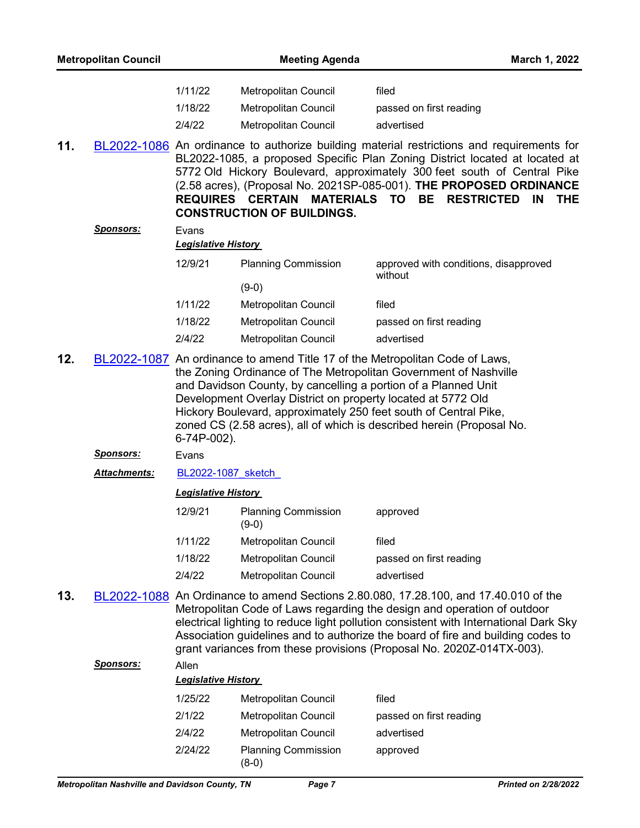| <b>Metropolitan Council</b> |                     | <b>Meeting Agenda</b>      |                                                                    | March 1, 2022                                                                                                                                                                                                                                                                                                                                                                                           |
|-----------------------------|---------------------|----------------------------|--------------------------------------------------------------------|---------------------------------------------------------------------------------------------------------------------------------------------------------------------------------------------------------------------------------------------------------------------------------------------------------------------------------------------------------------------------------------------------------|
|                             |                     | 1/11/22                    | Metropolitan Council                                               | filed                                                                                                                                                                                                                                                                                                                                                                                                   |
|                             |                     | 1/18/22                    | <b>Metropolitan Council</b>                                        | passed on first reading                                                                                                                                                                                                                                                                                                                                                                                 |
|                             |                     | 2/4/22                     | <b>Metropolitan Council</b>                                        | advertised                                                                                                                                                                                                                                                                                                                                                                                              |
| 11.                         |                     |                            | REQUIRES CERTAIN MATERIALS TO<br><b>CONSTRUCTION OF BUILDINGS.</b> | BL2022-1086 An ordinance to authorize building material restrictions and requirements for<br>BL2022-1085, a proposed Specific Plan Zoning District located at located at<br>5772 Old Hickory Boulevard, approximately 300 feet south of Central Pike<br>(2.58 acres), (Proposal No. 2021SP-085-001). THE PROPOSED ORDINANCE<br><b>BE</b><br><b>RESTRICTED IN</b><br><b>THE</b>                          |
|                             | <u>Sponsors:</u>    | Evans                      |                                                                    |                                                                                                                                                                                                                                                                                                                                                                                                         |
|                             |                     | <b>Legislative History</b> |                                                                    |                                                                                                                                                                                                                                                                                                                                                                                                         |
|                             |                     | 12/9/21                    | <b>Planning Commission</b>                                         | approved with conditions, disapproved<br>without                                                                                                                                                                                                                                                                                                                                                        |
|                             |                     |                            | $(9-0)$                                                            |                                                                                                                                                                                                                                                                                                                                                                                                         |
|                             |                     | 1/11/22                    | Metropolitan Council                                               | filed                                                                                                                                                                                                                                                                                                                                                                                                   |
|                             |                     | 1/18/22                    | <b>Metropolitan Council</b>                                        | passed on first reading                                                                                                                                                                                                                                                                                                                                                                                 |
|                             |                     | 2/4/22                     | <b>Metropolitan Council</b>                                        | advertised                                                                                                                                                                                                                                                                                                                                                                                              |
| 12.                         |                     | 6-74P-002).                | Development Overlay District on property located at 5772 Old       | BL2022-1087 An ordinance to amend Title 17 of the Metropolitan Code of Laws,<br>the Zoning Ordinance of The Metropolitan Government of Nashville<br>and Davidson County, by cancelling a portion of a Planned Unit<br>Hickory Boulevard, approximately 250 feet south of Central Pike,<br>zoned CS (2.58 acres), all of which is described herein (Proposal No.                                         |
|                             | <u>Sponsors:</u>    | Evans                      |                                                                    |                                                                                                                                                                                                                                                                                                                                                                                                         |
|                             | <b>Attachments:</b> | BL2022-1087 sketch         |                                                                    |                                                                                                                                                                                                                                                                                                                                                                                                         |
|                             |                     | <b>Legislative History</b> |                                                                    |                                                                                                                                                                                                                                                                                                                                                                                                         |
|                             |                     | 12/9/21                    | <b>Planning Commission</b><br>$(9-0)$                              | approved                                                                                                                                                                                                                                                                                                                                                                                                |
|                             |                     | 1/11/22                    | Metropolitan Council                                               | filed                                                                                                                                                                                                                                                                                                                                                                                                   |
|                             |                     | 1/18/22                    | Metropolitan Council                                               | passed on first reading                                                                                                                                                                                                                                                                                                                                                                                 |
|                             |                     | 2/4/22                     | Metropolitan Council                                               | advertised                                                                                                                                                                                                                                                                                                                                                                                              |
| 13.                         | BL2022-1088         |                            |                                                                    | An Ordinance to amend Sections 2.80.080, 17.28.100, and 17.40.010 of the<br>Metropolitan Code of Laws regarding the design and operation of outdoor<br>electrical lighting to reduce light pollution consistent with International Dark Sky<br>Association guidelines and to authorize the board of fire and building codes to<br>grant variances from these provisions (Proposal No. 2020Z-014TX-003). |
|                             | <u>Sponsors:</u>    | Allen                      |                                                                    |                                                                                                                                                                                                                                                                                                                                                                                                         |
|                             |                     | <b>Legislative History</b> |                                                                    |                                                                                                                                                                                                                                                                                                                                                                                                         |
|                             |                     | 1/25/22                    | Metropolitan Council                                               | filed                                                                                                                                                                                                                                                                                                                                                                                                   |
|                             |                     | 2/1/22                     | Metropolitan Council                                               | passed on first reading                                                                                                                                                                                                                                                                                                                                                                                 |
|                             |                     | 2/4/22                     | Metropolitan Council                                               | advertised                                                                                                                                                                                                                                                                                                                                                                                              |
|                             |                     | 2/24/22                    | <b>Planning Commission</b>                                         | approved                                                                                                                                                                                                                                                                                                                                                                                                |

(8-0)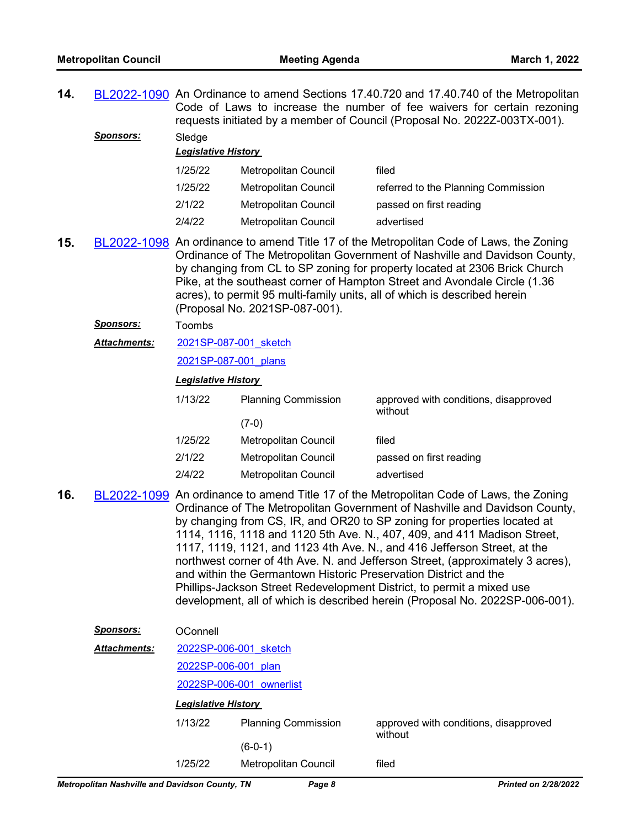**14.** [BL2022-1090](http://nashville.legistar.com/gateway.aspx?m=l&id=/matter.aspx?key=14106) An Ordinance to amend Sections 17.40.720 and 17.40.740 of the Metropolitan Code of Laws to increase the number of fee waivers for certain rezoning requests initiated by a member of Council (Proposal No. 2022Z-003TX-001). Sponsors: Sledge

| - - - - - -<br><b>Legislative History</b> |                             |                                     |  |
|-------------------------------------------|-----------------------------|-------------------------------------|--|
| 1/25/22                                   | Metropolitan Council        | filed                               |  |
| 1/25/22                                   | Metropolitan Council        | referred to the Planning Commission |  |
| 2/1/22                                    | Metropolitan Council        | passed on first reading             |  |
| 2/4/22                                    | <b>Metropolitan Council</b> | advertised                          |  |
|                                           |                             |                                     |  |

**15.** [BL2022-1098](http://nashville.legistar.com/gateway.aspx?m=l&id=/matter.aspx?key=14087) An ordinance to amend Title 17 of the Metropolitan Code of Laws, the Zoning Ordinance of The Metropolitan Government of Nashville and Davidson County, by changing from CL to SP zoning for property located at 2306 Brick Church Pike, at the southeast corner of Hampton Street and Avondale Circle (1.36 acres), to permit 95 multi-family units, all of which is described herein (Proposal No. 2021SP-087-001).

#### *Sponsors:* Toombs

[2021SP-087-001\\_sketch](http://nashville.legistar.com/gateway.aspx?M=F&ID=99dbc9c9-9380-4b74-97a6-a8f6c9118bb2.docx) *Attachments:*

[2021SP-087-001\\_plans](http://nashville.legistar.com/gateway.aspx?M=F&ID=9b58f1b3-6494-44f0-8032-32d1216d6f4d.pdf)

#### *Legislative History*

| 1/13/22 | <b>Planning Commission</b> | approved with conditions, disapproved<br>without |
|---------|----------------------------|--------------------------------------------------|
|         | (7-0)                      |                                                  |
| 1/25/22 | Metropolitan Council       | filed                                            |
| 2/1/22  | Metropolitan Council       | passed on first reading                          |
| 2/4/22  | Metropolitan Council       | advertised                                       |

**16.** [BL2022-1099](http://nashville.legistar.com/gateway.aspx?m=l&id=/matter.aspx?key=14092) An ordinance to amend Title 17 of the Metropolitan Code of Laws, the Zoning Ordinance of The Metropolitan Government of Nashville and Davidson County, by changing from CS, IR, and OR20 to SP zoning for properties located at 1114, 1116, 1118 and 1120 5th Ave. N., 407, 409, and 411 Madison Street, 1117, 1119, 1121, and 1123 4th Ave. N., and 416 Jefferson Street, at the northwest corner of 4th Ave. N. and Jefferson Street, (approximately 3 acres), and within the Germantown Historic Preservation District and the Phillips-Jackson Street Redevelopment District, to permit a mixed use development, all of which is described herein (Proposal No. 2022SP-006-001).

| <b>Sponsors:</b>                             | <b>OConnell</b>          |                            |                                       |
|----------------------------------------------|--------------------------|----------------------------|---------------------------------------|
| <b>Attachments:</b><br>2022SP-006-001 sketch |                          |                            |                                       |
|                                              | 2022SP-006-001 plan      |                            |                                       |
|                                              | 2022SP-006-001 ownerlist |                            |                                       |
| <b>Legislative History</b>                   |                          |                            |                                       |
|                                              | 1/13/22                  | <b>Planning Commission</b> | approved with conditions, disapproved |
|                                              |                          | $(6-0-1)$                  | without                               |
|                                              | 1/25/22                  | Metropolitan Council       | filed                                 |
|                                              |                          |                            |                                       |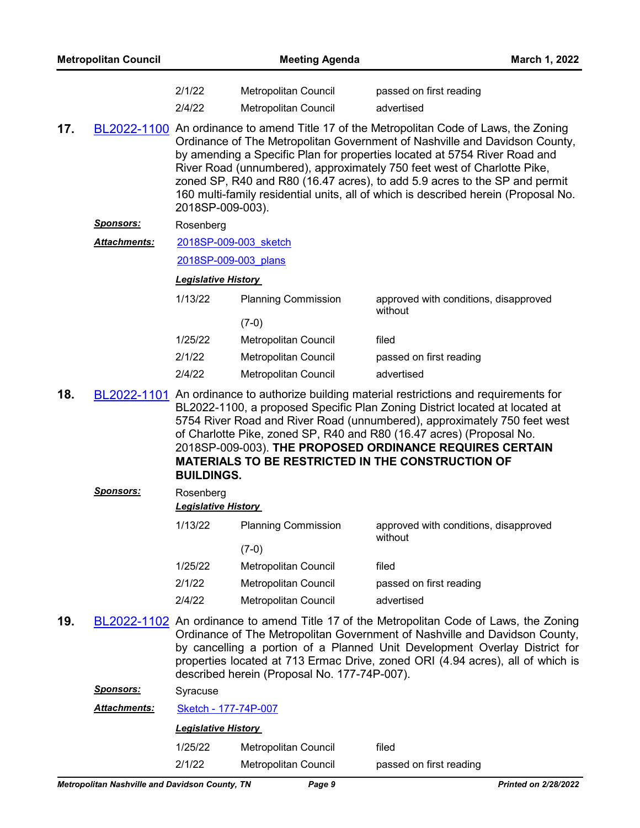| <b>Metropolitan Council</b> |                  | <b>Meeting Agenda</b>      |                                                                                                                                                                                                                                                                                                                                                                                                                                                                                                   | March 1, 2022                                    |  |
|-----------------------------|------------------|----------------------------|---------------------------------------------------------------------------------------------------------------------------------------------------------------------------------------------------------------------------------------------------------------------------------------------------------------------------------------------------------------------------------------------------------------------------------------------------------------------------------------------------|--------------------------------------------------|--|
|                             |                  | 2/1/22                     | <b>Metropolitan Council</b>                                                                                                                                                                                                                                                                                                                                                                                                                                                                       | passed on first reading                          |  |
|                             |                  | 2/4/22                     | Metropolitan Council                                                                                                                                                                                                                                                                                                                                                                                                                                                                              | advertised                                       |  |
| 17.                         |                  | 2018SP-009-003).           | BL2022-1100 An ordinance to amend Title 17 of the Metropolitan Code of Laws, the Zoning<br>Ordinance of The Metropolitan Government of Nashville and Davidson County,<br>by amending a Specific Plan for properties located at 5754 River Road and<br>River Road (unnumbered), approximately 750 feet west of Charlotte Pike,<br>zoned SP, R40 and R80 (16.47 acres), to add 5.9 acres to the SP and permit<br>160 multi-family residential units, all of which is described herein (Proposal No. |                                                  |  |
|                             | <u>Sponsors:</u> | Rosenberg                  |                                                                                                                                                                                                                                                                                                                                                                                                                                                                                                   |                                                  |  |
|                             | Attachments:     | 2018SP-009-003 sketch      |                                                                                                                                                                                                                                                                                                                                                                                                                                                                                                   |                                                  |  |
|                             |                  | 2018SP-009-003 plans       |                                                                                                                                                                                                                                                                                                                                                                                                                                                                                                   |                                                  |  |
|                             |                  | <b>Legislative History</b> |                                                                                                                                                                                                                                                                                                                                                                                                                                                                                                   |                                                  |  |
|                             |                  | 1/13/22                    | <b>Planning Commission</b>                                                                                                                                                                                                                                                                                                                                                                                                                                                                        | approved with conditions, disapproved<br>without |  |
|                             |                  |                            | $(7-0)$                                                                                                                                                                                                                                                                                                                                                                                                                                                                                           |                                                  |  |
|                             |                  | 1/25/22                    | Metropolitan Council                                                                                                                                                                                                                                                                                                                                                                                                                                                                              | filed                                            |  |
|                             |                  | 2/1/22                     | Metropolitan Council                                                                                                                                                                                                                                                                                                                                                                                                                                                                              | passed on first reading                          |  |
|                             |                  | 2/4/22                     | Metropolitan Council                                                                                                                                                                                                                                                                                                                                                                                                                                                                              | advertised                                       |  |
| 18.                         |                  | <b>BUILDINGS.</b>          | BL2022-1101 An ordinance to authorize building material restrictions and requirements for<br>BL2022-1100, a proposed Specific Plan Zoning District located at located at<br>5754 River Road and River Road (unnumbered), approximately 750 feet west<br>of Charlotte Pike, zoned SP, R40 and R80 (16.47 acres) (Proposal No.<br>2018SP-009-003). THE PROPOSED ORDINANCE REQUIRES CERTAIN<br><b>MATERIALS TO BE RESTRICTED IN THE CONSTRUCTION OF</b>                                              |                                                  |  |
|                             | <b>Sponsors:</b> | Rosenberg                  |                                                                                                                                                                                                                                                                                                                                                                                                                                                                                                   |                                                  |  |
|                             |                  | <b>Legislative History</b> |                                                                                                                                                                                                                                                                                                                                                                                                                                                                                                   |                                                  |  |
|                             |                  | 1/13/22                    | <b>Planning Commission</b><br>$(7-0)$                                                                                                                                                                                                                                                                                                                                                                                                                                                             | approved with conditions, disapproved<br>without |  |
|                             |                  | 1/25/22                    | Metropolitan Council                                                                                                                                                                                                                                                                                                                                                                                                                                                                              | filed                                            |  |
|                             |                  | 2/1/22                     | Metropolitan Council                                                                                                                                                                                                                                                                                                                                                                                                                                                                              | passed on first reading                          |  |
|                             |                  | 2/4/22                     | Metropolitan Council                                                                                                                                                                                                                                                                                                                                                                                                                                                                              | advertised                                       |  |
| 19.                         |                  |                            | BL2022-1102 An ordinance to amend Title 17 of the Metropolitan Code of Laws, the Zoning<br>Ordinance of The Metropolitan Government of Nashville and Davidson County,<br>by cancelling a portion of a Planned Unit Development Overlay District for<br>properties located at 713 Ermac Drive, zoned ORI (4.94 acres), all of which is<br>described herein (Proposal No. 177-74P-007).                                                                                                             |                                                  |  |
|                             | <b>Sponsors:</b> | Syracuse                   |                                                                                                                                                                                                                                                                                                                                                                                                                                                                                                   |                                                  |  |
|                             | Attachments:     | Sketch - 177-74P-007       |                                                                                                                                                                                                                                                                                                                                                                                                                                                                                                   |                                                  |  |
|                             |                  | <b>Legislative History</b> |                                                                                                                                                                                                                                                                                                                                                                                                                                                                                                   |                                                  |  |
|                             |                  | 1/25/22                    | Metropolitan Council                                                                                                                                                                                                                                                                                                                                                                                                                                                                              | filed                                            |  |
|                             |                  | 2/1/22                     | Metropolitan Council                                                                                                                                                                                                                                                                                                                                                                                                                                                                              | passed on first reading                          |  |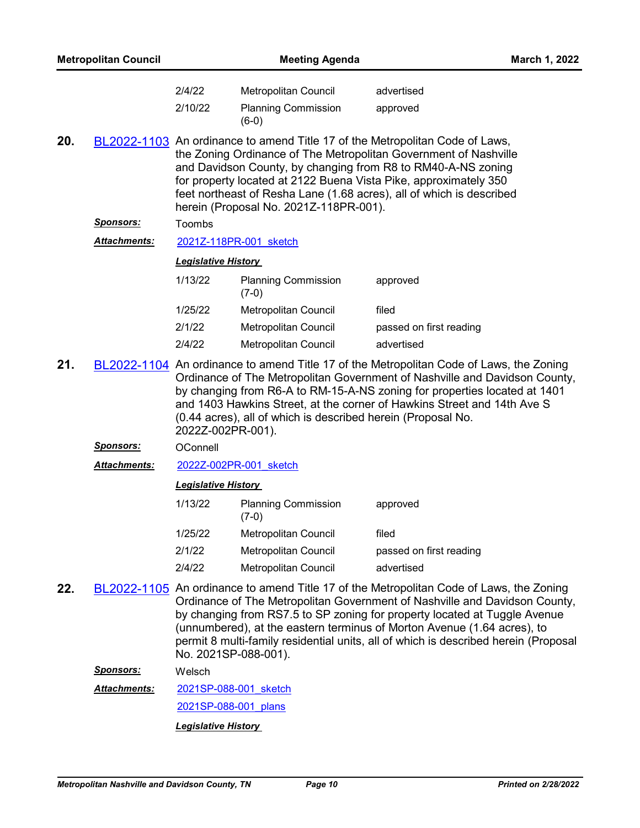| <b>Metropolitan Council</b>                                                                                                                                                                                                                                                                                                                                                                                               |                     | <b>Meeting Agenda</b>      |                                                                                                                                                                                                                                                                                                                                                                                                                      |                         | March 1, 2022 |
|---------------------------------------------------------------------------------------------------------------------------------------------------------------------------------------------------------------------------------------------------------------------------------------------------------------------------------------------------------------------------------------------------------------------------|---------------------|----------------------------|----------------------------------------------------------------------------------------------------------------------------------------------------------------------------------------------------------------------------------------------------------------------------------------------------------------------------------------------------------------------------------------------------------------------|-------------------------|---------------|
|                                                                                                                                                                                                                                                                                                                                                                                                                           |                     | 2/4/22                     | Metropolitan Council                                                                                                                                                                                                                                                                                                                                                                                                 | advertised              |               |
|                                                                                                                                                                                                                                                                                                                                                                                                                           |                     | 2/10/22                    | <b>Planning Commission</b><br>$(6-0)$                                                                                                                                                                                                                                                                                                                                                                                | approved                |               |
| 20.<br>BL2022-1103 An ordinance to amend Title 17 of the Metropolitan Code of Laws,<br>the Zoning Ordinance of The Metropolitan Government of Nashville<br>and Davidson County, by changing from R8 to RM40-A-NS zoning<br>for property located at 2122 Buena Vista Pike, approximately 350<br>feet northeast of Resha Lane (1.68 acres), all of which is described<br>herein (Proposal No. 2021Z-118PR-001).             |                     |                            |                                                                                                                                                                                                                                                                                                                                                                                                                      |                         |               |
|                                                                                                                                                                                                                                                                                                                                                                                                                           | <u>Sponsors:</u>    | Toombs                     |                                                                                                                                                                                                                                                                                                                                                                                                                      |                         |               |
|                                                                                                                                                                                                                                                                                                                                                                                                                           | <u>Attachments:</u> |                            | 2021Z-118PR-001 sketch                                                                                                                                                                                                                                                                                                                                                                                               |                         |               |
|                                                                                                                                                                                                                                                                                                                                                                                                                           |                     | <b>Legislative History</b> |                                                                                                                                                                                                                                                                                                                                                                                                                      |                         |               |
|                                                                                                                                                                                                                                                                                                                                                                                                                           |                     | 1/13/22                    | <b>Planning Commission</b><br>$(7-0)$                                                                                                                                                                                                                                                                                                                                                                                | approved                |               |
|                                                                                                                                                                                                                                                                                                                                                                                                                           |                     | 1/25/22                    | Metropolitan Council                                                                                                                                                                                                                                                                                                                                                                                                 | filed                   |               |
|                                                                                                                                                                                                                                                                                                                                                                                                                           |                     | 2/1/22                     | Metropolitan Council                                                                                                                                                                                                                                                                                                                                                                                                 | passed on first reading |               |
|                                                                                                                                                                                                                                                                                                                                                                                                                           |                     | 2/4/22                     | <b>Metropolitan Council</b>                                                                                                                                                                                                                                                                                                                                                                                          | advertised              |               |
| BL2022-1104 An ordinance to amend Title 17 of the Metropolitan Code of Laws, the Zoning<br>21.<br>Ordinance of The Metropolitan Government of Nashville and Davidson County,<br>by changing from R6-A to RM-15-A-NS zoning for properties located at 1401<br>and 1403 Hawkins Street, at the corner of Hawkins Street and 14th Ave S<br>(0.44 acres), all of which is described herein (Proposal No.<br>2022Z-002PR-001). |                     |                            |                                                                                                                                                                                                                                                                                                                                                                                                                      |                         |               |
|                                                                                                                                                                                                                                                                                                                                                                                                                           | <u>Sponsors:</u>    | OConnell                   |                                                                                                                                                                                                                                                                                                                                                                                                                      |                         |               |
|                                                                                                                                                                                                                                                                                                                                                                                                                           | <b>Attachments:</b> |                            | 2022Z-002PR-001 sketch                                                                                                                                                                                                                                                                                                                                                                                               |                         |               |
|                                                                                                                                                                                                                                                                                                                                                                                                                           |                     | <b>Legislative History</b> |                                                                                                                                                                                                                                                                                                                                                                                                                      |                         |               |
|                                                                                                                                                                                                                                                                                                                                                                                                                           |                     | 1/13/22                    | <b>Planning Commission</b><br>$(7-0)$                                                                                                                                                                                                                                                                                                                                                                                | approved                |               |
|                                                                                                                                                                                                                                                                                                                                                                                                                           |                     | 1/25/22                    | Metropolitan Council                                                                                                                                                                                                                                                                                                                                                                                                 | filed                   |               |
|                                                                                                                                                                                                                                                                                                                                                                                                                           |                     | 2/1/22                     | Metropolitan Council                                                                                                                                                                                                                                                                                                                                                                                                 | passed on first reading |               |
|                                                                                                                                                                                                                                                                                                                                                                                                                           |                     | 2/4/22                     | Metropolitan Council                                                                                                                                                                                                                                                                                                                                                                                                 | advertised              |               |
| 22.                                                                                                                                                                                                                                                                                                                                                                                                                       |                     | No. 2021SP-088-001).       | BL2022-1105 An ordinance to amend Title 17 of the Metropolitan Code of Laws, the Zoning<br>Ordinance of The Metropolitan Government of Nashville and Davidson County,<br>by changing from RS7.5 to SP zoning for property located at Tuggle Avenue<br>(unnumbered), at the eastern terminus of Morton Avenue (1.64 acres), to<br>permit 8 multi-family residential units, all of which is described herein (Proposal |                         |               |
| <u>Sponsors:</u><br>Welsch                                                                                                                                                                                                                                                                                                                                                                                                |                     |                            |                                                                                                                                                                                                                                                                                                                                                                                                                      |                         |               |

[2021SP-088-001\\_sketch](http://nashville.legistar.com/gateway.aspx?M=F&ID=e507d7de-8015-446e-803c-6b2c4308db6a.docx) [2021SP-088-001\\_plans](http://nashville.legistar.com/gateway.aspx?M=F&ID=e1f5d123-91af-4bdc-8dc0-9ac87b9ee103.pdf) *Attachments:*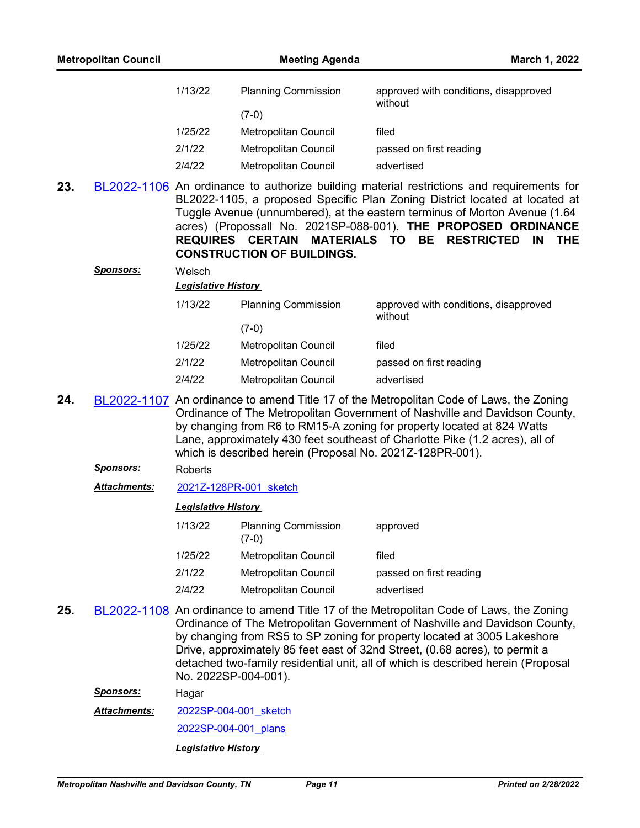| 1/13/22 | <b>Planning Commission</b> | approved with conditions, disapproved<br>without |
|---------|----------------------------|--------------------------------------------------|
|         | $(7-0)$                    |                                                  |
| 1/25/22 | Metropolitan Council       | filed                                            |
| 2/1/22  | Metropolitan Council       | passed on first reading                          |
| 2/4/22  | Metropolitan Council       | advertised                                       |

**23.** [BL2022-1106](http://nashville.legistar.com/gateway.aspx?m=l&id=/matter.aspx?key=14089) An ordinance to authorize building material restrictions and requirements for BL2022-1105, a proposed Specific Plan Zoning District located at located at Tuggle Avenue (unnumbered), at the eastern terminus of Morton Avenue (1.64 acres) (Propossall No. 2021SP-088-001). **THE PROPOSED ORDINANCE REQUIRES CERTAIN MATERIALS TO BE RESTRICTED IN THE CONSTRUCTION OF BUILDINGS.**

|         | <b>Legislative History</b>  |                                                  |  |  |
|---------|-----------------------------|--------------------------------------------------|--|--|
| 1/13/22 | <b>Planning Commission</b>  | approved with conditions, disapproved<br>without |  |  |
|         | $(7-0)$                     |                                                  |  |  |
| 1/25/22 | <b>Metropolitan Council</b> | filed                                            |  |  |
| 2/1/22  | Metropolitan Council        | passed on first reading                          |  |  |
| 2/4/22  | Metropolitan Council        | advertised                                       |  |  |

- **24.** [BL2022-1107](http://nashville.legistar.com/gateway.aspx?m=l&id=/matter.aspx?key=14075) An ordinance to amend Title 17 of the Metropolitan Code of Laws, the Zoning Ordinance of The Metropolitan Government of Nashville and Davidson County, by changing from R6 to RM15-A zoning for property located at 824 Watts Lane, approximately 430 feet southeast of Charlotte Pike (1.2 acres), all of which is described herein (Proposal No. 2021Z-128PR-001).
	- *Sponsors:* Roberts

*Sponsors:* Welsch

*Attachments:* [2021Z-128PR-001\\_sketch](http://nashville.legistar.com/gateway.aspx?M=F&ID=8c60a92b-bfa8-4c21-a926-e73449de3c35.docx)

#### *Legislative History*

| 1/13/22 | <b>Planning Commission</b><br>$(7-0)$ | approved                |
|---------|---------------------------------------|-------------------------|
| 1/25/22 | <b>Metropolitan Council</b>           | filed                   |
| 2/1/22  | <b>Metropolitan Council</b>           | passed on first reading |
| 2/4/22  | Metropolitan Council                  | advertised              |
|         |                                       |                         |

**25.** [BL2022-1108](http://nashville.legistar.com/gateway.aspx?m=l&id=/matter.aspx?key=14090) An ordinance to amend Title 17 of the Metropolitan Code of Laws, the Zoning Ordinance of The Metropolitan Government of Nashville and Davidson County, by changing from RS5 to SP zoning for property located at 3005 Lakeshore Drive, approximately 85 feet east of 32nd Street, (0.68 acres), to permit a detached two-family residential unit, all of which is described herein (Proposal No. 2022SP-004-001).

*Sponsors:* Hagar

[2022SP-004-001\\_sketch](http://nashville.legistar.com/gateway.aspx?M=F&ID=fc18a84f-c035-4fe7-b31e-a136687473a0.docx) *Attachments:*

2022SP-004-001 plans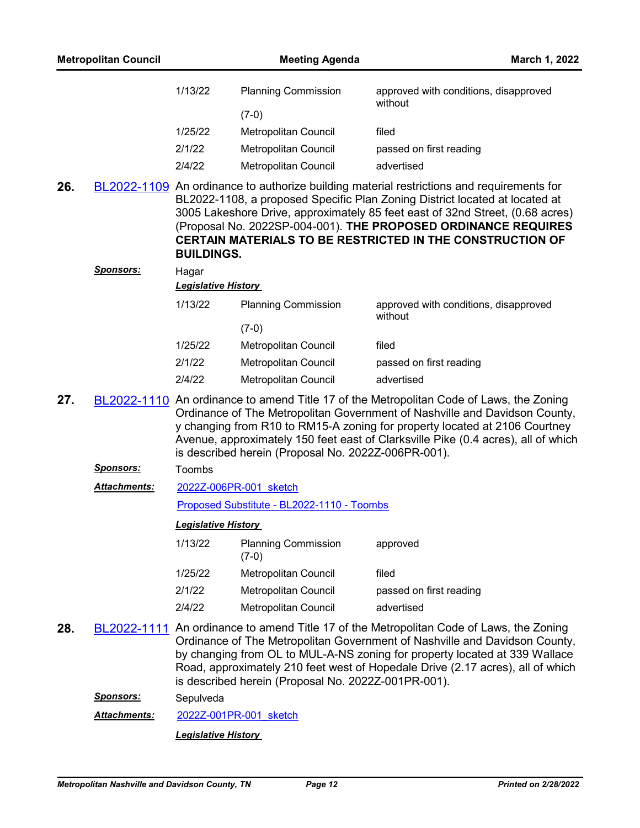| 1/13/22 | <b>Planning Commission</b> | approved with conditions, disapproved<br>without |
|---------|----------------------------|--------------------------------------------------|
|         | $(7-0)$                    |                                                  |
| 1/25/22 | Metropolitan Council       | filed                                            |
| 2/1/22  | Metropolitan Council       | passed on first reading                          |
| 2/4/22  | Metropolitan Council       | advertised                                       |

**26.** [BL2022-1109](http://nashville.legistar.com/gateway.aspx?m=l&id=/matter.aspx?key=14091) An ordinance to authorize building material restrictions and requirements for BL2022-1108, a proposed Specific Plan Zoning District located at located at 3005 Lakeshore Drive, approximately 85 feet east of 32nd Street, (0.68 acres) (Proposal No. 2022SP-004-001). **THE PROPOSED ORDINANCE REQUIRES CERTAIN MATERIALS TO BE RESTRICTED IN THE CONSTRUCTION OF BUILDINGS.**

| <b>Sponsors:</b> | Hagar<br><b>Legislative History</b> |                             |                                                  |  |  |
|------------------|-------------------------------------|-----------------------------|--------------------------------------------------|--|--|
|                  | 1/13/22                             | <b>Planning Commission</b>  | approved with conditions, disapproved<br>without |  |  |
|                  |                                     | (7-0)                       |                                                  |  |  |
|                  | 1/25/22                             | Metropolitan Council        | filed                                            |  |  |
|                  | 2/1/22                              | Metropolitan Council        | passed on first reading                          |  |  |
|                  | 2/4/22                              | <b>Metropolitan Council</b> | advertised                                       |  |  |

- **27.** [BL2022-1110](http://nashville.legistar.com/gateway.aspx?m=l&id=/matter.aspx?key=14079) An ordinance to amend Title 17 of the Metropolitan Code of Laws, the Zoning Ordinance of The Metropolitan Government of Nashville and Davidson County, y changing from R10 to RM15-A zoning for property located at 2106 Courtney Avenue, approximately 150 feet east of Clarksville Pike (0.4 acres), all of which is described herein (Proposal No. 2022Z-006PR-001).
	- *Sponsors:* Toombs
	- [2022Z-006PR-001\\_sketch](http://nashville.legistar.com/gateway.aspx?M=F&ID=102aa1c3-7baf-46b6-9a84-e55639e4d026.docx) *Attachments:*

[Proposed Substitute - BL2022-1110 - Toombs](http://nashville.legistar.com/gateway.aspx?M=F&ID=4a8e160c-fe4c-4950-80ad-4cf388f5dc02.docx)

#### *Legislative History*

| 1/13/22 | <b>Planning Commission</b><br>$(7-0)$ | approved                |
|---------|---------------------------------------|-------------------------|
| 1/25/22 | <b>Metropolitan Council</b>           | filed                   |
| 2/1/22  | <b>Metropolitan Council</b>           | passed on first reading |
| 2/4/22  | <b>Metropolitan Council</b>           | advertised              |

**28.** [BL2022-1111](http://nashville.legistar.com/gateway.aspx?m=l&id=/matter.aspx?key=14076) An ordinance to amend Title 17 of the Metropolitan Code of Laws, the Zoning Ordinance of The Metropolitan Government of Nashville and Davidson County, by changing from OL to MUL-A-NS zoning for property located at 339 Wallace Road, approximately 210 feet west of Hopedale Drive (2.17 acres), all of which is described herein (Proposal No. 2022Z-001PR-001).

*Sponsors:* Sepulveda

*Attachments:* [2022Z-001PR-001\\_sketch](http://nashville.legistar.com/gateway.aspx?M=F&ID=b72eeb8a-943a-41a4-bb85-588d58a32f68.docx)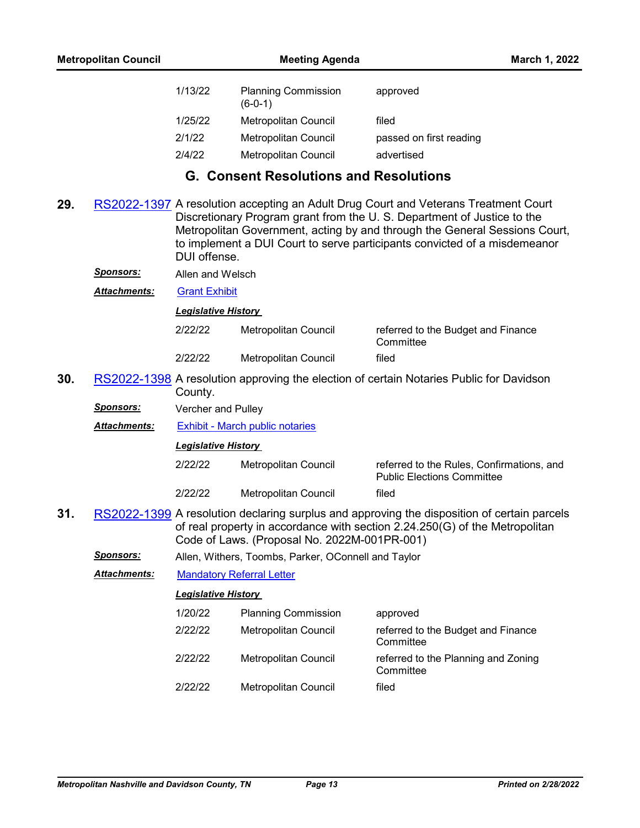| 1/13/22 | <b>Planning Commission</b><br>$(6-0-1)$ | approved                |
|---------|-----------------------------------------|-------------------------|
| 1/25/22 | Metropolitan Council                    | filed                   |
| 2/1/22  | <b>Metropolitan Council</b>             | passed on first reading |
| 2/4/22  | Metropolitan Council                    | advertised              |

# **G. Consent Resolutions and Resolutions**

**29.** [RS2022-1397](http://nashville.legistar.com/gateway.aspx?m=l&id=/matter.aspx?key=14152) A resolution accepting an Adult Drug Court and Veterans Treatment Court Discretionary Program grant from the U. S. Department of Justice to the Metropolitan Government, acting by and through the General Sessions Court, to implement a DUI Court to serve participants convicted of a misdemeanor DUI offense.

*Sponsors:* Allen and Welsch

*Attachments:* [Grant Exhibit](http://nashville.legistar.com/gateway.aspx?M=F&ID=35e9558f-8202-45d7-9299-ff77c9e515f1.pdf)

*Legislative History* 

| 2/22/22 | Metropolitan Council | referred to the Budget and Finance<br>Committee |
|---------|----------------------|-------------------------------------------------|
| 2/22/22 | Metropolitan Council | filed                                           |

- **30.** [RS2022-1398](http://nashville.legistar.com/gateway.aspx?m=l&id=/matter.aspx?key=14212) A resolution approving the election of certain Notaries Public for Davidson County.
	- *Sponsors:* Vercher and Pulley
	- *Attachments:* [Exhibit March public notaries](http://nashville.legistar.com/gateway.aspx?M=F&ID=5375c080-5e66-4aae-8724-399b0e886f6e.xlsx)

*Legislative History* 

- 2/22/22 Metropolitan Council referred to the Rules, Confirmations, and Public Elections Committee 2/22/22 Metropolitan Council filed
- **31.** [RS2022-1399](http://nashville.legistar.com/gateway.aspx?m=l&id=/matter.aspx?key=14148) A resolution declaring surplus and approving the disposition of certain parcels of real property in accordance with section 2.24.250(G) of the Metropolitan Code of Laws. (Proposal No. 2022M-001PR-001)
	- *Sponsors:* Allen, Withers, Toombs, Parker, OConnell and Taylor

*Attachments:* [Mandatory Referral Letter](http://nashville.legistar.com/gateway.aspx?M=F&ID=05b60d78-9649-425c-a30b-c73b98a418c7.pdf)

| 1/20/22 | <b>Planning Commission</b>  | approved                                         |
|---------|-----------------------------|--------------------------------------------------|
| 2/22/22 | Metropolitan Council        | referred to the Budget and Finance<br>Committee  |
| 2/22/22 | <b>Metropolitan Council</b> | referred to the Planning and Zoning<br>Committee |
| 2/22/22 | <b>Metropolitan Council</b> | filed                                            |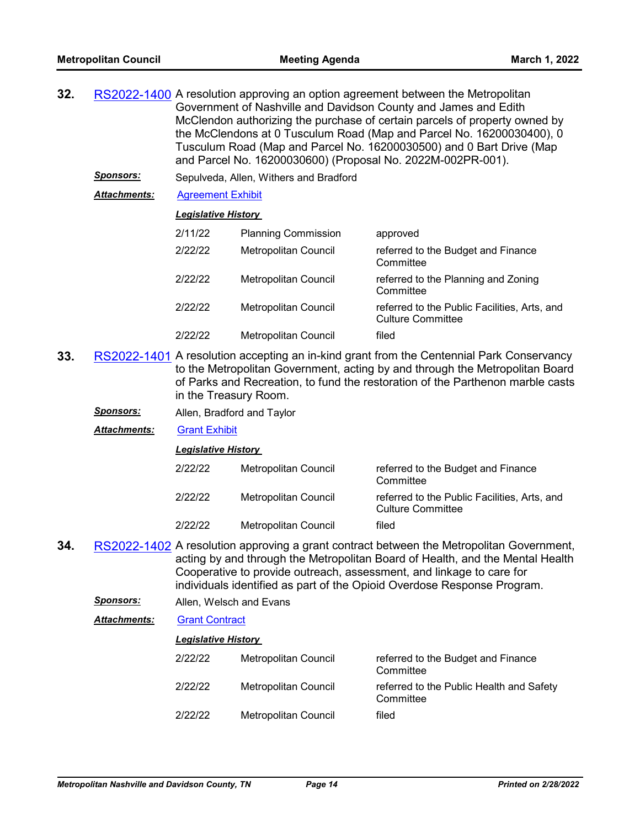- **32.** [RS2022-1400](http://nashville.legistar.com/gateway.aspx?m=l&id=/matter.aspx?key=14177) A resolution approving an option agreement between the Metropolitan Government of Nashville and Davidson County and James and Edith McClendon authorizing the purchase of certain parcels of property owned by the McClendons at 0 Tusculum Road (Map and Parcel No. 16200030400), 0 Tusculum Road (Map and Parcel No. 16200030500) and 0 Bart Drive (Map and Parcel No. 16200030600) (Proposal No. 2022M-002PR-001).
	- *Sponsors:* Sepulveda, Allen, Withers and Bradford

*Attachments:* [Agreement Exhibit](http://nashville.legistar.com/gateway.aspx?M=F&ID=669e5f4f-2f55-4220-9354-a46296294a55.pdf)

#### *Legislative History*

|         | <b>Planning Commission</b> | approved                                                                 |
|---------|----------------------------|--------------------------------------------------------------------------|
| 2/11/22 |                            |                                                                          |
| 2/22/22 | Metropolitan Council       | referred to the Budget and Finance<br>Committee                          |
| 2/22/22 | Metropolitan Council       | referred to the Planning and Zoning<br>Committee                         |
| 2/22/22 | Metropolitan Council       | referred to the Public Facilities, Arts, and<br><b>Culture Committee</b> |
| 2/22/22 | Metropolitan Council       | filed                                                                    |

**33.** [RS2022-1401](http://nashville.legistar.com/gateway.aspx?m=l&id=/matter.aspx?key=14199) A resolution accepting an in-kind grant from the Centennial Park Conservancy to the Metropolitan Government, acting by and through the Metropolitan Board of Parks and Recreation, to fund the restoration of the Parthenon marble casts in the Treasury Room.

*Sponsors:* Allen, Bradford and Taylor

*Attachments:* [Grant Exhibit](http://nashville.legistar.com/gateway.aspx?M=F&ID=ae030c6b-5f5f-486e-9ae2-a1cbb5824623.pdf)

*Legislative History* 

| 2/22/22 | Metropolitan Council | referred to the Budget and Finance<br>Committee                          |
|---------|----------------------|--------------------------------------------------------------------------|
| 2/22/22 | Metropolitan Council | referred to the Public Facilities, Arts, and<br><b>Culture Committee</b> |
| 2/22/22 | Metropolitan Council | filed                                                                    |

- **34.** [RS2022-1402](http://nashville.legistar.com/gateway.aspx?m=l&id=/matter.aspx?key=14198) A resolution approving a grant contract between the Metropolitan Government, acting by and through the Metropolitan Board of Health, and the Mental Health Cooperative to provide outreach, assessment, and linkage to care for individuals identified as part of the Opioid Overdose Response Program.
	- *Sponsors:* Allen, Welsch and Evans
	- *Attachments:* [Grant Contract](http://nashville.legistar.com/gateway.aspx?M=F&ID=e2c66919-652e-4abc-9e50-f767c59dc039.pdf)

| 2/22/22 | Metropolitan Council | referred to the Budget and Finance<br>Committee       |
|---------|----------------------|-------------------------------------------------------|
| 2/22/22 | Metropolitan Council | referred to the Public Health and Safety<br>Committee |
| 2/22/22 | Metropolitan Council | filed                                                 |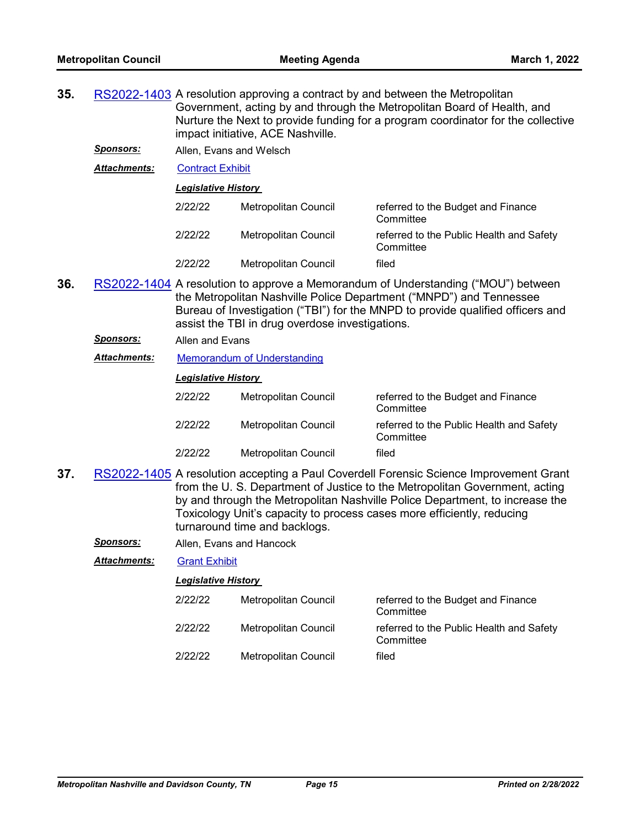- **35.** [RS2022-1403](http://nashville.legistar.com/gateway.aspx?m=l&id=/matter.aspx?key=14196) A resolution approving a contract by and between the Metropolitan Government, acting by and through the Metropolitan Board of Health, and Nurture the Next to provide funding for a program coordinator for the collective impact initiative, ACE Nashville.
	- *Sponsors:* Allen, Evans and Welsch
	- *Attachments:* [Contract Exhibit](http://nashville.legistar.com/gateway.aspx?M=F&ID=969ef08c-1c54-4a06-901f-2cf77c85ce5e.pdf)

| 2/22/22 | Metropolitan Council | referred to the Budget and Finance<br>Committee       |
|---------|----------------------|-------------------------------------------------------|
| 2/22/22 | Metropolitan Council | referred to the Public Health and Safety<br>Committee |
| 2/22/22 | Metropolitan Council | filed                                                 |

- **36.** [RS2022-1404](http://nashville.legistar.com/gateway.aspx?m=l&id=/matter.aspx?key=14150) A resolution to approve a Memorandum of Understanding ("MOU") between the Metropolitan Nashville Police Department ("MNPD") and Tennessee Bureau of Investigation ("TBI") for the MNPD to provide qualified officers and assist the TBI in drug overdose investigations.
	- *Sponsors:* Allen and Evans
	- *Attachments:* [Memorandum of Understanding](http://nashville.legistar.com/gateway.aspx?M=F&ID=6f2c7f9d-71ca-4eca-931a-f2a5f90f209c.pdf)

#### *Legislative History*

| 2/22/22 | Metropolitan Council        | referred to the Budget and Finance<br>Committee       |
|---------|-----------------------------|-------------------------------------------------------|
| 2/22/22 | Metropolitan Council        | referred to the Public Health and Safety<br>Committee |
| 2/22/22 | <b>Metropolitan Council</b> | filed                                                 |

- **37.** [RS2022-1405](http://nashville.legistar.com/gateway.aspx?m=l&id=/matter.aspx?key=14192) A resolution accepting a Paul Coverdell Forensic Science Improvement Grant from the U. S. Department of Justice to the Metropolitan Government, acting by and through the Metropolitan Nashville Police Department, to increase the Toxicology Unit's capacity to process cases more efficiently, reducing turnaround time and backlogs.
	- *Sponsors:* Allen, Evans and Hancock

*Attachments:* [Grant Exhibit](http://nashville.legistar.com/gateway.aspx?M=F&ID=db0f22c0-7cdf-4d44-8c64-7184237dddaa.pdf)

| 2/22/22 | Metropolitan Council | referred to the Budget and Finance<br>Committee       |
|---------|----------------------|-------------------------------------------------------|
| 2/22/22 | Metropolitan Council | referred to the Public Health and Safety<br>Committee |
| 2/22/22 | Metropolitan Council | filed                                                 |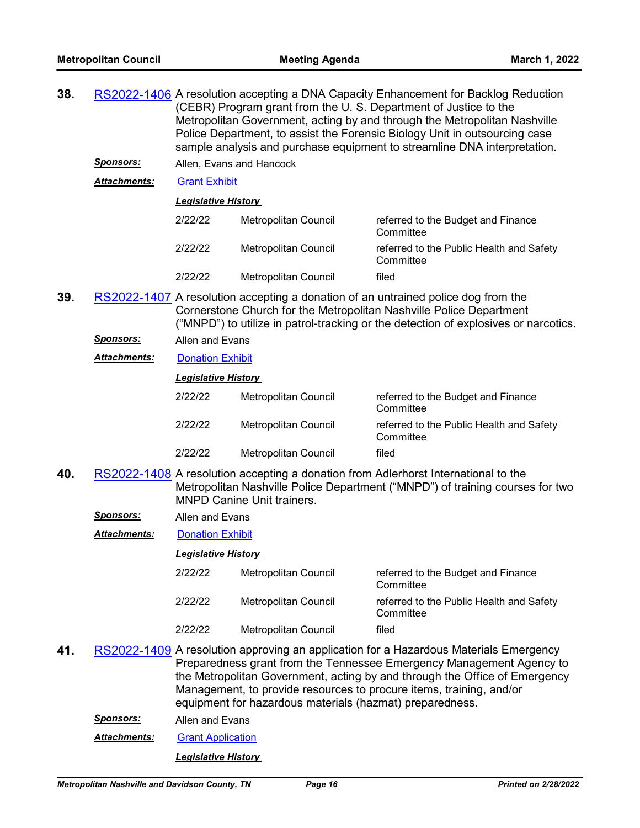- **38.** [RS2022-1406](http://nashville.legistar.com/gateway.aspx?m=l&id=/matter.aspx?key=14193) A resolution accepting a DNA Capacity Enhancement for Backlog Reduction (CEBR) Program grant from the U. S. Department of Justice to the Metropolitan Government, acting by and through the Metropolitan Nashville Police Department, to assist the Forensic Biology Unit in outsourcing case sample analysis and purchase equipment to streamline DNA interpretation. *Sponsors:* Allen, Evans and Hancock *Attachments:* [Grant Exhibit](http://nashville.legistar.com/gateway.aspx?M=F&ID=00744165-56d6-412f-83f1-7467469700a9.pdf) *Legislative History*  2/22/22 Metropolitan Council referred to the Budget and Finance **Committee** 2/22/22 Metropolitan Council referred to the Public Health and Safety **Committee** 2/22/22 Metropolitan Council filed
- **39.** [RS2022-1407](http://nashville.legistar.com/gateway.aspx?m=l&id=/matter.aspx?key=14161) A resolution accepting a donation of an untrained police dog from the Cornerstone Church for the Metropolitan Nashville Police Department ("MNPD") to utilize in patrol-tracking or the detection of explosives or narcotics.
	- *Sponsors:* Allen and Evans
	- *Attachments:* [Donation Exhibit](http://nashville.legistar.com/gateway.aspx?M=F&ID=54cf8ed9-4c38-4a6a-a654-7774c2f6acbb.pdf)

| 2/22/22 | Metropolitan Council | referred to the Budget and Finance<br>Committee       |
|---------|----------------------|-------------------------------------------------------|
| 2/22/22 | Metropolitan Council | referred to the Public Health and Safety<br>Committee |
| 2/22/22 | Metropolitan Council | filed                                                 |

**40.** [RS2022-1408](http://nashville.legistar.com/gateway.aspx?m=l&id=/matter.aspx?key=14162) A resolution accepting a donation from Adlerhorst International to the Metropolitan Nashville Police Department ("MNPD") of training courses for two MNPD Canine Unit trainers.

*Sponsors:* Allen and Evans

*Attachments:* [Donation Exhibit](http://nashville.legistar.com/gateway.aspx?M=F&ID=165fb087-bc22-497e-b8aa-562aba78e3ff.pdf)

#### *Legislative History*

- 2/22/22 Metropolitan Council referred to the Budget and Finance **Committee** 2/22/22 Metropolitan Council referred to the Public Health and Safety **Committee** 2/22/22 Metropolitan Council filed
- **41.** [RS2022-1409](http://nashville.legistar.com/gateway.aspx?m=l&id=/matter.aspx?key=14200) A resolution approving an application for a Hazardous Materials Emergency Preparedness grant from the Tennessee Emergency Management Agency to the Metropolitan Government, acting by and through the Office of Emergency Management, to provide resources to procure items, training, and/or equipment for hazardous materials (hazmat) preparedness.
	- *Sponsors:* Allen and Evans
	- *Attachments:* [Grant Application](http://nashville.legistar.com/gateway.aspx?M=F&ID=fb3b343f-065e-4211-818e-dd440b5c301e.pdf)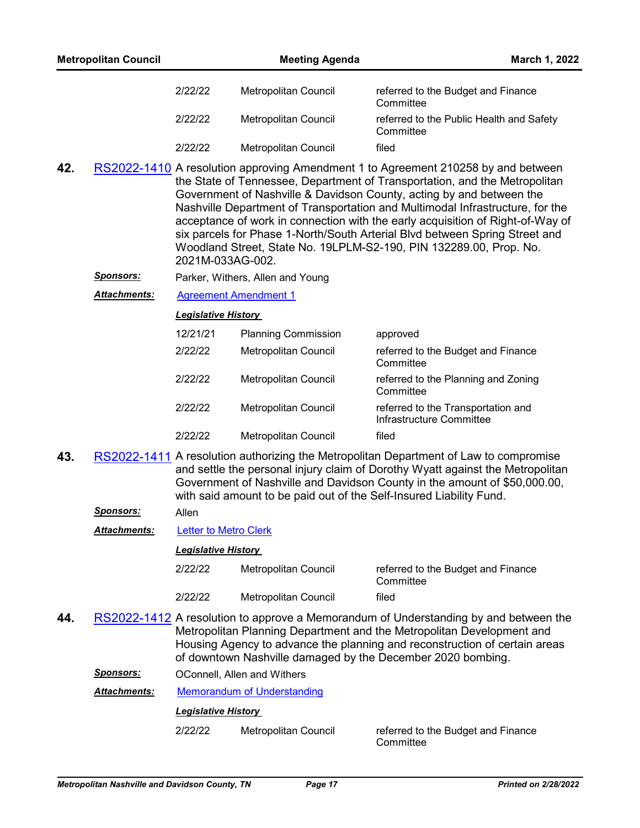- **42.** [RS2022-1410](http://nashville.legistar.com/gateway.aspx?m=l&id=/matter.aspx?key=14151) A resolution approving Amendment 1 to Agreement 210258 by and between the State of Tennessee, Department of Transportation, and the Metropolitan Government of Nashville & Davidson County, acting by and between the Nashville Department of Transportation and Multimodal Infrastructure, for the acceptance of work in connection with the early acquisition of Right-of-Way of six parcels for Phase 1-North/South Arterial Blvd between Spring Street and Woodland Street, State No. 19LPLM-S2-190, PIN 132289.00, Prop. No. 2021M-033AG-002.
	- *Sponsors:* Parker, Withers, Allen and Young
	- *Attachments:* [Agreement Amendment 1](http://nashville.legistar.com/gateway.aspx?M=F&ID=3cae4aa8-284b-4483-a769-025e7f0159cb.pdf)

| 12/21/21 | <b>Planning Commission</b>  | approved                                                       |
|----------|-----------------------------|----------------------------------------------------------------|
| 2/22/22  | <b>Metropolitan Council</b> | referred to the Budget and Finance<br>Committee                |
| 2/22/22  | <b>Metropolitan Council</b> | referred to the Planning and Zoning<br>Committee               |
| 2/22/22  | <b>Metropolitan Council</b> | referred to the Transportation and<br>Infrastructure Committee |
| 2122122  | Metropolitan Council        | filed                                                          |

**43.** [RS2022-1411](http://nashville.legistar.com/gateway.aspx?m=l&id=/matter.aspx?key=14154) A resolution authorizing the Metropolitan Department of Law to compromise and settle the personal injury claim of Dorothy Wyatt against the Metropolitan Government of Nashville and Davidson County in the amount of \$50,000.00, with said amount to be paid out of the Self-Insured Liability Fund.

## *Sponsors:* Allen

*Attachments:* [Letter to Metro Clerk](http://nashville.legistar.com/gateway.aspx?M=F&ID=4e90c239-0329-4d87-85c3-f7e138c08faf.PDF)

### *Legislative History*

| 2/22/22 | Metropolitan Council | referred to the Budget and Finance<br>Committee |
|---------|----------------------|-------------------------------------------------|
| 2/22/22 | Metropolitan Council | filed                                           |

- **44.** [RS2022-1412](http://nashville.legistar.com/gateway.aspx?m=l&id=/matter.aspx?key=14203) A resolution to approve a Memorandum of Understanding by and between the Metropolitan Planning Department and the Metropolitan Development and Housing Agency to advance the planning and reconstruction of certain areas of downtown Nashville damaged by the December 2020 bombing.
	- *Sponsors:* OConnell, Allen and Withers

### *Attachments:* [Memorandum of Understanding](http://nashville.legistar.com/gateway.aspx?M=F&ID=eb383110-4750-465d-95d0-fe82594b098d.pdf)

### *Legislative History*

2/22/22 Metropolitan Council referred to the Budget and Finance

**Committee**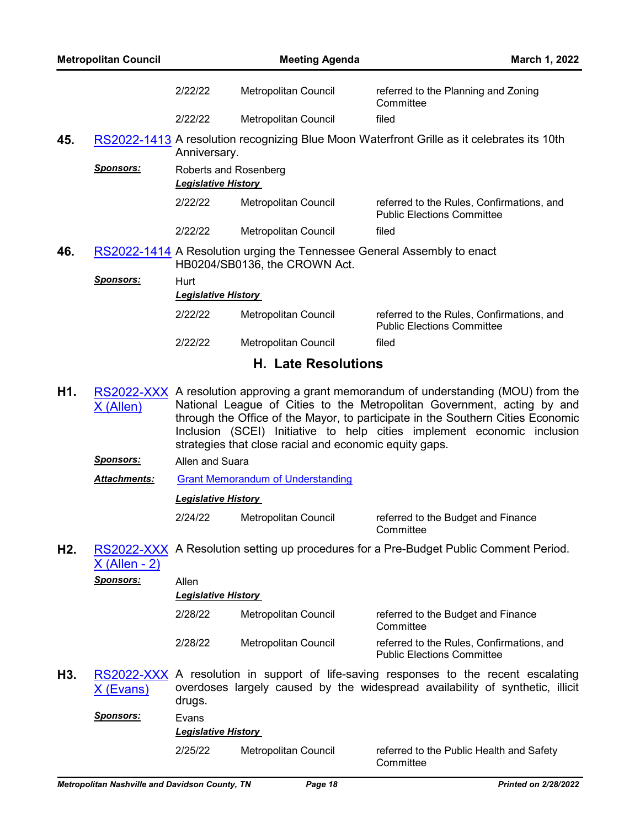|                  | <b>Metropolitan Council</b> |                                                     | <b>Meeting Agenda</b>                                                                                    | March 1, 2022                                                                                                                                                                                                                                                                                                                 |
|------------------|-----------------------------|-----------------------------------------------------|----------------------------------------------------------------------------------------------------------|-------------------------------------------------------------------------------------------------------------------------------------------------------------------------------------------------------------------------------------------------------------------------------------------------------------------------------|
|                  |                             | 2/22/22                                             | Metropolitan Council                                                                                     | referred to the Planning and Zoning<br>Committee                                                                                                                                                                                                                                                                              |
|                  |                             | 2/22/22                                             | Metropolitan Council                                                                                     | filed                                                                                                                                                                                                                                                                                                                         |
| 45.              |                             | Anniversary.                                        |                                                                                                          | RS2022-1413 A resolution recognizing Blue Moon Waterfront Grille as it celebrates its 10th                                                                                                                                                                                                                                    |
|                  | <u>Sponsors:</u>            | Roberts and Rosenberg<br><b>Legislative History</b> |                                                                                                          |                                                                                                                                                                                                                                                                                                                               |
|                  |                             | 2/22/22                                             | <b>Metropolitan Council</b>                                                                              | referred to the Rules, Confirmations, and<br><b>Public Elections Committee</b>                                                                                                                                                                                                                                                |
|                  |                             | 2/22/22                                             | Metropolitan Council                                                                                     | filed                                                                                                                                                                                                                                                                                                                         |
| 46.              |                             |                                                     | RS2022-1414 A Resolution urging the Tennessee General Assembly to enact<br>HB0204/SB0136, the CROWN Act. |                                                                                                                                                                                                                                                                                                                               |
|                  | Sponsors:                   | Hurt<br><b>Legislative History</b>                  |                                                                                                          |                                                                                                                                                                                                                                                                                                                               |
|                  |                             | 2/22/22                                             | Metropolitan Council                                                                                     | referred to the Rules, Confirmations, and<br><b>Public Elections Committee</b>                                                                                                                                                                                                                                                |
|                  |                             | 2/22/22                                             | Metropolitan Council                                                                                     | filed                                                                                                                                                                                                                                                                                                                         |
|                  |                             |                                                     | <b>H. Late Resolutions</b>                                                                               |                                                                                                                                                                                                                                                                                                                               |
| H1.              | $X$ (Allen)                 |                                                     | strategies that close racial and economic equity gaps.                                                   | RS2022-XXX A resolution approving a grant memorandum of understanding (MOU) from the<br>National League of Cities to the Metropolitan Government, acting by and<br>through the Office of the Mayor, to participate in the Southern Cities Economic<br>Inclusion (SCEI) Initiative to help cities implement economic inclusion |
|                  | Sponsors:                   | Allen and Suara                                     |                                                                                                          |                                                                                                                                                                                                                                                                                                                               |
|                  | Attachments:                |                                                     | <b>Grant Memorandum of Understanding</b>                                                                 |                                                                                                                                                                                                                                                                                                                               |
|                  |                             | <b>Legislative History</b>                          |                                                                                                          |                                                                                                                                                                                                                                                                                                                               |
|                  |                             | 2/24/22                                             | <b>Metropolitan Council</b>                                                                              | referred to the Budget and Finance<br>Committee                                                                                                                                                                                                                                                                               |
| H <sub>2</sub> . | <u> X (Allen - 2)</u>       |                                                     |                                                                                                          | RS2022-XXX A Resolution setting up procedures for a Pre-Budget Public Comment Period.                                                                                                                                                                                                                                         |
|                  | Sponsors:                   | Allen                                               |                                                                                                          |                                                                                                                                                                                                                                                                                                                               |
|                  |                             | <b>Legislative History</b>                          |                                                                                                          |                                                                                                                                                                                                                                                                                                                               |
|                  |                             | 2/28/22                                             | Metropolitan Council                                                                                     | referred to the Budget and Finance<br>Committee                                                                                                                                                                                                                                                                               |
|                  |                             | 2/28/22                                             | Metropolitan Council                                                                                     | referred to the Rules, Confirmations, and<br><b>Public Elections Committee</b>                                                                                                                                                                                                                                                |
| H3.              | <u>X (Evans)</u>            | drugs.                                              |                                                                                                          | RS2022-XXX A resolution in support of life-saving responses to the recent escalating<br>overdoses largely caused by the widespread availability of synthetic, illicit                                                                                                                                                         |
|                  | <b>Sponsors:</b>            | Evans<br><b>Legislative History</b>                 |                                                                                                          |                                                                                                                                                                                                                                                                                                                               |
|                  |                             | 2/25/22                                             | Metropolitan Council                                                                                     | referred to the Public Health and Safety<br>Committee                                                                                                                                                                                                                                                                         |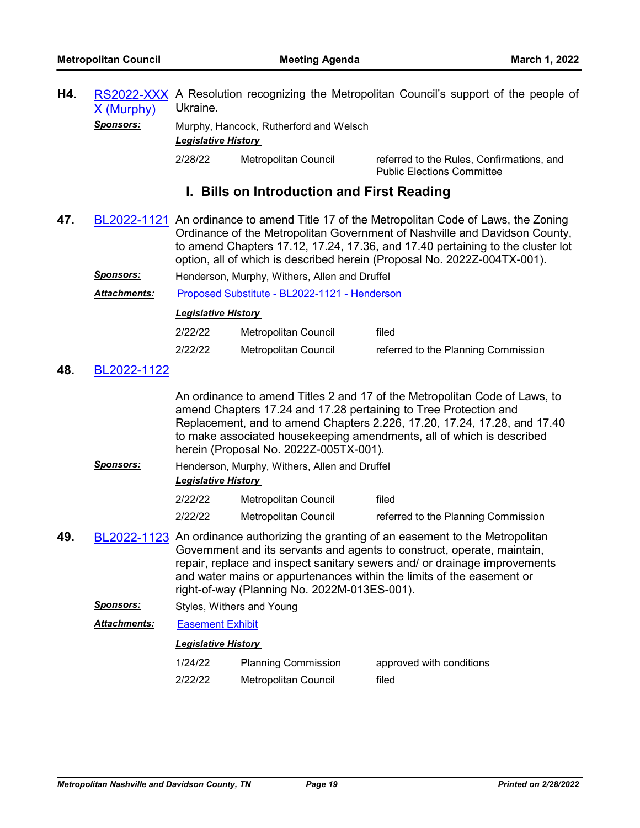**H4.** [RS2022-XXX](http://nashville.legistar.com/gateway.aspx?m=l&id=/matter.aspx?key=14217) A Resolution recognizing the Metropolitan Council's support of the people of X (Murphy) Ukraine.

*Sponsors:* Murphy, Hancock, Rutherford and Welsch *Legislative History* 

2/28/22 Metropolitan Council referred to the Rules, Confirmations, and Public Elections Committee

# **I. Bills on Introduction and First Reading**

- **47.** [BL2022-1121](http://nashville.legistar.com/gateway.aspx?m=l&id=/matter.aspx?key=14213) An ordinance to amend Title 17 of the Metropolitan Code of Laws, the Zoning Ordinance of the Metropolitan Government of Nashville and Davidson County, to amend Chapters 17.12, 17.24, 17.36, and 17.40 pertaining to the cluster lot option, all of which is described herein (Proposal No. 2022Z-004TX-001).
	- *Sponsors:* Henderson, Murphy, Withers, Allen and Druffel

*Attachments:* [Proposed Substitute - BL2022-1121 - Henderson](http://nashville.legistar.com/gateway.aspx?M=F&ID=ebf39655-0096-4d8b-9fd3-e69da73eae07.docx)

#### *Legislative History*

| 2/22/22 | Metropolitan Council | filed                               |
|---------|----------------------|-------------------------------------|
| 2/22/22 | Metropolitan Council | referred to the Planning Commission |

## **48.** [BL2022-1122](http://nashville.legistar.com/gateway.aspx?m=l&id=/matter.aspx?key=14204)

An ordinance to amend Titles 2 and 17 of the Metropolitan Code of Laws, to amend Chapters 17.24 and 17.28 pertaining to Tree Protection and Replacement, and to amend Chapters 2.226, 17.20, 17.24, 17.28, and 17.40 to make associated housekeeping amendments, all of which is described herein (Proposal No. 2022Z-005TX-001).

*Sponsors:* Henderson, Murphy, Withers, Allen and Druffel *Legislative History* 

| 2/22/22 | Metropolitan Council | filed                               |
|---------|----------------------|-------------------------------------|
| 2/22/22 | Metropolitan Council | referred to the Planning Commission |

- **49.** [BL2022-1123](http://nashville.legistar.com/gateway.aspx?m=l&id=/matter.aspx?key=14158) An ordinance authorizing the granting of an easement to the Metropolitan Government and its servants and agents to construct, operate, maintain, repair, replace and inspect sanitary sewers and/ or drainage improvements and water mains or appurtenances within the limits of the easement or right-of-way (Planning No. 2022M-013ES-001).
	- **Sponsors:** Styles, Withers and Young

*Attachments:* [Easement Exhibit](http://nashville.legistar.com/gateway.aspx?M=F&ID=1c11bee2-2e65-415f-ad30-a935d6971c4e.pdf)

### *Legislative History*

1/24/22 Planning Commission approved with conditions 2/22/22 Metropolitan Council filed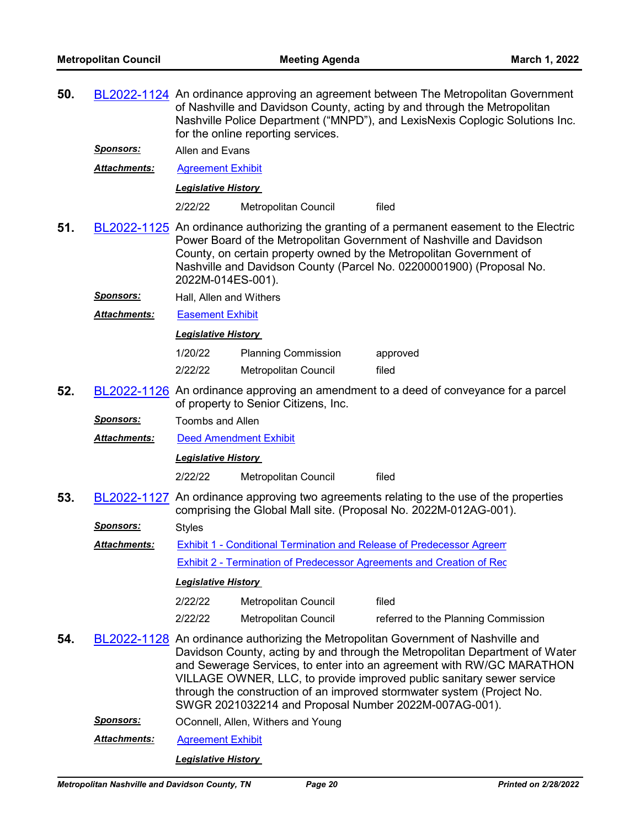| 50. |                     | BL2022-1124 An ordinance approving an agreement between The Metropolitan Government<br>of Nashville and Davidson County, acting by and through the Metropolitan<br>Nashville Police Department ("MNPD"), and LexisNexis Coplogic Solutions Inc.<br>for the online reporting services. |                                                                              |                                                                                                                                                                                                                                                                                                                                                                                              |  |  |
|-----|---------------------|---------------------------------------------------------------------------------------------------------------------------------------------------------------------------------------------------------------------------------------------------------------------------------------|------------------------------------------------------------------------------|----------------------------------------------------------------------------------------------------------------------------------------------------------------------------------------------------------------------------------------------------------------------------------------------------------------------------------------------------------------------------------------------|--|--|
|     | <b>Sponsors:</b>    | Allen and Evans                                                                                                                                                                                                                                                                       |                                                                              |                                                                                                                                                                                                                                                                                                                                                                                              |  |  |
|     | Attachments:        | <b>Agreement Exhibit</b>                                                                                                                                                                                                                                                              |                                                                              |                                                                                                                                                                                                                                                                                                                                                                                              |  |  |
|     |                     | <u> Legislative History</u>                                                                                                                                                                                                                                                           |                                                                              |                                                                                                                                                                                                                                                                                                                                                                                              |  |  |
|     |                     | 2/22/22                                                                                                                                                                                                                                                                               | Metropolitan Council                                                         | filed                                                                                                                                                                                                                                                                                                                                                                                        |  |  |
| 51. |                     | 2022M-014ES-001).                                                                                                                                                                                                                                                                     |                                                                              | BL2022-1125 An ordinance authorizing the granting of a permanent easement to the Electric<br>Power Board of the Metropolitan Government of Nashville and Davidson<br>County, on certain property owned by the Metropolitan Government of<br>Nashville and Davidson County (Parcel No. 02200001900) (Proposal No.                                                                             |  |  |
|     | <u>Sponsors:</u>    | Hall, Allen and Withers                                                                                                                                                                                                                                                               |                                                                              |                                                                                                                                                                                                                                                                                                                                                                                              |  |  |
|     | <b>Attachments:</b> | <b>Easement Exhibit</b>                                                                                                                                                                                                                                                               |                                                                              |                                                                                                                                                                                                                                                                                                                                                                                              |  |  |
|     |                     | <b>Legislative History</b>                                                                                                                                                                                                                                                            |                                                                              |                                                                                                                                                                                                                                                                                                                                                                                              |  |  |
|     |                     | 1/20/22                                                                                                                                                                                                                                                                               | <b>Planning Commission</b>                                                   | approved                                                                                                                                                                                                                                                                                                                                                                                     |  |  |
|     |                     | 2/22/22                                                                                                                                                                                                                                                                               | Metropolitan Council                                                         | filed                                                                                                                                                                                                                                                                                                                                                                                        |  |  |
| 52. |                     | BL2022-1126 An ordinance approving an amendment to a deed of conveyance for a parcel<br>of property to Senior Citizens, Inc.                                                                                                                                                          |                                                                              |                                                                                                                                                                                                                                                                                                                                                                                              |  |  |
|     | Sponsors:           | <b>Toombs and Allen</b>                                                                                                                                                                                                                                                               |                                                                              |                                                                                                                                                                                                                                                                                                                                                                                              |  |  |
|     | <u>Attachments:</u> | <b>Deed Amendment Exhibit</b>                                                                                                                                                                                                                                                         |                                                                              |                                                                                                                                                                                                                                                                                                                                                                                              |  |  |
|     |                     | <b>Legislative History</b>                                                                                                                                                                                                                                                            |                                                                              |                                                                                                                                                                                                                                                                                                                                                                                              |  |  |
|     |                     | 2/22/22                                                                                                                                                                                                                                                                               | <b>Metropolitan Council</b>                                                  | filed                                                                                                                                                                                                                                                                                                                                                                                        |  |  |
| 53. |                     |                                                                                                                                                                                                                                                                                       |                                                                              | BL2022-1127 An ordinance approving two agreements relating to the use of the properties<br>comprising the Global Mall site. (Proposal No. 2022M-012AG-001).                                                                                                                                                                                                                                  |  |  |
|     | <u>Sponsors:</u>    | <b>Styles</b>                                                                                                                                                                                                                                                                         |                                                                              |                                                                                                                                                                                                                                                                                                                                                                                              |  |  |
|     | <b>Attachments:</b> |                                                                                                                                                                                                                                                                                       | Exhibit 1 - Conditional Termination and Release of Predecessor Agreem        |                                                                                                                                                                                                                                                                                                                                                                                              |  |  |
|     |                     |                                                                                                                                                                                                                                                                                       | <b>Exhibit 2 - Termination of Predecessor Agreements and Creation of Rec</b> |                                                                                                                                                                                                                                                                                                                                                                                              |  |  |
|     |                     | <b>Legislative History</b>                                                                                                                                                                                                                                                            |                                                                              |                                                                                                                                                                                                                                                                                                                                                                                              |  |  |
|     |                     | 2/22/22                                                                                                                                                                                                                                                                               | <b>Metropolitan Council</b>                                                  | filed                                                                                                                                                                                                                                                                                                                                                                                        |  |  |
|     |                     | 2/22/22                                                                                                                                                                                                                                                                               | Metropolitan Council                                                         | referred to the Planning Commission                                                                                                                                                                                                                                                                                                                                                          |  |  |
| 54. |                     |                                                                                                                                                                                                                                                                                       | SWGR 2021032214 and Proposal Number 2022M-007AG-001).                        | BL2022-1128 An ordinance authorizing the Metropolitan Government of Nashville and<br>Davidson County, acting by and through the Metropolitan Department of Water<br>and Sewerage Services, to enter into an agreement with RW/GC MARATHON<br>VILLAGE OWNER, LLC, to provide improved public sanitary sewer service<br>through the construction of an improved stormwater system (Project No. |  |  |
|     | <b>Sponsors:</b>    |                                                                                                                                                                                                                                                                                       | OConnell, Allen, Withers and Young                                           |                                                                                                                                                                                                                                                                                                                                                                                              |  |  |
|     | Attachments:        | <b>Agreement Exhibit</b>                                                                                                                                                                                                                                                              |                                                                              |                                                                                                                                                                                                                                                                                                                                                                                              |  |  |
|     |                     | <b>Legislative History</b>                                                                                                                                                                                                                                                            |                                                                              |                                                                                                                                                                                                                                                                                                                                                                                              |  |  |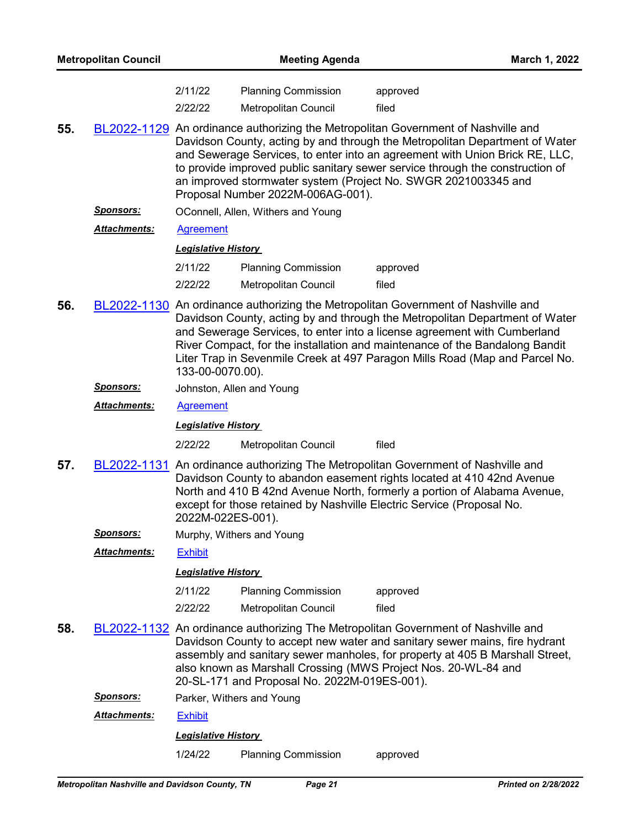| <b>Metropolitan Council</b> |                      | <b>Meeting Agenda</b>      |                                                                                                                                                                                                                                                                                                                                                                                                                                         |                                                                                                                                                                                                                                                                                                                                                                                                            | March 1, 2022 |  |  |
|-----------------------------|----------------------|----------------------------|-----------------------------------------------------------------------------------------------------------------------------------------------------------------------------------------------------------------------------------------------------------------------------------------------------------------------------------------------------------------------------------------------------------------------------------------|------------------------------------------------------------------------------------------------------------------------------------------------------------------------------------------------------------------------------------------------------------------------------------------------------------------------------------------------------------------------------------------------------------|---------------|--|--|
|                             |                      | 2/11/22                    | <b>Planning Commission</b>                                                                                                                                                                                                                                                                                                                                                                                                              | approved                                                                                                                                                                                                                                                                                                                                                                                                   |               |  |  |
|                             |                      | 2/22/22                    | <b>Metropolitan Council</b>                                                                                                                                                                                                                                                                                                                                                                                                             | filed                                                                                                                                                                                                                                                                                                                                                                                                      |               |  |  |
| 55.                         |                      |                            | BL2022-1129 An ordinance authorizing the Metropolitan Government of Nashville and<br>Davidson County, acting by and through the Metropolitan Department of Water<br>and Sewerage Services, to enter into an agreement with Union Brick RE, LLC,<br>to provide improved public sanitary sewer service through the construction of<br>an improved stormwater system (Project No. SWGR 2021003345 and<br>Proposal Number 2022M-006AG-001). |                                                                                                                                                                                                                                                                                                                                                                                                            |               |  |  |
|                             | <u>Sponsors:</u>     |                            | OConnell, Allen, Withers and Young                                                                                                                                                                                                                                                                                                                                                                                                      |                                                                                                                                                                                                                                                                                                                                                                                                            |               |  |  |
|                             | <b>Attachments:</b>  | <b>Agreement</b>           |                                                                                                                                                                                                                                                                                                                                                                                                                                         |                                                                                                                                                                                                                                                                                                                                                                                                            |               |  |  |
|                             |                      | <b>Legislative History</b> |                                                                                                                                                                                                                                                                                                                                                                                                                                         |                                                                                                                                                                                                                                                                                                                                                                                                            |               |  |  |
|                             |                      | 2/11/22                    | <b>Planning Commission</b>                                                                                                                                                                                                                                                                                                                                                                                                              | approved                                                                                                                                                                                                                                                                                                                                                                                                   |               |  |  |
|                             |                      | 2/22/22                    | Metropolitan Council                                                                                                                                                                                                                                                                                                                                                                                                                    | filed                                                                                                                                                                                                                                                                                                                                                                                                      |               |  |  |
| 56.                         |                      | 133-00-0070.00).           |                                                                                                                                                                                                                                                                                                                                                                                                                                         | BL2022-1130 An ordinance authorizing the Metropolitan Government of Nashville and<br>Davidson County, acting by and through the Metropolitan Department of Water<br>and Sewerage Services, to enter into a license agreement with Cumberland<br>River Compact, for the installation and maintenance of the Bandalong Bandit<br>Liter Trap in Sevenmile Creek at 497 Paragon Mills Road (Map and Parcel No. |               |  |  |
|                             | <u>Sponsors:</u>     |                            | Johnston, Allen and Young                                                                                                                                                                                                                                                                                                                                                                                                               |                                                                                                                                                                                                                                                                                                                                                                                                            |               |  |  |
|                             | <b>Attachments:</b>  | <b>Agreement</b>           |                                                                                                                                                                                                                                                                                                                                                                                                                                         |                                                                                                                                                                                                                                                                                                                                                                                                            |               |  |  |
|                             |                      | <b>Legislative History</b> |                                                                                                                                                                                                                                                                                                                                                                                                                                         |                                                                                                                                                                                                                                                                                                                                                                                                            |               |  |  |
|                             |                      | 2/22/22                    | Metropolitan Council                                                                                                                                                                                                                                                                                                                                                                                                                    | filed                                                                                                                                                                                                                                                                                                                                                                                                      |               |  |  |
| 57.                         |                      | 2022M-022ES-001).          |                                                                                                                                                                                                                                                                                                                                                                                                                                         | BL2022-1131 An ordinance authorizing The Metropolitan Government of Nashville and<br>Davidson County to abandon easement rights located at 410 42nd Avenue<br>North and 410 B 42nd Avenue North, formerly a portion of Alabama Avenue,<br>except for those retained by Nashville Electric Service (Proposal No.                                                                                            |               |  |  |
|                             | <u>Sponsors:</u>     |                            | Murphy, Withers and Young                                                                                                                                                                                                                                                                                                                                                                                                               |                                                                                                                                                                                                                                                                                                                                                                                                            |               |  |  |
|                             | Attachments:         | <b>Exhibit</b>             |                                                                                                                                                                                                                                                                                                                                                                                                                                         |                                                                                                                                                                                                                                                                                                                                                                                                            |               |  |  |
|                             |                      | <b>Legislative History</b> |                                                                                                                                                                                                                                                                                                                                                                                                                                         |                                                                                                                                                                                                                                                                                                                                                                                                            |               |  |  |
|                             |                      | 2/11/22                    | <b>Planning Commission</b>                                                                                                                                                                                                                                                                                                                                                                                                              | approved                                                                                                                                                                                                                                                                                                                                                                                                   |               |  |  |
|                             |                      | 2/22/22                    | <b>Metropolitan Council</b>                                                                                                                                                                                                                                                                                                                                                                                                             | filed                                                                                                                                                                                                                                                                                                                                                                                                      |               |  |  |
| 58.                         |                      |                            | 20-SL-171 and Proposal No. 2022M-019ES-001).                                                                                                                                                                                                                                                                                                                                                                                            | BL2022-1132 An ordinance authorizing The Metropolitan Government of Nashville and<br>Davidson County to accept new water and sanitary sewer mains, fire hydrant<br>assembly and sanitary sewer manholes, for property at 405 B Marshall Street,<br>also known as Marshall Crossing (MWS Project Nos. 20-WL-84 and                                                                                          |               |  |  |
|                             | <u>Sponsors:</u>     |                            | Parker, Withers and Young                                                                                                                                                                                                                                                                                                                                                                                                               |                                                                                                                                                                                                                                                                                                                                                                                                            |               |  |  |
|                             | <u> Attachments:</u> | <b>Exhibit</b>             |                                                                                                                                                                                                                                                                                                                                                                                                                                         |                                                                                                                                                                                                                                                                                                                                                                                                            |               |  |  |
|                             |                      | <b>Legislative History</b> |                                                                                                                                                                                                                                                                                                                                                                                                                                         |                                                                                                                                                                                                                                                                                                                                                                                                            |               |  |  |
|                             |                      | 1/24/22                    | <b>Planning Commission</b>                                                                                                                                                                                                                                                                                                                                                                                                              | approved                                                                                                                                                                                                                                                                                                                                                                                                   |               |  |  |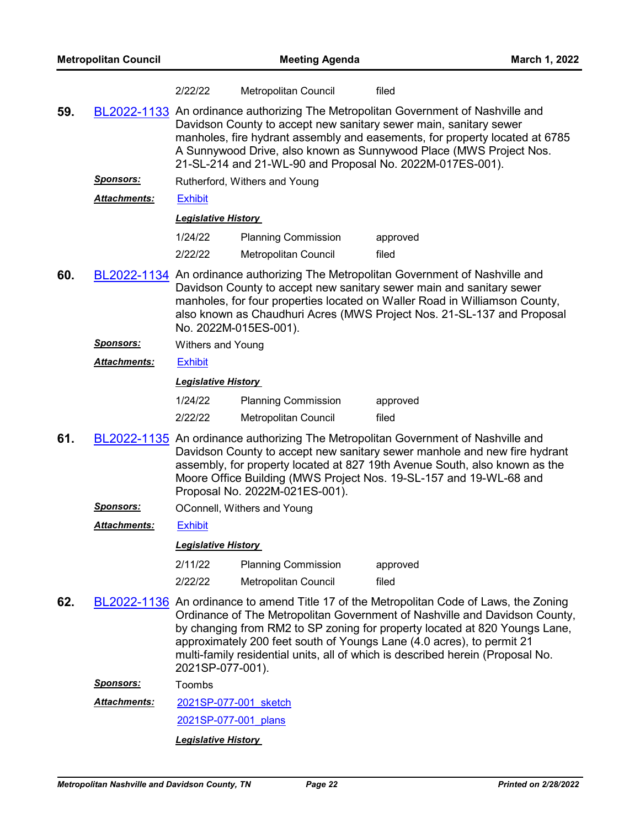|     |                                              | 2/22/22                                                                                                                                                                                                                                                                                                                                                                  | Metropolitan Council           | filed                                                                                                                                                                                                                                                                                                                                                                                                          |  |  |  |
|-----|----------------------------------------------|--------------------------------------------------------------------------------------------------------------------------------------------------------------------------------------------------------------------------------------------------------------------------------------------------------------------------------------------------------------------------|--------------------------------|----------------------------------------------------------------------------------------------------------------------------------------------------------------------------------------------------------------------------------------------------------------------------------------------------------------------------------------------------------------------------------------------------------------|--|--|--|
| 59. |                                              | BL2022-1133 An ordinance authorizing The Metropolitan Government of Nashville and<br>Davidson County to accept new sanitary sewer main, sanitary sewer<br>manholes, fire hydrant assembly and easements, for property located at 6785<br>A Sunnywood Drive, also known as Sunnywood Place (MWS Project Nos.<br>21-SL-214 and 21-WL-90 and Proposal No. 2022M-017ES-001). |                                |                                                                                                                                                                                                                                                                                                                                                                                                                |  |  |  |
|     | <u>Sponsors:</u>                             |                                                                                                                                                                                                                                                                                                                                                                          | Rutherford, Withers and Young  |                                                                                                                                                                                                                                                                                                                                                                                                                |  |  |  |
|     | <b>Attachments:</b>                          | <b>Exhibit</b>                                                                                                                                                                                                                                                                                                                                                           |                                |                                                                                                                                                                                                                                                                                                                                                                                                                |  |  |  |
|     |                                              | <b>Legislative History</b>                                                                                                                                                                                                                                                                                                                                               |                                |                                                                                                                                                                                                                                                                                                                                                                                                                |  |  |  |
|     |                                              | 1/24/22                                                                                                                                                                                                                                                                                                                                                                  | <b>Planning Commission</b>     | approved                                                                                                                                                                                                                                                                                                                                                                                                       |  |  |  |
|     |                                              | 2/22/22                                                                                                                                                                                                                                                                                                                                                                  | Metropolitan Council           | filed                                                                                                                                                                                                                                                                                                                                                                                                          |  |  |  |
| 60. |                                              | No. 2022M-015ES-001).                                                                                                                                                                                                                                                                                                                                                    |                                | BL2022-1134 An ordinance authorizing The Metropolitan Government of Nashville and<br>Davidson County to accept new sanitary sewer main and sanitary sewer<br>manholes, for four properties located on Waller Road in Williamson County,<br>also known as Chaudhuri Acres (MWS Project Nos. 21-SL-137 and Proposal                                                                                              |  |  |  |
|     | <u>Sponsors:</u><br><b>Withers and Young</b> |                                                                                                                                                                                                                                                                                                                                                                          |                                |                                                                                                                                                                                                                                                                                                                                                                                                                |  |  |  |
|     | <b>Attachments:</b>                          | <b>Exhibit</b>                                                                                                                                                                                                                                                                                                                                                           |                                |                                                                                                                                                                                                                                                                                                                                                                                                                |  |  |  |
|     |                                              | <b>Legislative History</b>                                                                                                                                                                                                                                                                                                                                               |                                |                                                                                                                                                                                                                                                                                                                                                                                                                |  |  |  |
|     |                                              | 1/24/22                                                                                                                                                                                                                                                                                                                                                                  | <b>Planning Commission</b>     | approved                                                                                                                                                                                                                                                                                                                                                                                                       |  |  |  |
|     |                                              | 2/22/22                                                                                                                                                                                                                                                                                                                                                                  | Metropolitan Council           | filed                                                                                                                                                                                                                                                                                                                                                                                                          |  |  |  |
| 61. |                                              |                                                                                                                                                                                                                                                                                                                                                                          | Proposal No. 2022M-021ES-001). | BL2022-1135 An ordinance authorizing The Metropolitan Government of Nashville and<br>Davidson County to accept new sanitary sewer manhole and new fire hydrant<br>assembly, for property located at 827 19th Avenue South, also known as the<br>Moore Office Building (MWS Project Nos. 19-SL-157 and 19-WL-68 and                                                                                             |  |  |  |
|     | <u>Sponsors:</u>                             |                                                                                                                                                                                                                                                                                                                                                                          | OConnell, Withers and Young    |                                                                                                                                                                                                                                                                                                                                                                                                                |  |  |  |
|     | <u>Attachments:</u>                          | <b>Exhibit</b>                                                                                                                                                                                                                                                                                                                                                           |                                |                                                                                                                                                                                                                                                                                                                                                                                                                |  |  |  |
|     |                                              | <b>Leaislative History</b>                                                                                                                                                                                                                                                                                                                                               |                                |                                                                                                                                                                                                                                                                                                                                                                                                                |  |  |  |
|     |                                              | 2/11/22                                                                                                                                                                                                                                                                                                                                                                  | <b>Planning Commission</b>     | approved                                                                                                                                                                                                                                                                                                                                                                                                       |  |  |  |
|     |                                              | 2/22/22                                                                                                                                                                                                                                                                                                                                                                  | Metropolitan Council           | filed                                                                                                                                                                                                                                                                                                                                                                                                          |  |  |  |
| 62. |                                              | 2021SP-077-001).                                                                                                                                                                                                                                                                                                                                                         |                                | BL2022-1136 An ordinance to amend Title 17 of the Metropolitan Code of Laws, the Zoning<br>Ordinance of The Metropolitan Government of Nashville and Davidson County,<br>by changing from RM2 to SP zoning for property located at 820 Youngs Lane,<br>approximately 200 feet south of Youngs Lane (4.0 acres), to permit 21<br>multi-family residential units, all of which is described herein (Proposal No. |  |  |  |

*Sponsors:* Toombs

[2021SP-077-001\\_sketch](http://nashville.legistar.com/gateway.aspx?M=F&ID=e8ff67b5-60b5-4d4b-8e90-bc66537fdcc3.docx) [2021SP-077-001\\_plans](http://nashville.legistar.com/gateway.aspx?M=F&ID=0d12fb58-be21-418d-bc72-5495e0483dd8.pdf) *Attachments:*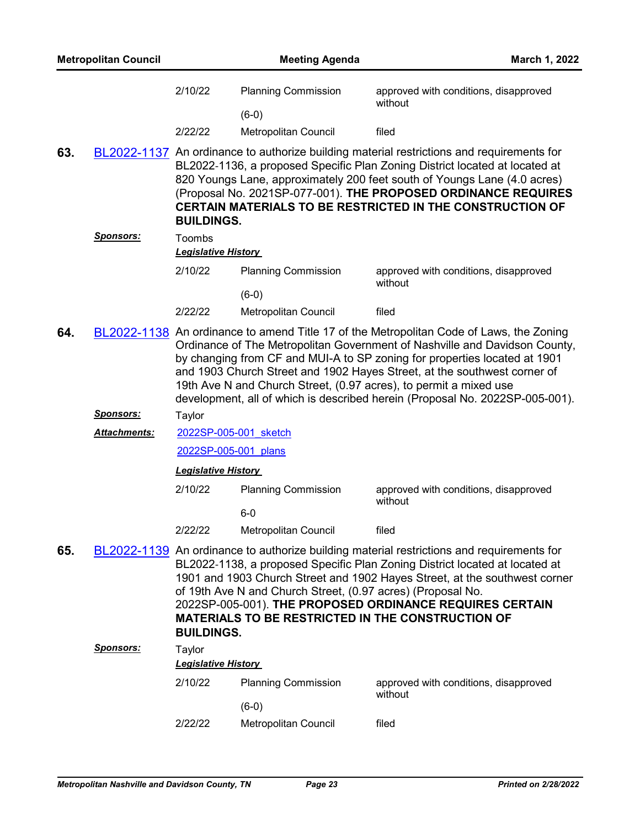|     | <b>Metropolitan Council</b> |                                      | <b>Meeting Agenda</b>                                       | March 1, 2022                                                                                                                                                                                                                                                                                                                                                                                                                                                                       |
|-----|-----------------------------|--------------------------------------|-------------------------------------------------------------|-------------------------------------------------------------------------------------------------------------------------------------------------------------------------------------------------------------------------------------------------------------------------------------------------------------------------------------------------------------------------------------------------------------------------------------------------------------------------------------|
|     |                             | 2/10/22                              | <b>Planning Commission</b>                                  | approved with conditions, disapproved<br>without                                                                                                                                                                                                                                                                                                                                                                                                                                    |
|     |                             | 2/22/22                              | $(6-0)$<br>Metropolitan Council                             | filed                                                                                                                                                                                                                                                                                                                                                                                                                                                                               |
| 63. |                             | <b>BUILDINGS.</b>                    |                                                             | BL2022-1137 An ordinance to authorize building material restrictions and requirements for<br>BL2022-1136, a proposed Specific Plan Zoning District located at located at<br>820 Youngs Lane, approximately 200 feet south of Youngs Lane (4.0 acres)<br>(Proposal No. 2021SP-077-001). THE PROPOSED ORDINANCE REQUIRES<br><b>CERTAIN MATERIALS TO BE RESTRICTED IN THE CONSTRUCTION OF</b>                                                                                          |
|     | <u>Sponsors:</u>            | Toombs<br><b>Legislative History</b> |                                                             |                                                                                                                                                                                                                                                                                                                                                                                                                                                                                     |
|     |                             | 2/10/22                              | <b>Planning Commission</b><br>$(6-0)$                       | approved with conditions, disapproved<br>without                                                                                                                                                                                                                                                                                                                                                                                                                                    |
|     |                             | 2/22/22                              | Metropolitan Council                                        | filed                                                                                                                                                                                                                                                                                                                                                                                                                                                                               |
| 64. |                             |                                      |                                                             | BL2022-1138 An ordinance to amend Title 17 of the Metropolitan Code of Laws, the Zoning<br>Ordinance of The Metropolitan Government of Nashville and Davidson County,<br>by changing from CF and MUI-A to SP zoning for properties located at 1901<br>and 1903 Church Street and 1902 Hayes Street, at the southwest corner of<br>19th Ave N and Church Street, (0.97 acres), to permit a mixed use<br>development, all of which is described herein (Proposal No. 2022SP-005-001). |
|     | <b>Sponsors:</b>            | Taylor                               |                                                             |                                                                                                                                                                                                                                                                                                                                                                                                                                                                                     |
|     | <b>Attachments:</b>         | 2022SP-005-001 sketch                |                                                             |                                                                                                                                                                                                                                                                                                                                                                                                                                                                                     |
|     |                             | 2022SP-005-001 plans                 |                                                             |                                                                                                                                                                                                                                                                                                                                                                                                                                                                                     |
|     |                             | <b>Legislative History</b>           |                                                             |                                                                                                                                                                                                                                                                                                                                                                                                                                                                                     |
|     |                             | 2/10/22                              | <b>Planning Commission</b>                                  | approved with conditions, disapproved<br>without                                                                                                                                                                                                                                                                                                                                                                                                                                    |
|     |                             | 2/22/22                              | $6-0$<br><b>Metropolitan Council</b>                        | filed                                                                                                                                                                                                                                                                                                                                                                                                                                                                               |
| 65. |                             | <b>BUILDINGS.</b>                    | of 19th Ave N and Church Street, (0.97 acres) (Proposal No. | BL2022-1139 An ordinance to authorize building material restrictions and requirements for<br>BL2022-1138, a proposed Specific Plan Zoning District located at located at<br>1901 and 1903 Church Street and 1902 Hayes Street, at the southwest corner<br>2022SP-005-001). THE PROPOSED ORDINANCE REQUIRES CERTAIN<br><b>MATERIALS TO BE RESTRICTED IN THE CONSTRUCTION OF</b>                                                                                                      |
|     | <u>Sponsors:</u>            | Taylor                               |                                                             |                                                                                                                                                                                                                                                                                                                                                                                                                                                                                     |
|     |                             | <b>Legislative History</b>           |                                                             |                                                                                                                                                                                                                                                                                                                                                                                                                                                                                     |
|     |                             | 2/10/22                              | <b>Planning Commission</b>                                  | approved with conditions, disapproved<br>without                                                                                                                                                                                                                                                                                                                                                                                                                                    |
|     |                             | 2/22/22                              | $(6-0)$<br>Metropolitan Council                             | filed                                                                                                                                                                                                                                                                                                                                                                                                                                                                               |
|     |                             |                                      |                                                             |                                                                                                                                                                                                                                                                                                                                                                                                                                                                                     |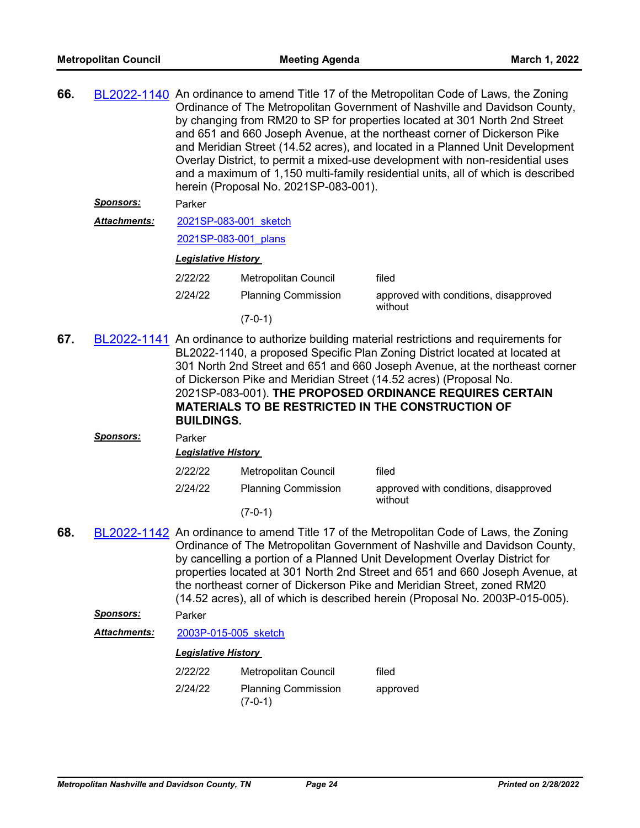| 66. |                     | BL2022-1140 An ordinance to amend Title 17 of the Metropolitan Code of Laws, the Zoning<br>Ordinance of The Metropolitan Government of Nashville and Davidson County,<br>by changing from RM20 to SP for properties located at 301 North 2nd Street<br>and 651 and 660 Joseph Avenue, at the northeast corner of Dickerson Pike<br>and Meridian Street (14.52 acres), and located in a Planned Unit Development<br>Overlay District, to permit a mixed-use development with non-residential uses<br>and a maximum of 1,150 multi-family residential units, all of which is described<br>herein (Proposal No. 2021SP-083-001). |                                                                                                                                                                                                                                                                                                                                                                                                                                                      |                                                                                                                                                                                                                                                                                                                                                                                                                                                                                                |  |  |  |
|-----|---------------------|-------------------------------------------------------------------------------------------------------------------------------------------------------------------------------------------------------------------------------------------------------------------------------------------------------------------------------------------------------------------------------------------------------------------------------------------------------------------------------------------------------------------------------------------------------------------------------------------------------------------------------|------------------------------------------------------------------------------------------------------------------------------------------------------------------------------------------------------------------------------------------------------------------------------------------------------------------------------------------------------------------------------------------------------------------------------------------------------|------------------------------------------------------------------------------------------------------------------------------------------------------------------------------------------------------------------------------------------------------------------------------------------------------------------------------------------------------------------------------------------------------------------------------------------------------------------------------------------------|--|--|--|
|     | <u>Sponsors:</u>    | Parker                                                                                                                                                                                                                                                                                                                                                                                                                                                                                                                                                                                                                        |                                                                                                                                                                                                                                                                                                                                                                                                                                                      |                                                                                                                                                                                                                                                                                                                                                                                                                                                                                                |  |  |  |
|     | <b>Attachments:</b> | 2021SP-083-001 sketch                                                                                                                                                                                                                                                                                                                                                                                                                                                                                                                                                                                                         |                                                                                                                                                                                                                                                                                                                                                                                                                                                      |                                                                                                                                                                                                                                                                                                                                                                                                                                                                                                |  |  |  |
|     |                     | 2021SP-083-001 plans                                                                                                                                                                                                                                                                                                                                                                                                                                                                                                                                                                                                          |                                                                                                                                                                                                                                                                                                                                                                                                                                                      |                                                                                                                                                                                                                                                                                                                                                                                                                                                                                                |  |  |  |
|     |                     | <b>Legislative History</b>                                                                                                                                                                                                                                                                                                                                                                                                                                                                                                                                                                                                    |                                                                                                                                                                                                                                                                                                                                                                                                                                                      |                                                                                                                                                                                                                                                                                                                                                                                                                                                                                                |  |  |  |
|     |                     | 2/22/22                                                                                                                                                                                                                                                                                                                                                                                                                                                                                                                                                                                                                       | Metropolitan Council                                                                                                                                                                                                                                                                                                                                                                                                                                 | filed                                                                                                                                                                                                                                                                                                                                                                                                                                                                                          |  |  |  |
|     |                     | 2/24/22                                                                                                                                                                                                                                                                                                                                                                                                                                                                                                                                                                                                                       | <b>Planning Commission</b>                                                                                                                                                                                                                                                                                                                                                                                                                           | approved with conditions, disapproved<br>without                                                                                                                                                                                                                                                                                                                                                                                                                                               |  |  |  |
|     |                     |                                                                                                                                                                                                                                                                                                                                                                                                                                                                                                                                                                                                                               | $(7-0-1)$                                                                                                                                                                                                                                                                                                                                                                                                                                            |                                                                                                                                                                                                                                                                                                                                                                                                                                                                                                |  |  |  |
| 67. |                     | <b>BUILDINGS.</b>                                                                                                                                                                                                                                                                                                                                                                                                                                                                                                                                                                                                             | BL2022-1141 An ordinance to authorize building material restrictions and requirements for<br>BL2022-1140, a proposed Specific Plan Zoning District located at located at<br>301 North 2nd Street and 651 and 660 Joseph Avenue, at the northeast corner<br>of Dickerson Pike and Meridian Street (14.52 acres) (Proposal No.<br>2021SP-083-001). THE PROPOSED ORDINANCE REQUIRES CERTAIN<br><b>MATERIALS TO BE RESTRICTED IN THE CONSTRUCTION OF</b> |                                                                                                                                                                                                                                                                                                                                                                                                                                                                                                |  |  |  |
|     | <u>Sponsors:</u>    | Parker                                                                                                                                                                                                                                                                                                                                                                                                                                                                                                                                                                                                                        |                                                                                                                                                                                                                                                                                                                                                                                                                                                      |                                                                                                                                                                                                                                                                                                                                                                                                                                                                                                |  |  |  |
|     |                     | <b>Legislative History</b>                                                                                                                                                                                                                                                                                                                                                                                                                                                                                                                                                                                                    |                                                                                                                                                                                                                                                                                                                                                                                                                                                      |                                                                                                                                                                                                                                                                                                                                                                                                                                                                                                |  |  |  |
|     |                     | 2/22/22                                                                                                                                                                                                                                                                                                                                                                                                                                                                                                                                                                                                                       | Metropolitan Council                                                                                                                                                                                                                                                                                                                                                                                                                                 | filed                                                                                                                                                                                                                                                                                                                                                                                                                                                                                          |  |  |  |
|     |                     | 2/24/22                                                                                                                                                                                                                                                                                                                                                                                                                                                                                                                                                                                                                       | <b>Planning Commission</b>                                                                                                                                                                                                                                                                                                                                                                                                                           | approved with conditions, disapproved<br>without                                                                                                                                                                                                                                                                                                                                                                                                                                               |  |  |  |
|     |                     |                                                                                                                                                                                                                                                                                                                                                                                                                                                                                                                                                                                                                               | $(7-0-1)$                                                                                                                                                                                                                                                                                                                                                                                                                                            |                                                                                                                                                                                                                                                                                                                                                                                                                                                                                                |  |  |  |
| 68. |                     |                                                                                                                                                                                                                                                                                                                                                                                                                                                                                                                                                                                                                               |                                                                                                                                                                                                                                                                                                                                                                                                                                                      | BL2022-1142 An ordinance to amend Title 17 of the Metropolitan Code of Laws, the Zoning<br>Ordinance of The Metropolitan Government of Nashville and Davidson County,<br>by cancelling a portion of a Planned Unit Development Overlay District for<br>properties located at 301 North 2nd Street and 651 and 660 Joseph Avenue, at<br>the northeast corner of Dickerson Pike and Meridian Street, zoned RM20<br>(14.52 acres), all of which is described herein (Proposal No. 2003P-015-005). |  |  |  |
|     | <b>Sponsors:</b>    | Parker                                                                                                                                                                                                                                                                                                                                                                                                                                                                                                                                                                                                                        |                                                                                                                                                                                                                                                                                                                                                                                                                                                      |                                                                                                                                                                                                                                                                                                                                                                                                                                                                                                |  |  |  |
|     | <b>Attachments:</b> | 2003P-015-005 sketch                                                                                                                                                                                                                                                                                                                                                                                                                                                                                                                                                                                                          |                                                                                                                                                                                                                                                                                                                                                                                                                                                      |                                                                                                                                                                                                                                                                                                                                                                                                                                                                                                |  |  |  |
|     |                     | <b>Legislative History</b>                                                                                                                                                                                                                                                                                                                                                                                                                                                                                                                                                                                                    |                                                                                                                                                                                                                                                                                                                                                                                                                                                      |                                                                                                                                                                                                                                                                                                                                                                                                                                                                                                |  |  |  |
|     |                     | 2/22/22                                                                                                                                                                                                                                                                                                                                                                                                                                                                                                                                                                                                                       | Metropolitan Council                                                                                                                                                                                                                                                                                                                                                                                                                                 | filed                                                                                                                                                                                                                                                                                                                                                                                                                                                                                          |  |  |  |
|     |                     | 2/24/22                                                                                                                                                                                                                                                                                                                                                                                                                                                                                                                                                                                                                       | <b>Planning Commission</b>                                                                                                                                                                                                                                                                                                                                                                                                                           | approved                                                                                                                                                                                                                                                                                                                                                                                                                                                                                       |  |  |  |

(7-0-1)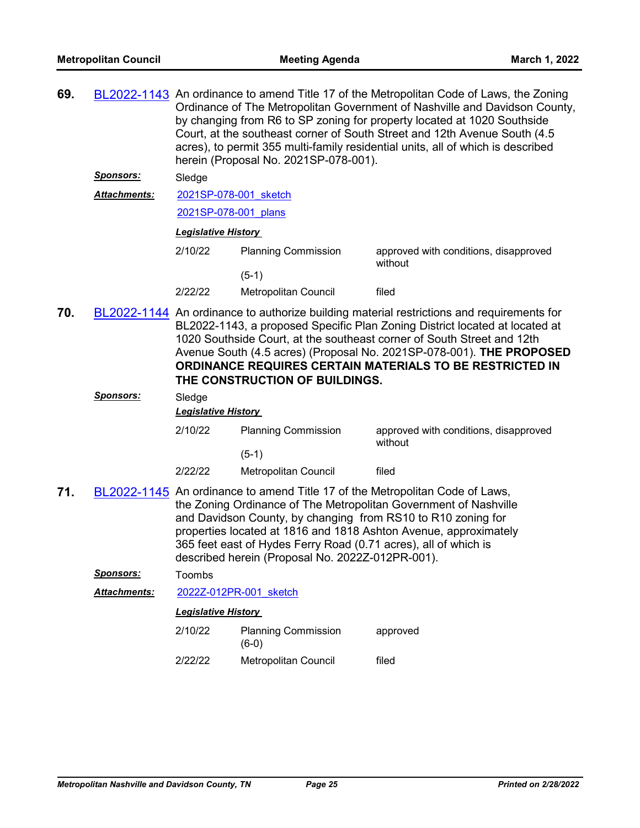| 69. |                     | BL2022-1143 An ordinance to amend Title 17 of the Metropolitan Code of Laws, the Zoning<br>Ordinance of The Metropolitan Government of Nashville and Davidson County,<br>by changing from R6 to SP zoning for property located at 1020 Southside<br>Court, at the southeast corner of South Street and 12th Avenue South (4.5)<br>acres), to permit 355 multi-family residential units, all of which is described<br>herein (Proposal No. 2021SP-078-001). |                                                                                                                     |                                                                                                                                                                                                                                                                                                                                                                                        |  |  |
|-----|---------------------|------------------------------------------------------------------------------------------------------------------------------------------------------------------------------------------------------------------------------------------------------------------------------------------------------------------------------------------------------------------------------------------------------------------------------------------------------------|---------------------------------------------------------------------------------------------------------------------|----------------------------------------------------------------------------------------------------------------------------------------------------------------------------------------------------------------------------------------------------------------------------------------------------------------------------------------------------------------------------------------|--|--|
|     | <u>Sponsors:</u>    | Sledge                                                                                                                                                                                                                                                                                                                                                                                                                                                     |                                                                                                                     |                                                                                                                                                                                                                                                                                                                                                                                        |  |  |
|     | <b>Attachments:</b> | 2021SP-078-001 sketch                                                                                                                                                                                                                                                                                                                                                                                                                                      |                                                                                                                     |                                                                                                                                                                                                                                                                                                                                                                                        |  |  |
|     |                     | 2021SP-078-001 plans                                                                                                                                                                                                                                                                                                                                                                                                                                       |                                                                                                                     |                                                                                                                                                                                                                                                                                                                                                                                        |  |  |
|     |                     |                                                                                                                                                                                                                                                                                                                                                                                                                                                            | <b>Legislative History</b>                                                                                          |                                                                                                                                                                                                                                                                                                                                                                                        |  |  |
|     |                     | 2/10/22                                                                                                                                                                                                                                                                                                                                                                                                                                                    | <b>Planning Commission</b>                                                                                          | approved with conditions, disapproved<br>without                                                                                                                                                                                                                                                                                                                                       |  |  |
|     |                     |                                                                                                                                                                                                                                                                                                                                                                                                                                                            | $(5-1)$                                                                                                             |                                                                                                                                                                                                                                                                                                                                                                                        |  |  |
|     |                     | 2/22/22                                                                                                                                                                                                                                                                                                                                                                                                                                                    | Metropolitan Council                                                                                                | filed                                                                                                                                                                                                                                                                                                                                                                                  |  |  |
| 70. |                     |                                                                                                                                                                                                                                                                                                                                                                                                                                                            | THE CONSTRUCTION OF BUILDINGS.                                                                                      | BL2022-1144 An ordinance to authorize building material restrictions and requirements for<br>BL2022-1143, a proposed Specific Plan Zoning District located at located at<br>1020 Southside Court, at the southeast corner of South Street and 12th<br>Avenue South (4.5 acres) (Proposal No. 2021SP-078-001). THE PROPOSED<br>ORDINANCE REQUIRES CERTAIN MATERIALS TO BE RESTRICTED IN |  |  |
|     | Sponsors:           | Sledge                                                                                                                                                                                                                                                                                                                                                                                                                                                     |                                                                                                                     |                                                                                                                                                                                                                                                                                                                                                                                        |  |  |
|     |                     | <b>Legislative History</b>                                                                                                                                                                                                                                                                                                                                                                                                                                 |                                                                                                                     |                                                                                                                                                                                                                                                                                                                                                                                        |  |  |
|     |                     | 2/10/22                                                                                                                                                                                                                                                                                                                                                                                                                                                    | <b>Planning Commission</b>                                                                                          | approved with conditions, disapproved                                                                                                                                                                                                                                                                                                                                                  |  |  |
|     |                     |                                                                                                                                                                                                                                                                                                                                                                                                                                                            | $(5-1)$                                                                                                             | without                                                                                                                                                                                                                                                                                                                                                                                |  |  |
|     |                     | 2/22/22                                                                                                                                                                                                                                                                                                                                                                                                                                                    | Metropolitan Council                                                                                                | filed                                                                                                                                                                                                                                                                                                                                                                                  |  |  |
| 71. |                     |                                                                                                                                                                                                                                                                                                                                                                                                                                                            | 365 feet east of Hydes Ferry Road (0.71 acres), all of which is<br>described herein (Proposal No. 2022Z-012PR-001). | BL2022-1145 An ordinance to amend Title 17 of the Metropolitan Code of Laws,<br>the Zoning Ordinance of The Metropolitan Government of Nashville<br>and Davidson County, by changing from RS10 to R10 zoning for<br>properties located at 1816 and 1818 Ashton Avenue, approximately                                                                                                   |  |  |
|     | <u>Sponsors:</u>    | Toombs                                                                                                                                                                                                                                                                                                                                                                                                                                                     |                                                                                                                     |                                                                                                                                                                                                                                                                                                                                                                                        |  |  |
|     | <b>Attachments:</b> |                                                                                                                                                                                                                                                                                                                                                                                                                                                            | 2022Z-012PR-001 sketch                                                                                              |                                                                                                                                                                                                                                                                                                                                                                                        |  |  |
|     |                     | <b>Legislative History</b>                                                                                                                                                                                                                                                                                                                                                                                                                                 |                                                                                                                     |                                                                                                                                                                                                                                                                                                                                                                                        |  |  |
|     |                     | 2/10/22                                                                                                                                                                                                                                                                                                                                                                                                                                                    | <b>Planning Commission</b><br>$(6-0)$                                                                               | approved                                                                                                                                                                                                                                                                                                                                                                               |  |  |
|     |                     | 2/22/22                                                                                                                                                                                                                                                                                                                                                                                                                                                    | Metropolitan Council                                                                                                | filed                                                                                                                                                                                                                                                                                                                                                                                  |  |  |
|     |                     |                                                                                                                                                                                                                                                                                                                                                                                                                                                            |                                                                                                                     |                                                                                                                                                                                                                                                                                                                                                                                        |  |  |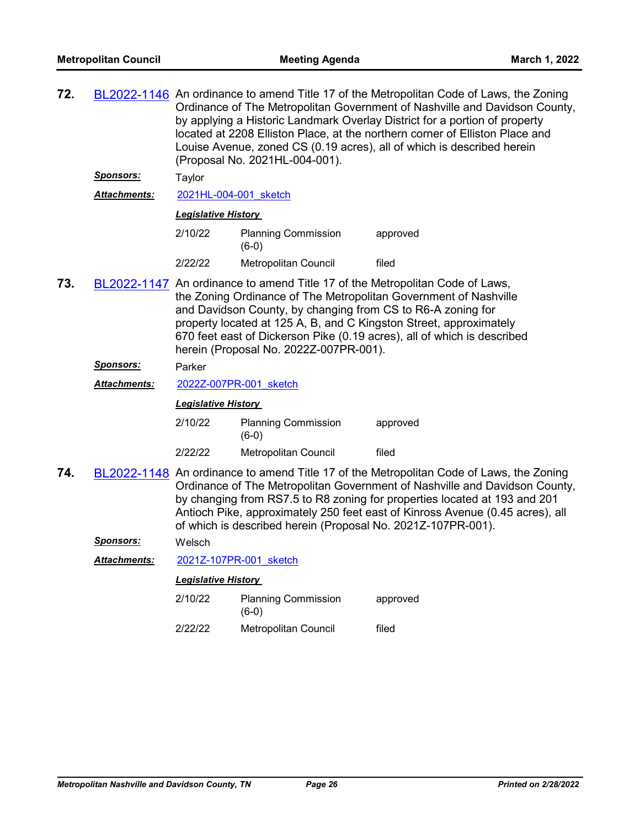| 72. |                     | BL2022-1146 An ordinance to amend Title 17 of the Metropolitan Code of Laws, the Zoning<br>Ordinance of The Metropolitan Government of Nashville and Davidson County,<br>by applying a Historic Landmark Overlay District for a portion of property<br>located at 2208 Elliston Place, at the northern corner of Elliston Place and<br>Louise Avenue, zoned CS (0.19 acres), all of which is described herein<br>(Proposal No. 2021HL-004-001). |                                                              |                                                                                                                                                                                                                                                                                                                                     |  |  |
|-----|---------------------|-------------------------------------------------------------------------------------------------------------------------------------------------------------------------------------------------------------------------------------------------------------------------------------------------------------------------------------------------------------------------------------------------------------------------------------------------|--------------------------------------------------------------|-------------------------------------------------------------------------------------------------------------------------------------------------------------------------------------------------------------------------------------------------------------------------------------------------------------------------------------|--|--|
|     | <u>Sponsors:</u>    | Taylor                                                                                                                                                                                                                                                                                                                                                                                                                                          |                                                              |                                                                                                                                                                                                                                                                                                                                     |  |  |
|     | <b>Attachments:</b> | 2021HL-004-001 sketch                                                                                                                                                                                                                                                                                                                                                                                                                           |                                                              |                                                                                                                                                                                                                                                                                                                                     |  |  |
|     |                     |                                                                                                                                                                                                                                                                                                                                                                                                                                                 | <b>Legislative History</b>                                   |                                                                                                                                                                                                                                                                                                                                     |  |  |
|     |                     | 2/10/22                                                                                                                                                                                                                                                                                                                                                                                                                                         | <b>Planning Commission</b><br>$(6-0)$                        | approved                                                                                                                                                                                                                                                                                                                            |  |  |
|     |                     | 2/22/22                                                                                                                                                                                                                                                                                                                                                                                                                                         | Metropolitan Council                                         | filed                                                                                                                                                                                                                                                                                                                               |  |  |
| 73. |                     | BL2022-1147 An ordinance to amend Title 17 of the Metropolitan Code of Laws,<br>the Zoning Ordinance of The Metropolitan Government of Nashville<br>and Davidson County, by changing from CS to R6-A zoning for<br>property located at 125 A, B, and C Kingston Street, approximately<br>670 feet east of Dickerson Pike (0.19 acres), all of which is described<br>herein (Proposal No. 2022Z-007PR-001).                                      |                                                              |                                                                                                                                                                                                                                                                                                                                     |  |  |
|     | <b>Sponsors:</b>    | Parker                                                                                                                                                                                                                                                                                                                                                                                                                                          |                                                              |                                                                                                                                                                                                                                                                                                                                     |  |  |
|     | <b>Attachments:</b> |                                                                                                                                                                                                                                                                                                                                                                                                                                                 | 2022Z-007PR-001 sketch                                       |                                                                                                                                                                                                                                                                                                                                     |  |  |
|     |                     | <b>Legislative History</b>                                                                                                                                                                                                                                                                                                                                                                                                                      |                                                              |                                                                                                                                                                                                                                                                                                                                     |  |  |
|     |                     | 2/10/22                                                                                                                                                                                                                                                                                                                                                                                                                                         | <b>Planning Commission</b><br>$(6-0)$                        | approved                                                                                                                                                                                                                                                                                                                            |  |  |
|     |                     | 2/22/22                                                                                                                                                                                                                                                                                                                                                                                                                                         | Metropolitan Council                                         | filed                                                                                                                                                                                                                                                                                                                               |  |  |
| 74. |                     |                                                                                                                                                                                                                                                                                                                                                                                                                                                 | of which is described herein (Proposal No. 2021Z-107PR-001). | BL2022-1148 An ordinance to amend Title 17 of the Metropolitan Code of Laws, the Zoning<br>Ordinance of The Metropolitan Government of Nashville and Davidson County,<br>by changing from RS7.5 to R8 zoning for properties located at 193 and 201<br>Antioch Pike, approximately 250 feet east of Kinross Avenue (0.45 acres), all |  |  |
|     | <u>Sponsors:</u>    | Welsch                                                                                                                                                                                                                                                                                                                                                                                                                                          |                                                              |                                                                                                                                                                                                                                                                                                                                     |  |  |
|     | Attachments:        |                                                                                                                                                                                                                                                                                                                                                                                                                                                 | 2021Z-107PR-001 sketch                                       |                                                                                                                                                                                                                                                                                                                                     |  |  |
|     |                     | <b>Legislative History</b>                                                                                                                                                                                                                                                                                                                                                                                                                      |                                                              |                                                                                                                                                                                                                                                                                                                                     |  |  |
|     |                     | 2/10/22                                                                                                                                                                                                                                                                                                                                                                                                                                         | <b>Planning Commission</b><br>$(6-0)$                        | approved                                                                                                                                                                                                                                                                                                                            |  |  |
|     |                     | 2/22/22                                                                                                                                                                                                                                                                                                                                                                                                                                         | Metropolitan Council                                         | filed                                                                                                                                                                                                                                                                                                                               |  |  |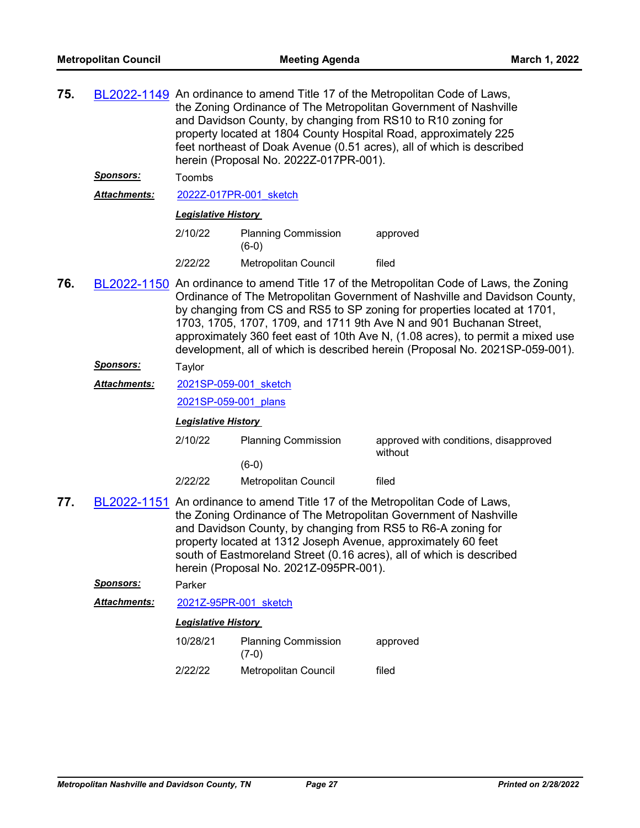| 75. |                     | BL2022-1149 An ordinance to amend Title 17 of the Metropolitan Code of Laws,<br>the Zoning Ordinance of The Metropolitan Government of Nashville<br>and Davidson County, by changing from RS10 to R10 zoning for<br>property located at 1804 County Hospital Road, approximately 225<br>feet northeast of Doak Avenue (0.51 acres), all of which is described<br>herein (Proposal No. 2022Z-017PR-001). |                                                                                                                                                                         |                                                                                                                                                                                                                                                                                                                                                                                                                                                                                            |
|-----|---------------------|---------------------------------------------------------------------------------------------------------------------------------------------------------------------------------------------------------------------------------------------------------------------------------------------------------------------------------------------------------------------------------------------------------|-------------------------------------------------------------------------------------------------------------------------------------------------------------------------|--------------------------------------------------------------------------------------------------------------------------------------------------------------------------------------------------------------------------------------------------------------------------------------------------------------------------------------------------------------------------------------------------------------------------------------------------------------------------------------------|
|     | <u>Sponsors:</u>    | Toombs                                                                                                                                                                                                                                                                                                                                                                                                  |                                                                                                                                                                         |                                                                                                                                                                                                                                                                                                                                                                                                                                                                                            |
|     | <b>Attachments:</b> | 2022Z-017PR-001 sketch                                                                                                                                                                                                                                                                                                                                                                                  |                                                                                                                                                                         |                                                                                                                                                                                                                                                                                                                                                                                                                                                                                            |
|     |                     | <b>Legislative History</b>                                                                                                                                                                                                                                                                                                                                                                              |                                                                                                                                                                         |                                                                                                                                                                                                                                                                                                                                                                                                                                                                                            |
|     |                     | 2/10/22                                                                                                                                                                                                                                                                                                                                                                                                 | <b>Planning Commission</b><br>$(6-0)$                                                                                                                                   | approved                                                                                                                                                                                                                                                                                                                                                                                                                                                                                   |
|     |                     | 2/22/22                                                                                                                                                                                                                                                                                                                                                                                                 | Metropolitan Council                                                                                                                                                    | filed                                                                                                                                                                                                                                                                                                                                                                                                                                                                                      |
| 76. |                     |                                                                                                                                                                                                                                                                                                                                                                                                         |                                                                                                                                                                         | BL2022-1150 An ordinance to amend Title 17 of the Metropolitan Code of Laws, the Zoning<br>Ordinance of The Metropolitan Government of Nashville and Davidson County,<br>by changing from CS and RS5 to SP zoning for properties located at 1701,<br>1703, 1705, 1707, 1709, and 1711 9th Ave N and 901 Buchanan Street,<br>approximately 360 feet east of 10th Ave N, (1.08 acres), to permit a mixed use<br>development, all of which is described herein (Proposal No. 2021SP-059-001). |
|     | <b>Sponsors:</b>    | Taylor                                                                                                                                                                                                                                                                                                                                                                                                  |                                                                                                                                                                         |                                                                                                                                                                                                                                                                                                                                                                                                                                                                                            |
|     | <b>Attachments:</b> | 2021SP-059-001 sketch                                                                                                                                                                                                                                                                                                                                                                                   |                                                                                                                                                                         |                                                                                                                                                                                                                                                                                                                                                                                                                                                                                            |
|     |                     | 2021SP-059-001 plans                                                                                                                                                                                                                                                                                                                                                                                    |                                                                                                                                                                         |                                                                                                                                                                                                                                                                                                                                                                                                                                                                                            |
|     |                     | <b>Legislative History</b>                                                                                                                                                                                                                                                                                                                                                                              |                                                                                                                                                                         |                                                                                                                                                                                                                                                                                                                                                                                                                                                                                            |
|     |                     | 2/10/22                                                                                                                                                                                                                                                                                                                                                                                                 | <b>Planning Commission</b>                                                                                                                                              | approved with conditions, disapproved                                                                                                                                                                                                                                                                                                                                                                                                                                                      |
|     |                     |                                                                                                                                                                                                                                                                                                                                                                                                         | $(6-0)$                                                                                                                                                                 | without                                                                                                                                                                                                                                                                                                                                                                                                                                                                                    |
|     |                     | 2/22/22                                                                                                                                                                                                                                                                                                                                                                                                 | Metropolitan Council                                                                                                                                                    | filed                                                                                                                                                                                                                                                                                                                                                                                                                                                                                      |
| 77. |                     |                                                                                                                                                                                                                                                                                                                                                                                                         | and Davidson County, by changing from RS5 to R6-A zoning for<br>property located at 1312 Joseph Avenue, approximately 60 feet<br>herein (Proposal No. 2021Z-095PR-001). | BL2022-1151 An ordinance to amend Title 17 of the Metropolitan Code of Laws,<br>the Zoning Ordinance of The Metropolitan Government of Nashville<br>south of Eastmoreland Street (0.16 acres), all of which is described                                                                                                                                                                                                                                                                   |
|     | <u>Sponsors:</u>    | Parker                                                                                                                                                                                                                                                                                                                                                                                                  |                                                                                                                                                                         |                                                                                                                                                                                                                                                                                                                                                                                                                                                                                            |
|     | <b>Attachments:</b> | 2021Z-95PR-001 sketch                                                                                                                                                                                                                                                                                                                                                                                   |                                                                                                                                                                         |                                                                                                                                                                                                                                                                                                                                                                                                                                                                                            |
|     |                     | <b>Legislative History</b>                                                                                                                                                                                                                                                                                                                                                                              |                                                                                                                                                                         |                                                                                                                                                                                                                                                                                                                                                                                                                                                                                            |
|     |                     | 10/28/21                                                                                                                                                                                                                                                                                                                                                                                                | <b>Planning Commission</b><br>$(7-0)$                                                                                                                                   | approved                                                                                                                                                                                                                                                                                                                                                                                                                                                                                   |
|     |                     | 2/22/22                                                                                                                                                                                                                                                                                                                                                                                                 | <b>Metropolitan Council</b>                                                                                                                                             | filed                                                                                                                                                                                                                                                                                                                                                                                                                                                                                      |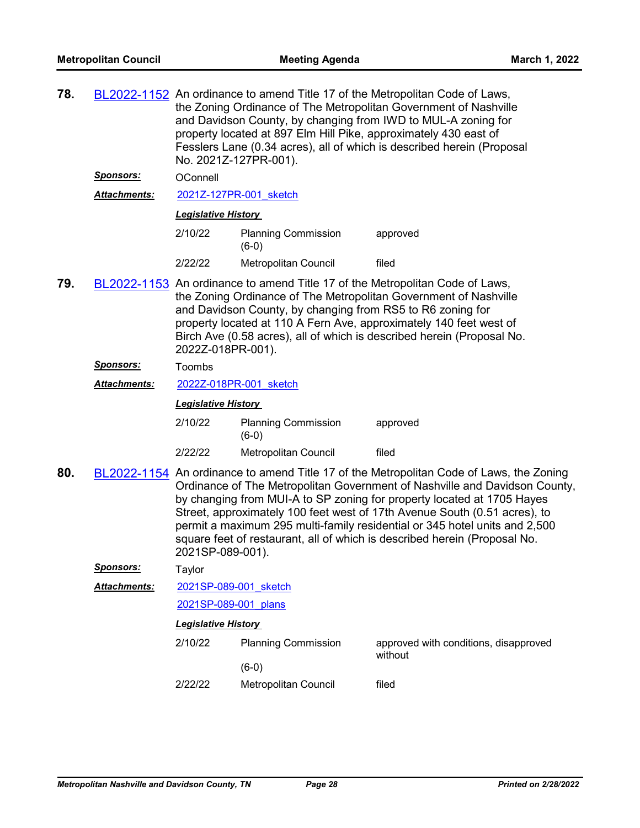| 78. |                                                                                                                                                                                                                                                                                                                                                                                     | BL2022-1152 An ordinance to amend Title 17 of the Metropolitan Code of Laws,<br>the Zoning Ordinance of The Metropolitan Government of Nashville<br>and Davidson County, by changing from IWD to MUL-A zoning for<br>property located at 897 Elm Hill Pike, approximately 430 east of<br>Fesslers Lane (0.34 acres), all of which is described herein (Proposal<br>No. 2021Z-127PR-001). |                                       |                                                                                                                                                                                                                                                                                                                                                                                                                                                                                         |  |  |  |
|-----|-------------------------------------------------------------------------------------------------------------------------------------------------------------------------------------------------------------------------------------------------------------------------------------------------------------------------------------------------------------------------------------|------------------------------------------------------------------------------------------------------------------------------------------------------------------------------------------------------------------------------------------------------------------------------------------------------------------------------------------------------------------------------------------|---------------------------------------|-----------------------------------------------------------------------------------------------------------------------------------------------------------------------------------------------------------------------------------------------------------------------------------------------------------------------------------------------------------------------------------------------------------------------------------------------------------------------------------------|--|--|--|
|     | <b>Sponsors:</b>                                                                                                                                                                                                                                                                                                                                                                    | OConnell                                                                                                                                                                                                                                                                                                                                                                                 |                                       |                                                                                                                                                                                                                                                                                                                                                                                                                                                                                         |  |  |  |
|     | Attachments:                                                                                                                                                                                                                                                                                                                                                                        | 2021Z-127PR-001 sketch                                                                                                                                                                                                                                                                                                                                                                   |                                       |                                                                                                                                                                                                                                                                                                                                                                                                                                                                                         |  |  |  |
|     |                                                                                                                                                                                                                                                                                                                                                                                     | <b>Legislative History</b>                                                                                                                                                                                                                                                                                                                                                               |                                       |                                                                                                                                                                                                                                                                                                                                                                                                                                                                                         |  |  |  |
|     |                                                                                                                                                                                                                                                                                                                                                                                     | 2/10/22                                                                                                                                                                                                                                                                                                                                                                                  | <b>Planning Commission</b><br>$(6-0)$ | approved                                                                                                                                                                                                                                                                                                                                                                                                                                                                                |  |  |  |
|     |                                                                                                                                                                                                                                                                                                                                                                                     | 2/22/22                                                                                                                                                                                                                                                                                                                                                                                  | Metropolitan Council                  | filed                                                                                                                                                                                                                                                                                                                                                                                                                                                                                   |  |  |  |
| 79. | BL2022-1153 An ordinance to amend Title 17 of the Metropolitan Code of Laws,<br>the Zoning Ordinance of The Metropolitan Government of Nashville<br>and Davidson County, by changing from RS5 to R6 zoning for<br>property located at 110 A Fern Ave, approximately 140 feet west of<br>Birch Ave (0.58 acres), all of which is described herein (Proposal No.<br>2022Z-018PR-001). |                                                                                                                                                                                                                                                                                                                                                                                          |                                       |                                                                                                                                                                                                                                                                                                                                                                                                                                                                                         |  |  |  |
|     | <u>Sponsors:</u>                                                                                                                                                                                                                                                                                                                                                                    | Toombs                                                                                                                                                                                                                                                                                                                                                                                   |                                       |                                                                                                                                                                                                                                                                                                                                                                                                                                                                                         |  |  |  |
|     | <b>Attachments:</b>                                                                                                                                                                                                                                                                                                                                                                 | 2022Z-018PR-001 sketch                                                                                                                                                                                                                                                                                                                                                                   |                                       |                                                                                                                                                                                                                                                                                                                                                                                                                                                                                         |  |  |  |
|     |                                                                                                                                                                                                                                                                                                                                                                                     | <b>Legislative History</b>                                                                                                                                                                                                                                                                                                                                                               |                                       |                                                                                                                                                                                                                                                                                                                                                                                                                                                                                         |  |  |  |
|     |                                                                                                                                                                                                                                                                                                                                                                                     | 2/10/22                                                                                                                                                                                                                                                                                                                                                                                  | <b>Planning Commission</b><br>$(6-0)$ | approved                                                                                                                                                                                                                                                                                                                                                                                                                                                                                |  |  |  |
|     |                                                                                                                                                                                                                                                                                                                                                                                     | 2/22/22                                                                                                                                                                                                                                                                                                                                                                                  | Metropolitan Council                  | filed                                                                                                                                                                                                                                                                                                                                                                                                                                                                                   |  |  |  |
| 80. |                                                                                                                                                                                                                                                                                                                                                                                     | 2021SP-089-001).                                                                                                                                                                                                                                                                                                                                                                         |                                       | BL2022-1154 An ordinance to amend Title 17 of the Metropolitan Code of Laws, the Zoning<br>Ordinance of The Metropolitan Government of Nashville and Davidson County,<br>by changing from MUI-A to SP zoning for property located at 1705 Hayes<br>Street, approximately 100 feet west of 17th Avenue South (0.51 acres), to<br>permit a maximum 295 multi-family residential or 345 hotel units and 2,500<br>square feet of restaurant, all of which is described herein (Proposal No. |  |  |  |
|     | <u> Sponsors:</u>                                                                                                                                                                                                                                                                                                                                                                   | Taylor                                                                                                                                                                                                                                                                                                                                                                                   |                                       |                                                                                                                                                                                                                                                                                                                                                                                                                                                                                         |  |  |  |
|     | <b>Attachments:</b>                                                                                                                                                                                                                                                                                                                                                                 | 2021SP-089-001 sketch                                                                                                                                                                                                                                                                                                                                                                    |                                       |                                                                                                                                                                                                                                                                                                                                                                                                                                                                                         |  |  |  |
|     |                                                                                                                                                                                                                                                                                                                                                                                     | 2021SP-089-001 plans                                                                                                                                                                                                                                                                                                                                                                     |                                       |                                                                                                                                                                                                                                                                                                                                                                                                                                                                                         |  |  |  |
|     |                                                                                                                                                                                                                                                                                                                                                                                     | <b>Legislative History</b>                                                                                                                                                                                                                                                                                                                                                               |                                       |                                                                                                                                                                                                                                                                                                                                                                                                                                                                                         |  |  |  |
|     |                                                                                                                                                                                                                                                                                                                                                                                     | 2/10/22                                                                                                                                                                                                                                                                                                                                                                                  | <b>Planning Commission</b>            | approved with conditions, disapproved<br>without                                                                                                                                                                                                                                                                                                                                                                                                                                        |  |  |  |
|     |                                                                                                                                                                                                                                                                                                                                                                                     |                                                                                                                                                                                                                                                                                                                                                                                          | $(6-0)$                               |                                                                                                                                                                                                                                                                                                                                                                                                                                                                                         |  |  |  |
|     |                                                                                                                                                                                                                                                                                                                                                                                     | 2/22/22                                                                                                                                                                                                                                                                                                                                                                                  | Metropolitan Council                  | filed                                                                                                                                                                                                                                                                                                                                                                                                                                                                                   |  |  |  |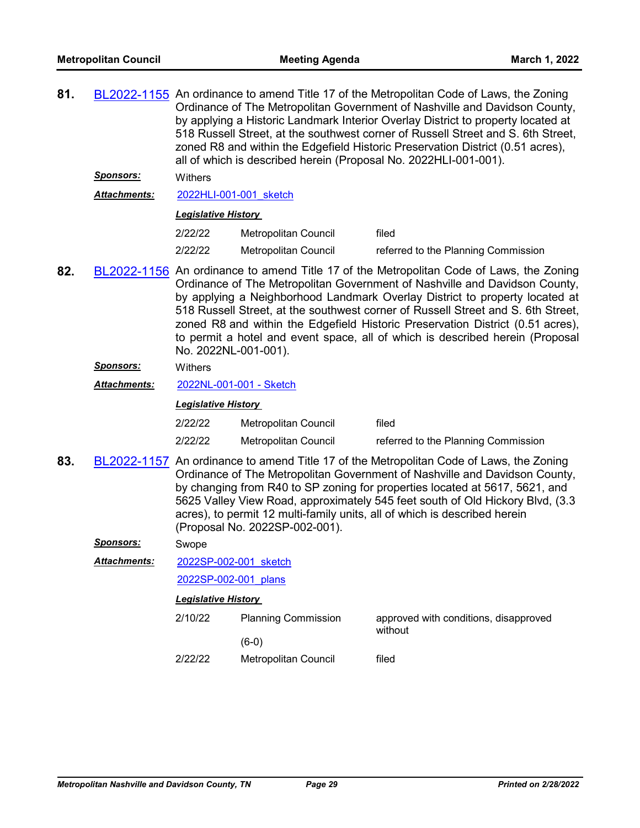| 81. |                     | BL2022-1155 An ordinance to amend Title 17 of the Metropolitan Code of Laws, the Zoning<br>Ordinance of The Metropolitan Government of Nashville and Davidson County,<br>by applying a Historic Landmark Interior Overlay District to property located at<br>518 Russell Street, at the southwest corner of Russell Street and S. 6th Street,<br>zoned R8 and within the Edgefield Historic Preservation District (0.51 acres),<br>all of which is described herein (Proposal No. 2022HLI-001-001).                                 |                             |                                                  |  |  |
|-----|---------------------|-------------------------------------------------------------------------------------------------------------------------------------------------------------------------------------------------------------------------------------------------------------------------------------------------------------------------------------------------------------------------------------------------------------------------------------------------------------------------------------------------------------------------------------|-----------------------------|--------------------------------------------------|--|--|
|     | <u>Sponsors:</u>    | Withers                                                                                                                                                                                                                                                                                                                                                                                                                                                                                                                             |                             |                                                  |  |  |
|     | Attachments:        | 2022HLI-001-001 sketch                                                                                                                                                                                                                                                                                                                                                                                                                                                                                                              |                             |                                                  |  |  |
|     |                     | <b>Legislative History</b>                                                                                                                                                                                                                                                                                                                                                                                                                                                                                                          |                             |                                                  |  |  |
|     |                     | 2/22/22                                                                                                                                                                                                                                                                                                                                                                                                                                                                                                                             | Metropolitan Council        | filed                                            |  |  |
|     |                     | 2/22/22                                                                                                                                                                                                                                                                                                                                                                                                                                                                                                                             | Metropolitan Council        | referred to the Planning Commission              |  |  |
| 82. |                     | BL2022-1156 An ordinance to amend Title 17 of the Metropolitan Code of Laws, the Zoning<br>Ordinance of The Metropolitan Government of Nashville and Davidson County,<br>by applying a Neighborhood Landmark Overlay District to property located at<br>518 Russell Street, at the southwest corner of Russell Street and S. 6th Street,<br>zoned R8 and within the Edgefield Historic Preservation District (0.51 acres),<br>to permit a hotel and event space, all of which is described herein (Proposal<br>No. 2022NL-001-001). |                             |                                                  |  |  |
|     | <u>Sponsors:</u>    | Withers                                                                                                                                                                                                                                                                                                                                                                                                                                                                                                                             |                             |                                                  |  |  |
|     | <b>Attachments:</b> |                                                                                                                                                                                                                                                                                                                                                                                                                                                                                                                                     | 2022NL-001-001 - Sketch     |                                                  |  |  |
|     |                     | <b>Legislative History</b>                                                                                                                                                                                                                                                                                                                                                                                                                                                                                                          |                             |                                                  |  |  |
|     |                     | 2/22/22                                                                                                                                                                                                                                                                                                                                                                                                                                                                                                                             | Metropolitan Council        | filed                                            |  |  |
|     |                     | 2/22/22                                                                                                                                                                                                                                                                                                                                                                                                                                                                                                                             | <b>Metropolitan Council</b> | referred to the Planning Commission              |  |  |
| 83. |                     | BL2022-1157 An ordinance to amend Title 17 of the Metropolitan Code of Laws, the Zoning<br>Ordinance of The Metropolitan Government of Nashville and Davidson County,<br>by changing from R40 to SP zoning for properties located at 5617, 5621, and<br>5625 Valley View Road, approximately 545 feet south of Old Hickory Blvd, (3.3<br>acres), to permit 12 multi-family units, all of which is described herein<br>(Proposal No. 2022SP-002-001).                                                                                |                             |                                                  |  |  |
|     | <u>Sponsors:</u>    | Swope                                                                                                                                                                                                                                                                                                                                                                                                                                                                                                                               |                             |                                                  |  |  |
|     | Attachments:        | 2022SP-002-001 sketch                                                                                                                                                                                                                                                                                                                                                                                                                                                                                                               |                             |                                                  |  |  |
|     |                     | 2022SP-002-001 plans                                                                                                                                                                                                                                                                                                                                                                                                                                                                                                                |                             |                                                  |  |  |
|     |                     | <b>Legislative History</b>                                                                                                                                                                                                                                                                                                                                                                                                                                                                                                          |                             |                                                  |  |  |
|     |                     | 2/10/22                                                                                                                                                                                                                                                                                                                                                                                                                                                                                                                             | <b>Planning Commission</b>  | approved with conditions, disapproved<br>without |  |  |
|     |                     |                                                                                                                                                                                                                                                                                                                                                                                                                                                                                                                                     | $(6-0)$                     |                                                  |  |  |
|     |                     | 2/22/22                                                                                                                                                                                                                                                                                                                                                                                                                                                                                                                             | Metropolitan Council        | filed                                            |  |  |
|     |                     |                                                                                                                                                                                                                                                                                                                                                                                                                                                                                                                                     |                             |                                                  |  |  |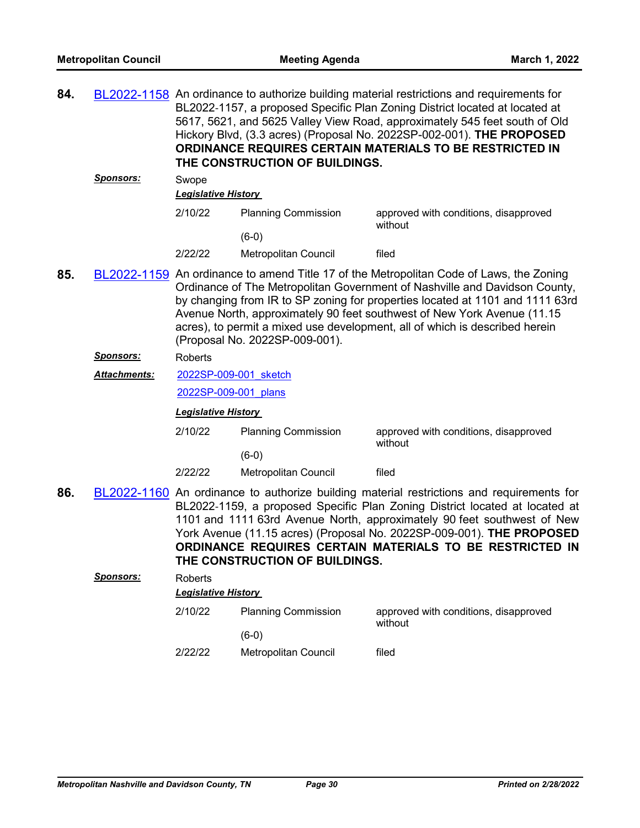| 84. |                     |                                                                                                                                                                                                                                                                                                                                                                                                                                                    | THE CONSTRUCTION OF BUILDINGS. | BL2022-1158 An ordinance to authorize building material restrictions and requirements for<br>BL2022-1157, a proposed Specific Plan Zoning District located at located at<br>5617, 5621, and 5625 Valley View Road, approximately 545 feet south of Old<br>Hickory Blvd, (3.3 acres) (Proposal No. 2022SP-002-001). THE PROPOSED<br><b>ORDINANCE REQUIRES CERTAIN MATERIALS TO BE RESTRICTED IN</b> |
|-----|---------------------|----------------------------------------------------------------------------------------------------------------------------------------------------------------------------------------------------------------------------------------------------------------------------------------------------------------------------------------------------------------------------------------------------------------------------------------------------|--------------------------------|----------------------------------------------------------------------------------------------------------------------------------------------------------------------------------------------------------------------------------------------------------------------------------------------------------------------------------------------------------------------------------------------------|
|     | <u>Sponsors:</u>    | Swope                                                                                                                                                                                                                                                                                                                                                                                                                                              |                                |                                                                                                                                                                                                                                                                                                                                                                                                    |
|     |                     | <b>Legislative History</b>                                                                                                                                                                                                                                                                                                                                                                                                                         |                                |                                                                                                                                                                                                                                                                                                                                                                                                    |
|     |                     | 2/10/22                                                                                                                                                                                                                                                                                                                                                                                                                                            | <b>Planning Commission</b>     | approved with conditions, disapproved<br>without                                                                                                                                                                                                                                                                                                                                                   |
|     |                     |                                                                                                                                                                                                                                                                                                                                                                                                                                                    | $(6-0)$                        |                                                                                                                                                                                                                                                                                                                                                                                                    |
|     |                     | 2/22/22                                                                                                                                                                                                                                                                                                                                                                                                                                            | Metropolitan Council           | filed                                                                                                                                                                                                                                                                                                                                                                                              |
| 85. |                     | BL2022-1159 An ordinance to amend Title 17 of the Metropolitan Code of Laws, the Zoning<br>Ordinance of The Metropolitan Government of Nashville and Davidson County,<br>by changing from IR to SP zoning for properties located at 1101 and 1111 63rd<br>Avenue North, approximately 90 feet southwest of New York Avenue (11.15<br>acres), to permit a mixed use development, all of which is described herein<br>(Proposal No. 2022SP-009-001). |                                |                                                                                                                                                                                                                                                                                                                                                                                                    |
|     | <u>Sponsors:</u>    | <b>Roberts</b>                                                                                                                                                                                                                                                                                                                                                                                                                                     |                                |                                                                                                                                                                                                                                                                                                                                                                                                    |
|     | <b>Attachments:</b> | 2022SP-009-001 sketch                                                                                                                                                                                                                                                                                                                                                                                                                              |                                |                                                                                                                                                                                                                                                                                                                                                                                                    |
|     |                     | 2022SP-009-001 plans                                                                                                                                                                                                                                                                                                                                                                                                                               |                                |                                                                                                                                                                                                                                                                                                                                                                                                    |
|     |                     | <b>Legislative History</b>                                                                                                                                                                                                                                                                                                                                                                                                                         |                                |                                                                                                                                                                                                                                                                                                                                                                                                    |
|     |                     | 2/10/22                                                                                                                                                                                                                                                                                                                                                                                                                                            | <b>Planning Commission</b>     | approved with conditions, disapproved<br>without                                                                                                                                                                                                                                                                                                                                                   |
|     |                     |                                                                                                                                                                                                                                                                                                                                                                                                                                                    | $(6-0)$                        |                                                                                                                                                                                                                                                                                                                                                                                                    |
|     |                     | 2/22/22                                                                                                                                                                                                                                                                                                                                                                                                                                            | Metropolitan Council           | filed                                                                                                                                                                                                                                                                                                                                                                                              |
| 86. |                     |                                                                                                                                                                                                                                                                                                                                                                                                                                                    | THE CONSTRUCTION OF BUILDINGS. | BL2022-1160 An ordinance to authorize building material restrictions and requirements for<br>BL2022-1159, a proposed Specific Plan Zoning District located at located at<br>1101 and 1111 63rd Avenue North, approximately 90 feet southwest of New<br>York Avenue (11.15 acres) (Proposal No. 2022SP-009-001). THE PROPOSED<br>ORDINANCE REQUIRES CERTAIN MATERIALS TO BE RESTRICTED IN           |
|     | <b>Sponsors:</b>    | Roberts<br><b>Legislative History</b>                                                                                                                                                                                                                                                                                                                                                                                                              |                                |                                                                                                                                                                                                                                                                                                                                                                                                    |
|     |                     | 2/10/22                                                                                                                                                                                                                                                                                                                                                                                                                                            | <b>Planning Commission</b>     | approved with conditions, disapproved<br>without                                                                                                                                                                                                                                                                                                                                                   |
|     |                     |                                                                                                                                                                                                                                                                                                                                                                                                                                                    | $(6-0)$                        |                                                                                                                                                                                                                                                                                                                                                                                                    |
|     |                     | 2/22/22                                                                                                                                                                                                                                                                                                                                                                                                                                            | Metropolitan Council           | filed                                                                                                                                                                                                                                                                                                                                                                                              |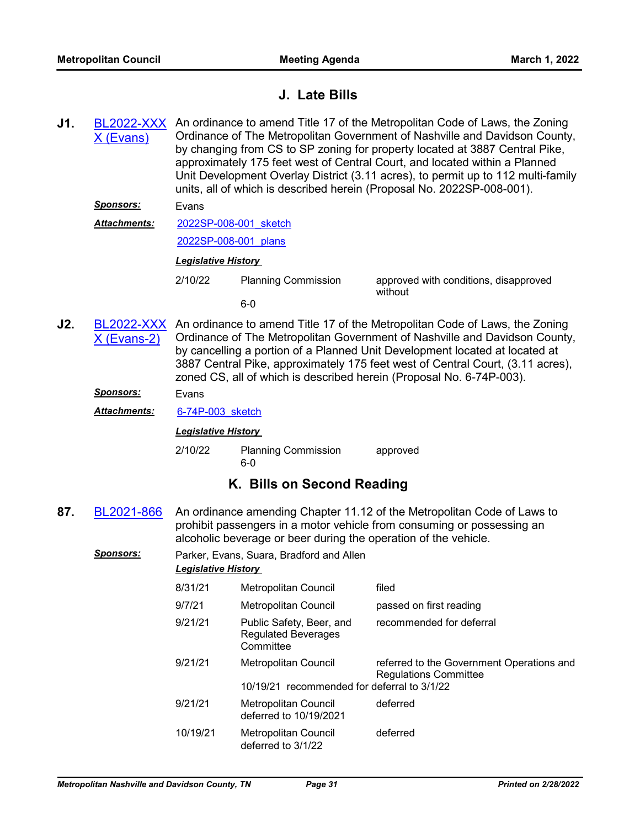# **J. Late Bills**

- **J1.** [BL2022-XXX](http://nashville.legistar.com/gateway.aspx?m=l&id=/matter.aspx?key=14176) (Evans) An ordinance to amend Title 17 of the Metropolitan Code of Laws, the Zoning Ordinance of The Metropolitan Government of Nashville and Davidson County, by changing from CS to SP zoning for property located at 3887 Central Pike, approximately 175 feet west of Central Court, and located within a Planned Unit Development Overlay District (3.11 acres), to permit up to 112 multi-family units, all of which is described herein (Proposal No. 2022SP-008-001). *Sponsors:* Evans
	- [2022SP-008-001\\_sketch](http://nashville.legistar.com/gateway.aspx?M=F&ID=612ad25f-87a0-48af-ad83-a7773e0e4806.docx) *Attachments:*

# [2022SP-008-001\\_plans](http://nashville.legistar.com/gateway.aspx?M=F&ID=ca0e297e-4e53-4eb6-b885-5bac34fbcadd.pdf)

## *Legislative History*

- - 6-0

2/10/22 Planning Commission approved with conditions, disapproved without

**J2.** [BL2022-XXX](http://nashville.legistar.com/gateway.aspx?m=l&id=/matter.aspx?key=14178) X (Evans-2) An ordinance to amend Title 17 of the Metropolitan Code of Laws, the Zoning Ordinance of The Metropolitan Government of Nashville and Davidson County, by cancelling a portion of a Planned Unit Development located at located at 3887 Central Pike, approximately 175 feet west of Central Court, (3.11 acres), zoned CS, all of which is described herein (Proposal No. 6-74P-003).

*Sponsors:* Evans

*Attachments:* [6-74P-003\\_sketch](http://nashville.legistar.com/gateway.aspx?M=F&ID=0b68f50e-12dd-4dfc-9d67-324f5e947c31.docx)

*Legislative History* 

2/10/22 Planning Commission approved 6-0

# **K. Bills on Second Reading**

- **87.** [BL2021-866](http://nashville.legistar.com/gateway.aspx?m=l&id=/matter.aspx?key=13537) An ordinance amending Chapter 11.12 of the Metropolitan Code of Laws to prohibit passengers in a motor vehicle from consuming or possessing an alcoholic beverage or beer during the operation of the vehicle.
	- *Sponsors:* Parker, Evans, Suara, Bradford and Allen *Legislative History*

| 8/31/21  | Metropolitan Council                                                       | filed                                                                     |
|----------|----------------------------------------------------------------------------|---------------------------------------------------------------------------|
| 9/7/21   | Metropolitan Council                                                       | passed on first reading                                                   |
| 9/21/21  | Public Safety, Beer, and<br><b>Regulated Beverages</b><br>Committee        | recommended for deferral                                                  |
| 9/21/21  | <b>Metropolitan Council</b><br>10/19/21 recommended for deferral to 3/1/22 | referred to the Government Operations and<br><b>Regulations Committee</b> |
| 9/21/21  | Metropolitan Council<br>deferred to 10/19/2021                             | deferred                                                                  |
| 10/19/21 | Metropolitan Council<br>deferred to 3/1/22                                 | deferred                                                                  |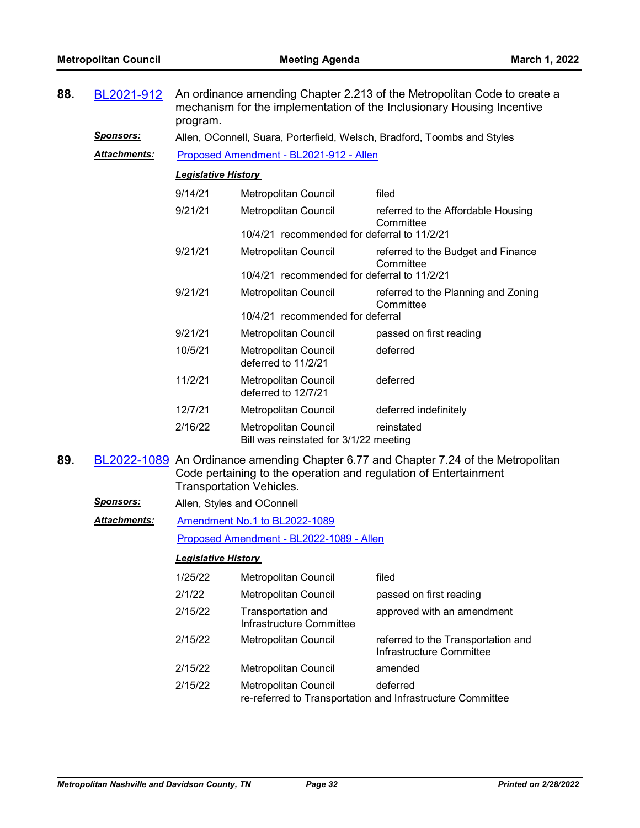| 88. | BL2021-912          | An ordinance amending Chapter 2.213 of the Metropolitan Code to create a<br>mechanism for the implementation of the Inclusionary Housing Incentive<br>program. |                                                                                                     |                                                                                     |  |
|-----|---------------------|----------------------------------------------------------------------------------------------------------------------------------------------------------------|-----------------------------------------------------------------------------------------------------|-------------------------------------------------------------------------------------|--|
|     | <u>Sponsors:</u>    |                                                                                                                                                                |                                                                                                     | Allen, OConnell, Suara, Porterfield, Welsch, Bradford, Toombs and Styles            |  |
|     | Attachments:        |                                                                                                                                                                | Proposed Amendment - BL2021-912 - Allen                                                             |                                                                                     |  |
|     |                     | <b>Legislative History</b>                                                                                                                                     |                                                                                                     |                                                                                     |  |
|     |                     | 9/14/21                                                                                                                                                        | Metropolitan Council                                                                                | filed                                                                               |  |
|     |                     | 9/21/21                                                                                                                                                        | Metropolitan Council                                                                                | referred to the Affordable Housing<br>Committee                                     |  |
|     |                     |                                                                                                                                                                | 10/4/21 recommended for deferral to 11/2/21                                                         |                                                                                     |  |
|     |                     | 9/21/21                                                                                                                                                        | Metropolitan Council                                                                                | referred to the Budget and Finance<br>Committee                                     |  |
|     |                     |                                                                                                                                                                | 10/4/21 recommended for deferral to 11/2/21                                                         |                                                                                     |  |
|     |                     | 9/21/21                                                                                                                                                        | <b>Metropolitan Council</b>                                                                         | referred to the Planning and Zoning<br>Committee                                    |  |
|     |                     |                                                                                                                                                                | 10/4/21 recommended for deferral                                                                    |                                                                                     |  |
|     |                     | 9/21/21                                                                                                                                                        | Metropolitan Council                                                                                | passed on first reading                                                             |  |
|     |                     | 10/5/21                                                                                                                                                        | Metropolitan Council<br>deferred to 11/2/21                                                         | deferred                                                                            |  |
|     |                     | 11/2/21                                                                                                                                                        | Metropolitan Council<br>deferred to 12/7/21                                                         | deferred                                                                            |  |
|     |                     | 12/7/21                                                                                                                                                        | Metropolitan Council                                                                                | deferred indefinitely                                                               |  |
|     |                     | 2/16/22                                                                                                                                                        | Metropolitan Council<br>Bill was reinstated for 3/1/22 meeting                                      | reinstated                                                                          |  |
| 89. |                     |                                                                                                                                                                | Code pertaining to the operation and regulation of Entertainment<br><b>Transportation Vehicles.</b> | BL2022-1089 An Ordinance amending Chapter 6.77 and Chapter 7.24 of the Metropolitan |  |
|     | <u>Sponsors:</u>    |                                                                                                                                                                | Allen, Styles and OConnell                                                                          |                                                                                     |  |
|     | <b>Attachments:</b> |                                                                                                                                                                | Amendment No.1 to BL2022-1089                                                                       |                                                                                     |  |
|     |                     |                                                                                                                                                                | Proposed Amendment - BL2022-1089 - Allen                                                            |                                                                                     |  |
|     |                     | <b>Legislative History</b>                                                                                                                                     |                                                                                                     |                                                                                     |  |
|     |                     | 1/25/22                                                                                                                                                        | Metropolitan Council                                                                                | filed                                                                               |  |
|     |                     | 2/1/22                                                                                                                                                         | Metropolitan Council                                                                                | passed on first reading                                                             |  |
|     |                     | 2/15/22                                                                                                                                                        | Transportation and<br>Infrastructure Committee                                                      | approved with an amendment                                                          |  |
|     |                     | 2/15/22                                                                                                                                                        | <b>Metropolitan Council</b>                                                                         | referred to the Transportation and<br>Infrastructure Committee                      |  |
|     |                     | 2/15/22                                                                                                                                                        | Metropolitan Council                                                                                | amended                                                                             |  |
|     |                     | 2/15/22                                                                                                                                                        | Metropolitan Council                                                                                | deferred<br>re-referred to Transportation and Infrastructure Committee              |  |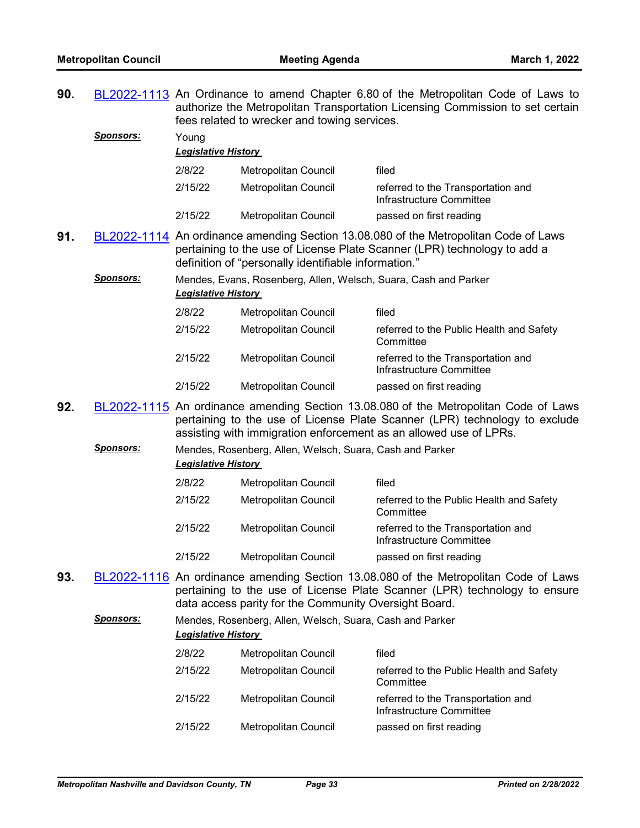| referred to the Transportation and                                                                                                                                                                                       |  |  |
|--------------------------------------------------------------------------------------------------------------------------------------------------------------------------------------------------------------------------|--|--|
|                                                                                                                                                                                                                          |  |  |
| BL2022-1114 An ordinance amending Section 13.08.080 of the Metropolitan Code of Laws<br>pertaining to the use of License Plate Scanner (LPR) technology to add a<br>definition of "personally identifiable information." |  |  |
| Mendes, Evans, Rosenberg, Allen, Welsch, Suara, Cash and Parker<br><b>Legislative History</b>                                                                                                                            |  |  |
|                                                                                                                                                                                                                          |  |  |
|                                                                                                                                                                                                                          |  |  |

| 2/15/22 | Metropolitan Council | referred to the Public Health and Safety<br>Committee          |
|---------|----------------------|----------------------------------------------------------------|
| 2/15/22 | Metropolitan Council | referred to the Transportation and<br>Infrastructure Committee |
| 2/15/22 | Metropolitan Council | passed on first reading                                        |

- **92.** [BL2022-1115](http://nashville.legistar.com/gateway.aspx?m=l&id=/matter.aspx?key=14143) An ordinance amending Section 13.08.080 of the Metropolitan Code of Laws pertaining to the use of License Plate Scanner (LPR) technology to exclude assisting with immigration enforcement as an allowed use of LPRs.
	- *Sponsors:* Mendes, Rosenberg, Allen, Welsch, Suara, Cash and Parker *Legislative History*

| 2/8/22  | <b>Metropolitan Council</b> | filed                                                          |
|---------|-----------------------------|----------------------------------------------------------------|
| 2/15/22 | Metropolitan Council        | referred to the Public Health and Safety<br>Committee          |
| 2/15/22 | <b>Metropolitan Council</b> | referred to the Transportation and<br>Infrastructure Committee |
| 2/15/22 | <b>Metropolitan Council</b> | passed on first reading                                        |

**93.** [BL2022-1116](http://nashville.legistar.com/gateway.aspx?m=l&id=/matter.aspx?key=14135) An ordinance amending Section 13.08.080 of the Metropolitan Code of Laws pertaining to the use of License Plate Scanner (LPR) technology to ensure data access parity for the Community Oversight Board.

# *Sponsors:* Mendes, Rosenberg, Allen, Welsch, Suara, Cash and Parker *Legislative History*  2/8/22 Metropolitan Council filed 2/15/22 Metropolitan Council referred to the Public Health and Safety **Committee**

2/15/22 Metropolitan Council referred to the Transportation and Infrastructure Committee 2/15/22 Metropolitan Council passed on first reading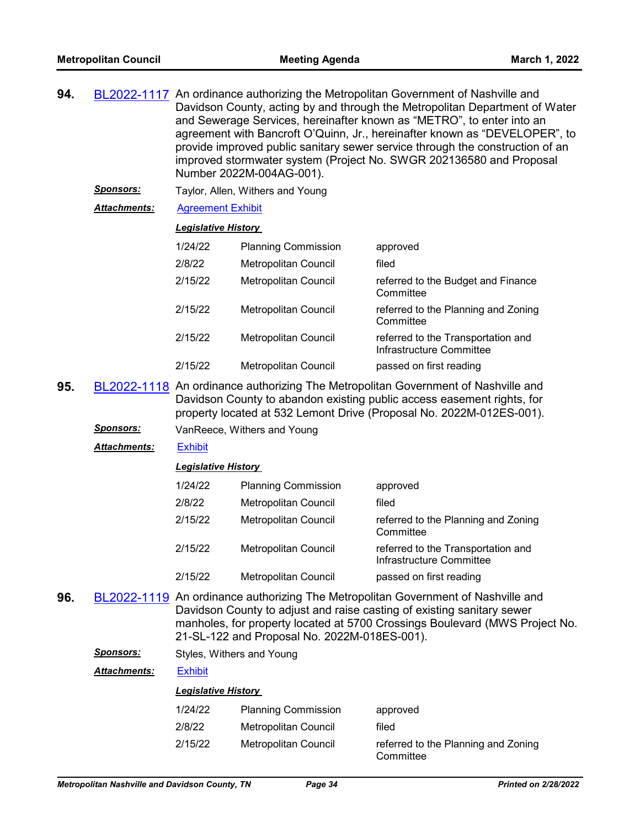| 94. | BL2022-1117 An ordinance authorizing the Metropolitan Government of Nashville and |
|-----|-----------------------------------------------------------------------------------|
|     | Davidson County, acting by and through the Metropolitan Department of Water       |
|     | and Sewerage Services, hereinafter known as "METRO", to enter into an             |
|     | agreement with Bancroft O'Quinn, Jr., hereinafter known as "DEVELOPER", to        |
|     | provide improved public sanitary sewer service through the construction of an     |
|     | improved stormwater system (Project No. SWGR 202136580 and Proposal               |
|     | Number 2022M-004AG-001).                                                          |
|     |                                                                                   |

- *Sponsors:* Taylor, Allen, Withers and Young
- *Attachments:* [Agreement Exhibit](http://nashville.legistar.com/gateway.aspx?M=F&ID=e3025aaa-57fa-40a6-869d-d66684d27d58.pdf)

| 1/24/22 |                             |                                                                |
|---------|-----------------------------|----------------------------------------------------------------|
|         | <b>Planning Commission</b>  | approved                                                       |
| 2/8/22  | Metropolitan Council        | filed                                                          |
| 2/15/22 | <b>Metropolitan Council</b> | referred to the Budget and Finance<br>Committee                |
| 2/15/22 | Metropolitan Council        | referred to the Planning and Zoning<br>Committee               |
| 2/15/22 | <b>Metropolitan Council</b> | referred to the Transportation and<br>Infrastructure Committee |
| 2/15/22 | <b>Metropolitan Council</b> | passed on first reading                                        |

- **95.** [BL2022-1118](http://nashville.legistar.com/gateway.aspx?m=l&id=/matter.aspx?key=14128) An ordinance authorizing The Metropolitan Government of Nashville and Davidson County to abandon existing public access easement rights, for property located at 532 Lemont Drive (Proposal No. 2022M-012ES-001).
	- *Sponsors:* VanReece, Withers and Young
	- *Attachments:* [Exhibit](http://nashville.legistar.com/gateway.aspx?M=F&ID=48475dbe-6e67-4913-b4e7-b4dfbfc48b16.pdf)

#### *Legislative History*

| 1/24/22 | <b>Planning Commission</b>  | approved                                                       |
|---------|-----------------------------|----------------------------------------------------------------|
| 2/8/22  | <b>Metropolitan Council</b> | filed                                                          |
| 2/15/22 | Metropolitan Council        | referred to the Planning and Zoning<br>Committee               |
| 2/15/22 | <b>Metropolitan Council</b> | referred to the Transportation and<br>Infrastructure Committee |
| 2/15/22 | Metropolitan Council        | passed on first reading                                        |

- **96.** [BL2022-1119](http://nashville.legistar.com/gateway.aspx?m=l&id=/matter.aspx?key=14129) An ordinance authorizing The Metropolitan Government of Nashville and Davidson County to adjust and raise casting of existing sanitary sewer manholes, for property located at 5700 Crossings Boulevard (MWS Project No. 21-SL-122 and Proposal No. 2022M-018ES-001).
	- **Sponsors:** Styles, Withers and Young

*Attachments:* [Exhibit](http://nashville.legistar.com/gateway.aspx?M=F&ID=21724904-2cad-46bd-a874-820a0782e91d.pdf)

| 1/24/22 | <b>Planning Commission</b> | approved                                         |
|---------|----------------------------|--------------------------------------------------|
| 2/8/22  | Metropolitan Council       | filed                                            |
| 2/15/22 | Metropolitan Council       | referred to the Planning and Zoning<br>Committee |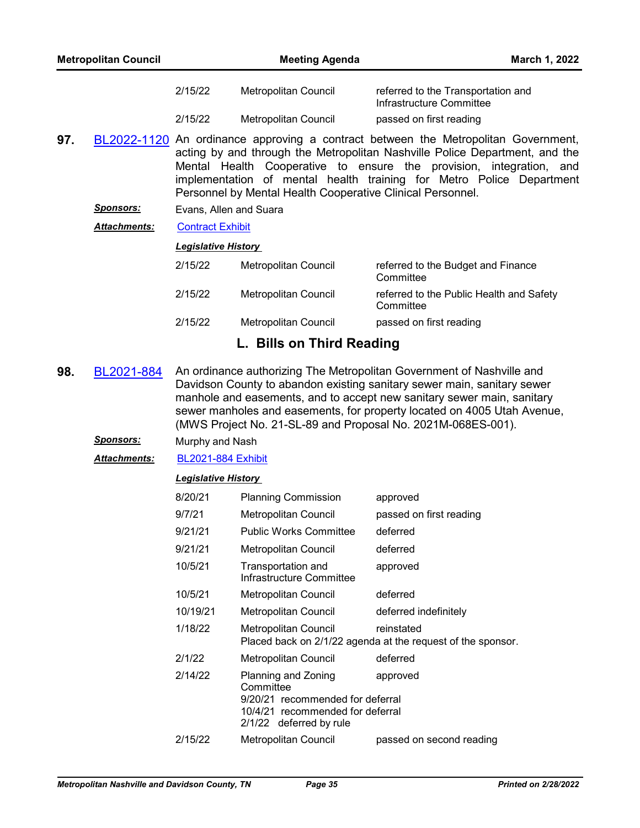| <b>Metropolitan Council</b> |                     | <b>Meeting Agenda</b>                                                                                                                                                                                                                                                                                                                                                          |                      |                                                                | March 1, 2022 |
|-----------------------------|---------------------|--------------------------------------------------------------------------------------------------------------------------------------------------------------------------------------------------------------------------------------------------------------------------------------------------------------------------------------------------------------------------------|----------------------|----------------------------------------------------------------|---------------|
|                             |                     | 2/15/22                                                                                                                                                                                                                                                                                                                                                                        | Metropolitan Council | referred to the Transportation and<br>Infrastructure Committee |               |
|                             |                     | 2/15/22                                                                                                                                                                                                                                                                                                                                                                        | Metropolitan Council | passed on first reading                                        |               |
| 97.                         |                     | BL2022-1120 An ordinance approving a contract between the Metropolitan Government,<br>acting by and through the Metropolitan Nashville Police Department, and the<br>Mental Health Cooperative to ensure the provision, integration, and<br>implementation of mental health training for Metro Police Department<br>Personnel by Mental Health Cooperative Clinical Personnel. |                      |                                                                |               |
|                             | <b>Sponsors:</b>    | Evans, Allen and Suara                                                                                                                                                                                                                                                                                                                                                         |                      |                                                                |               |
|                             | <b>Attachments:</b> | <b>Contract Exhibit</b>                                                                                                                                                                                                                                                                                                                                                        |                      |                                                                |               |
|                             |                     | <b>Legislative History</b>                                                                                                                                                                                                                                                                                                                                                     |                      |                                                                |               |

| 2/15/22 | <b>Metropolitan Council</b> | referred to the Budget and Finance<br>Committee       |
|---------|-----------------------------|-------------------------------------------------------|
| 2/15/22 | Metropolitan Council        | referred to the Public Health and Safety<br>Committee |
| 2/15/22 | Metropolitan Council        | passed on first reading                               |

# **L. Bills on Third Reading**

- **98.** [BL2021-884](http://nashville.legistar.com/gateway.aspx?m=l&id=/matter.aspx?key=13526) An ordinance authorizing The Metropolitan Government of Nashville and Davidson County to abandon existing sanitary sewer main, sanitary sewer manhole and easements, and to accept new sanitary sewer main, sanitary sewer manholes and easements, for property located on 4005 Utah Avenue, (MWS Project No. 21-SL-89 and Proposal No. 2021M-068ES-001).
	- *Sponsors:* Murphy and Nash

*Attachments:* [BL2021-884 Exhibit](http://nashville.legistar.com/gateway.aspx?M=F&ID=f23a379e-337a-4af1-bff9-5459762f5cde.pdf)

| 8/20/21  | <b>Planning Commission</b>                                                                                           | approved                                                                  |
|----------|----------------------------------------------------------------------------------------------------------------------|---------------------------------------------------------------------------|
| 9/7/21   | Metropolitan Council                                                                                                 | passed on first reading                                                   |
| 9/21/21  | <b>Public Works Committee</b>                                                                                        | deferred                                                                  |
| 9/21/21  | Metropolitan Council                                                                                                 | deferred                                                                  |
| 10/5/21  | Transportation and<br>Infrastructure Committee                                                                       | approved                                                                  |
| 10/5/21  | Metropolitan Council                                                                                                 | deferred                                                                  |
| 10/19/21 | Metropolitan Council                                                                                                 | deferred indefinitely                                                     |
| 1/18/22  | Metropolitan Council                                                                                                 | reinstated<br>Placed back on 2/1/22 agenda at the request of the sponsor. |
| 2/1/22   | Metropolitan Council                                                                                                 | deferred                                                                  |
| 2/14/22  | Planning and Zoning<br>approved<br>Committee<br>9/20/21 recommended for deferral<br>10/4/21 recommended for deferral |                                                                           |
|          | 2/1/22 deferred by rule                                                                                              |                                                                           |
| 2/15/22  | Metropolitan Council                                                                                                 | passed on second reading                                                  |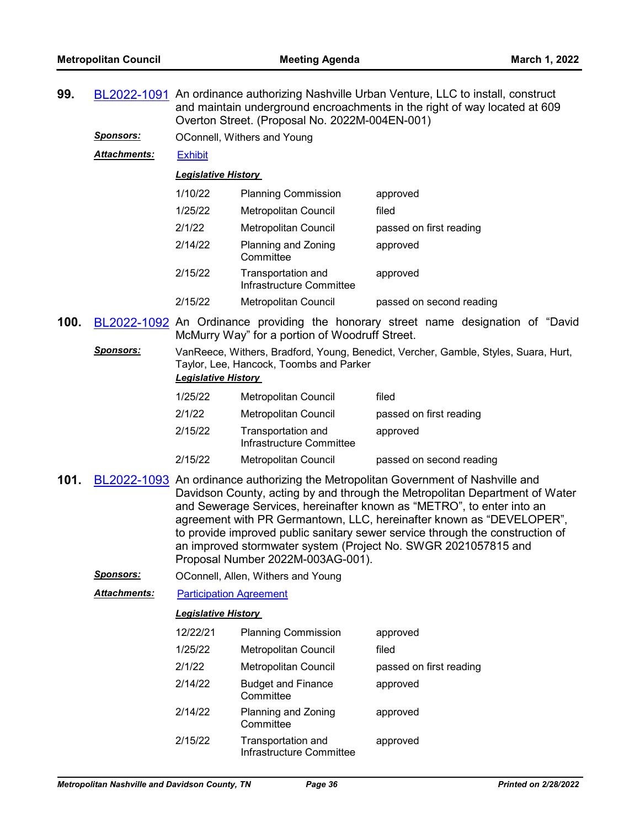- **99.** [BL2022-1091](http://nashville.legistar.com/gateway.aspx?m=l&id=/matter.aspx?key=14060) An ordinance authorizing Nashville Urban Venture, LLC to install, construct and maintain underground encroachments in the right of way located at 609 Overton Street. (Proposal No. 2022M-004EN-001)
	- **Sponsors: OConnell, Withers and Young**

*Attachments:* [Exhibit](http://nashville.legistar.com/gateway.aspx?M=F&ID=6534b780-8b41-4adc-a3cf-398384352a74.pdf)

#### *Legislative History*

| 1/10/22 | <b>Planning Commission</b>                     | approved                 |
|---------|------------------------------------------------|--------------------------|
| 1/25/22 | <b>Metropolitan Council</b>                    | filed                    |
| 2/1/22  | <b>Metropolitan Council</b>                    | passed on first reading  |
| 2/14/22 | Planning and Zoning<br>Committee               | approved                 |
| 2/15/22 | Transportation and<br>Infrastructure Committee | approved                 |
| 2/15/22 | <b>Metropolitan Council</b>                    | passed on second reading |

- **100.** [BL2022-1092](http://nashville.legistar.com/gateway.aspx?m=l&id=/matter.aspx?key=14104) An Ordinance providing the honorary street name designation of "David McMurry Way" for a portion of Woodruff Street.
	- *Sponsors:* VanReece, Withers, Bradford, Young, Benedict, Vercher, Gamble, Styles, Suara, Hurt, Taylor, Lee, Hancock, Toombs and Parker *Legislative History*

| 1/25/22 | Metropolitan Council                           | filed                    |
|---------|------------------------------------------------|--------------------------|
| 2/1/22  | Metropolitan Council                           | passed on first reading  |
| 2/15/22 | Transportation and<br>Infrastructure Committee | approved                 |
| 2/15/22 | <b>Metropolitan Council</b>                    | passed on second reading |

- **101.** [BL2022-1093](http://nashville.legistar.com/gateway.aspx?m=l&id=/matter.aspx?key=14061) An ordinance authorizing the Metropolitan Government of Nashville and Davidson County, acting by and through the Metropolitan Department of Water and Sewerage Services, hereinafter known as "METRO", to enter into an agreement with PR Germantown, LLC, hereinafter known as "DEVELOPER", to provide improved public sanitary sewer service through the construction of an improved stormwater system (Project No. SWGR 2021057815 and Proposal Number 2022M-003AG-001).
	- *Sponsors:* OConnell, Allen, Withers and Young
	- *Attachments:* [Participation Agreement](http://nashville.legistar.com/gateway.aspx?M=F&ID=f97492e2-9bb1-462f-98d7-2668fd8f4fa2.pdf)

| 12/22/21 | <b>Planning Commission</b>                     | approved                |
|----------|------------------------------------------------|-------------------------|
| 1/25/22  | Metropolitan Council                           | filed                   |
| 2/1/22   | <b>Metropolitan Council</b>                    | passed on first reading |
| 2/14/22  | <b>Budget and Finance</b><br>Committee         | approved                |
| 2/14/22  | Planning and Zoning<br>Committee               | approved                |
| 2/15/22  | Transportation and<br>Infrastructure Committee | approved                |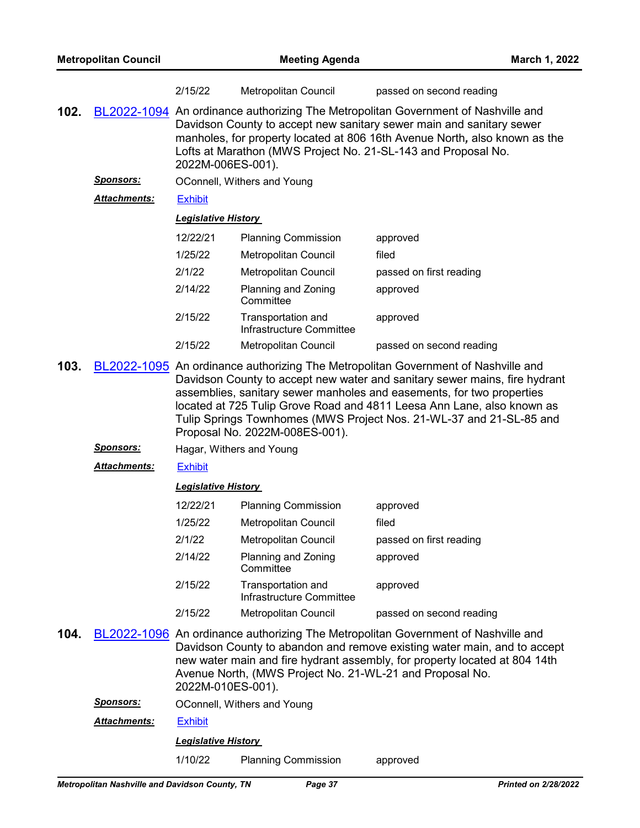|      |                      | 2/15/22                                                                                                                                                                                                                                                                                                                                                                                                                     | Metropolitan Council                                                                   | passed on second reading                                                                                                                                                                                                                    |
|------|----------------------|-----------------------------------------------------------------------------------------------------------------------------------------------------------------------------------------------------------------------------------------------------------------------------------------------------------------------------------------------------------------------------------------------------------------------------|----------------------------------------------------------------------------------------|---------------------------------------------------------------------------------------------------------------------------------------------------------------------------------------------------------------------------------------------|
| 102. |                      | BL2022-1094 An ordinance authorizing The Metropolitan Government of Nashville and<br>Davidson County to accept new sanitary sewer main and sanitary sewer<br>manholes, for property located at 806 16th Avenue North, also known as the<br>Lofts at Marathon (MWS Project No. 21-SL-143 and Proposal No.<br>2022M-006ES-001).                                                                                               |                                                                                        |                                                                                                                                                                                                                                             |
|      | <u>Sponsors:</u>     | OConnell, Withers and Young                                                                                                                                                                                                                                                                                                                                                                                                 |                                                                                        |                                                                                                                                                                                                                                             |
|      | <b>Attachments:</b>  | <b>Exhibit</b>                                                                                                                                                                                                                                                                                                                                                                                                              |                                                                                        |                                                                                                                                                                                                                                             |
|      |                      | <b>Legislative History</b>                                                                                                                                                                                                                                                                                                                                                                                                  |                                                                                        |                                                                                                                                                                                                                                             |
|      |                      | 12/22/21                                                                                                                                                                                                                                                                                                                                                                                                                    | <b>Planning Commission</b>                                                             | approved                                                                                                                                                                                                                                    |
|      |                      | 1/25/22                                                                                                                                                                                                                                                                                                                                                                                                                     | <b>Metropolitan Council</b>                                                            | filed                                                                                                                                                                                                                                       |
|      |                      | 2/1/22                                                                                                                                                                                                                                                                                                                                                                                                                      | <b>Metropolitan Council</b>                                                            | passed on first reading                                                                                                                                                                                                                     |
|      |                      | 2/14/22                                                                                                                                                                                                                                                                                                                                                                                                                     | Planning and Zoning<br>Committee                                                       | approved                                                                                                                                                                                                                                    |
|      |                      | 2/15/22                                                                                                                                                                                                                                                                                                                                                                                                                     | Transportation and<br>Infrastructure Committee                                         | approved                                                                                                                                                                                                                                    |
|      |                      | 2/15/22                                                                                                                                                                                                                                                                                                                                                                                                                     | Metropolitan Council                                                                   | passed on second reading                                                                                                                                                                                                                    |
| 103. |                      | BL2022-1095 An ordinance authorizing The Metropolitan Government of Nashville and<br>Davidson County to accept new water and sanitary sewer mains, fire hydrant<br>assemblies, sanitary sewer manholes and easements, for two properties<br>located at 725 Tulip Grove Road and 4811 Leesa Ann Lane, also known as<br>Tulip Springs Townhomes (MWS Project Nos. 21-WL-37 and 21-SL-85 and<br>Proposal No. 2022M-008ES-001). |                                                                                        |                                                                                                                                                                                                                                             |
|      | <u>Sponsors:</u>     | Hagar, Withers and Young                                                                                                                                                                                                                                                                                                                                                                                                    |                                                                                        |                                                                                                                                                                                                                                             |
|      | <u> Attachments:</u> | <b>Exhibit</b>                                                                                                                                                                                                                                                                                                                                                                                                              |                                                                                        |                                                                                                                                                                                                                                             |
|      |                      | <b>Legislative History</b>                                                                                                                                                                                                                                                                                                                                                                                                  |                                                                                        |                                                                                                                                                                                                                                             |
|      |                      | 12/22/21                                                                                                                                                                                                                                                                                                                                                                                                                    | <b>Planning Commission</b>                                                             | approved                                                                                                                                                                                                                                    |
|      |                      | 1/25/22                                                                                                                                                                                                                                                                                                                                                                                                                     | <b>Metropolitan Council</b>                                                            | filed                                                                                                                                                                                                                                       |
|      |                      | 2/1/22                                                                                                                                                                                                                                                                                                                                                                                                                      | Metropolitan Council                                                                   | passed on first reading                                                                                                                                                                                                                     |
|      |                      | 2/14/22                                                                                                                                                                                                                                                                                                                                                                                                                     | Planning and Zoning<br>Committee                                                       | approved                                                                                                                                                                                                                                    |
|      |                      | 2/15/22                                                                                                                                                                                                                                                                                                                                                                                                                     | Transportation and<br>Infrastructure Committee                                         | approved                                                                                                                                                                                                                                    |
|      |                      | 2/15/22                                                                                                                                                                                                                                                                                                                                                                                                                     | <b>Metropolitan Council</b>                                                            | passed on second reading                                                                                                                                                                                                                    |
| 104. | Sponsors:            | 2022M-010ES-001).                                                                                                                                                                                                                                                                                                                                                                                                           | Avenue North, (MWS Project No. 21-WL-21 and Proposal No.<br>OConnell Withers and Voung | BL2022-1096 An ordinance authorizing The Metropolitan Government of Nashville and<br>Davidson County to abandon and remove existing water main, and to accept<br>new water main and fire hydrant assembly, for property located at 804 14th |

*Sponsors:* OConnell, Withers and Young

*Attachments:* [Exhibit](http://nashville.legistar.com/gateway.aspx?M=F&ID=df6be1e0-40f8-407d-a346-d7735de66de5.pdf)

*Legislative History* 

1/10/22 Planning Commission approved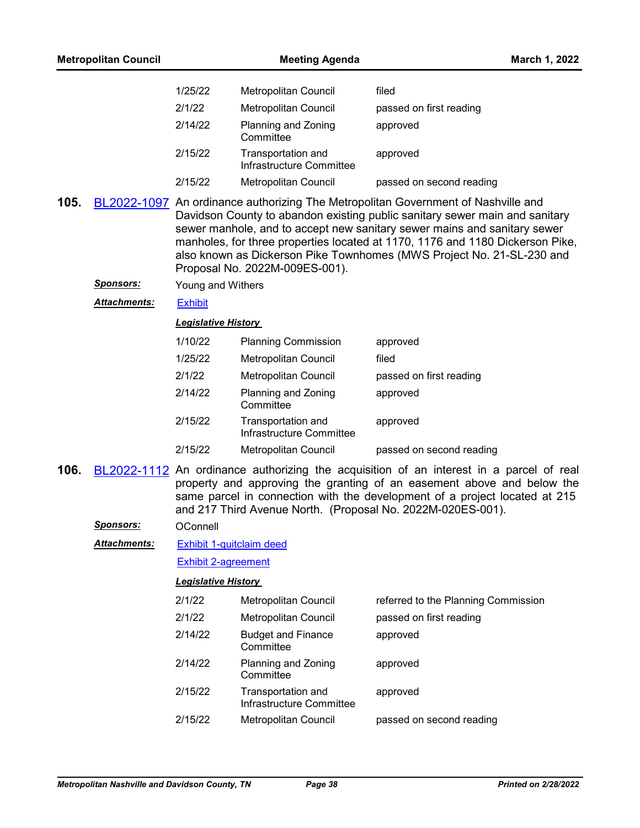| <b>Metropolitan Council</b> |                      | <b>Meeting Agenda</b>                                                                                                                                                                                                                                                                                                                                                                                                                    |                                                | March 1, 2022                       |
|-----------------------------|----------------------|------------------------------------------------------------------------------------------------------------------------------------------------------------------------------------------------------------------------------------------------------------------------------------------------------------------------------------------------------------------------------------------------------------------------------------------|------------------------------------------------|-------------------------------------|
|                             |                      | 1/25/22                                                                                                                                                                                                                                                                                                                                                                                                                                  | Metropolitan Council                           | filed                               |
|                             |                      | 2/1/22                                                                                                                                                                                                                                                                                                                                                                                                                                   | Metropolitan Council                           | passed on first reading             |
|                             |                      | 2/14/22                                                                                                                                                                                                                                                                                                                                                                                                                                  | Planning and Zoning<br>Committee               | approved                            |
|                             |                      | 2/15/22                                                                                                                                                                                                                                                                                                                                                                                                                                  | Transportation and<br>Infrastructure Committee | approved                            |
|                             |                      | 2/15/22                                                                                                                                                                                                                                                                                                                                                                                                                                  | <b>Metropolitan Council</b>                    | passed on second reading            |
| 105.                        |                      | BL2022-1097 An ordinance authorizing The Metropolitan Government of Nashville and<br>Davidson County to abandon existing public sanitary sewer main and sanitary<br>sewer manhole, and to accept new sanitary sewer mains and sanitary sewer<br>manholes, for three properties located at 1170, 1176 and 1180 Dickerson Pike,<br>also known as Dickerson Pike Townhomes (MWS Project No. 21-SL-230 and<br>Proposal No. 2022M-009ES-001). |                                                |                                     |
|                             | <u>Sponsors:</u>     | Young and Withers                                                                                                                                                                                                                                                                                                                                                                                                                        |                                                |                                     |
|                             | Attachments:         | <b>Exhibit</b>                                                                                                                                                                                                                                                                                                                                                                                                                           |                                                |                                     |
|                             |                      | <b>Legislative History</b>                                                                                                                                                                                                                                                                                                                                                                                                               |                                                |                                     |
|                             |                      | 1/10/22                                                                                                                                                                                                                                                                                                                                                                                                                                  | <b>Planning Commission</b>                     | approved                            |
|                             |                      | 1/25/22                                                                                                                                                                                                                                                                                                                                                                                                                                  | Metropolitan Council                           | filed                               |
|                             |                      | 2/1/22                                                                                                                                                                                                                                                                                                                                                                                                                                   | Metropolitan Council                           | passed on first reading             |
|                             |                      | 2/14/22                                                                                                                                                                                                                                                                                                                                                                                                                                  | Planning and Zoning<br>Committee               | approved                            |
|                             |                      | 2/15/22                                                                                                                                                                                                                                                                                                                                                                                                                                  | Transportation and<br>Infrastructure Committee | approved                            |
|                             |                      | 2/15/22                                                                                                                                                                                                                                                                                                                                                                                                                                  | Metropolitan Council                           | passed on second reading            |
| 106.                        |                      | BL2022-1112 An ordinance authorizing the acquisition of an interest in a parcel of real<br>property and approving the granting of an easement above and below the<br>same parcel in connection with the development of a project located at 215<br>and 217 Third Avenue North. (Proposal No. 2022M-020ES-001).                                                                                                                           |                                                |                                     |
|                             | <u>Sponsors:</u>     | OConnell                                                                                                                                                                                                                                                                                                                                                                                                                                 |                                                |                                     |
|                             | <u> Attachments:</u> | <b>Exhibit 1-quitclaim deed</b>                                                                                                                                                                                                                                                                                                                                                                                                          |                                                |                                     |
|                             |                      | <b>Exhibit 2-agreement</b>                                                                                                                                                                                                                                                                                                                                                                                                               |                                                |                                     |
|                             |                      | <b>Legislative History</b>                                                                                                                                                                                                                                                                                                                                                                                                               |                                                |                                     |
|                             |                      | 2/1/22                                                                                                                                                                                                                                                                                                                                                                                                                                   | Metropolitan Council                           | referred to the Planning Commission |
|                             |                      | 2/1/22                                                                                                                                                                                                                                                                                                                                                                                                                                   | Metropolitan Council                           | passed on first reading             |
|                             |                      | 2/14/22                                                                                                                                                                                                                                                                                                                                                                                                                                  | <b>Budget and Finance</b><br>Committee         | approved                            |
|                             |                      | 2/14/22                                                                                                                                                                                                                                                                                                                                                                                                                                  | Planning and Zoning<br>Committee               | approved                            |
|                             |                      | 2/15/22                                                                                                                                                                                                                                                                                                                                                                                                                                  | Transportation and<br>Infrastructure Committee | approved                            |
|                             |                      | 2/15/22                                                                                                                                                                                                                                                                                                                                                                                                                                  | Metropolitan Council                           | passed on second reading            |